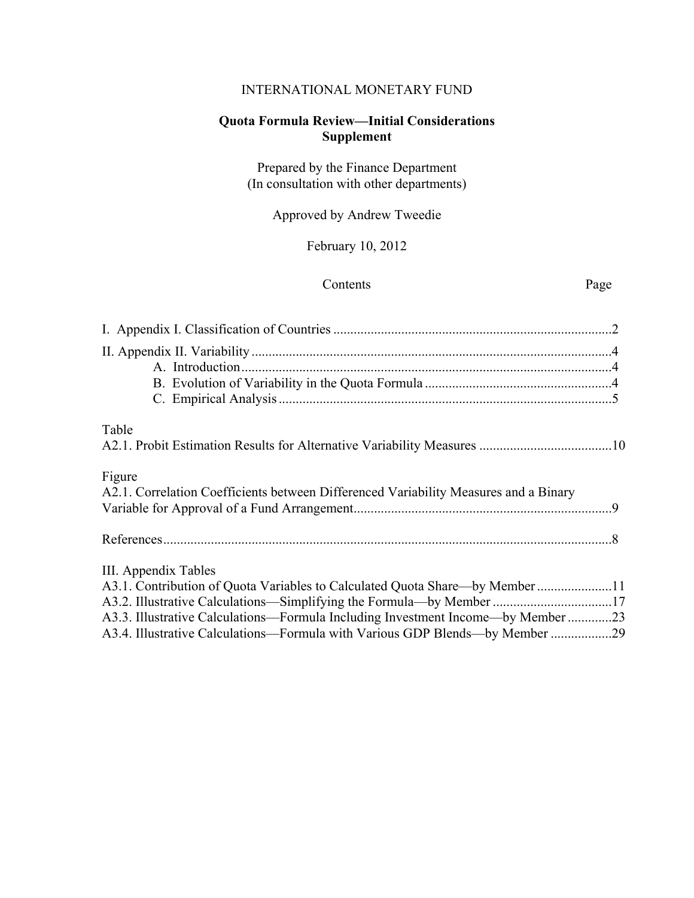# INTERNATIONAL MONETARY FUND

# **Quota Formula Review—Initial Considerations Supplement**

Prepared by the Finance Department (In consultation with other departments)

Approved by Andrew Tweedie

February 10, 2012

### Contents Page

| Table                                                                                                                                                                                                                                                                                                                                         |  |
|-----------------------------------------------------------------------------------------------------------------------------------------------------------------------------------------------------------------------------------------------------------------------------------------------------------------------------------------------|--|
| Figure<br>A2.1. Correlation Coefficients between Differenced Variability Measures and a Binary                                                                                                                                                                                                                                                |  |
|                                                                                                                                                                                                                                                                                                                                               |  |
| III. Appendix Tables<br>A3.1. Contribution of Quota Variables to Calculated Quota Share—by Member 11<br>A3.2. Illustrative Calculations—Simplifying the Formula—by Member 17<br>A3.3. Illustrative Calculations—Formula Including Investment Income—by Member 23<br>A3.4. Illustrative Calculations—Formula with Various GDP Blends—by Member |  |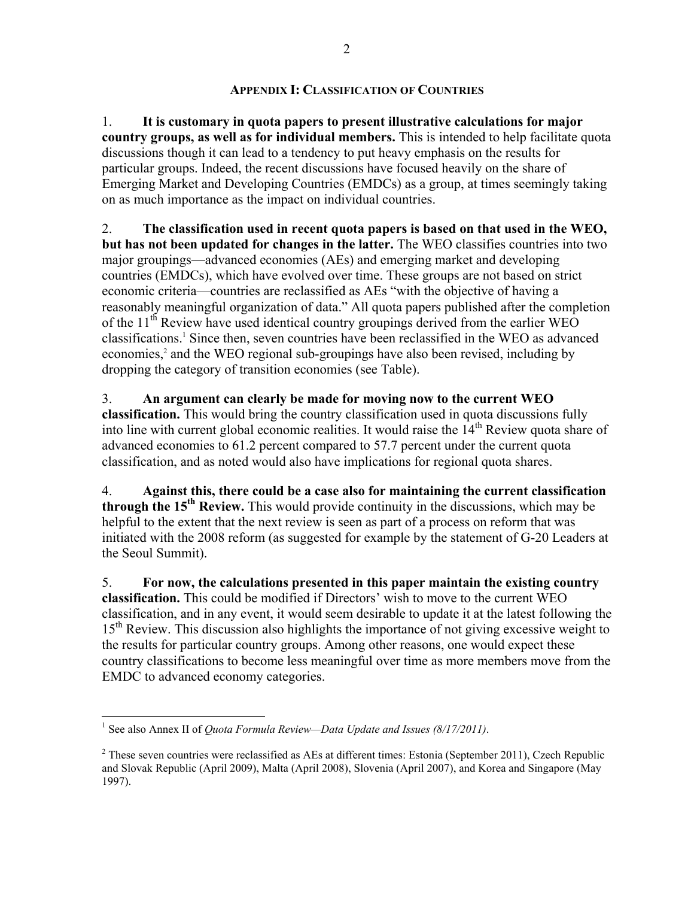## **APPENDIX I: CLASSIFICATION OF COUNTRIES**

1. **It is customary in quota papers to present illustrative calculations for major country groups, as well as for individual members.** This is intended to help facilitate quota discussions though it can lead to a tendency to put heavy emphasis on the results for particular groups. Indeed, the recent discussions have focused heavily on the share of Emerging Market and Developing Countries (EMDCs) as a group, at times seemingly taking on as much importance as the impact on individual countries.

2. **The classification used in recent quota papers is based on that used in the WEO, but has not been updated for changes in the latter.** The WEO classifies countries into two major groupings—advanced economies (AEs) and emerging market and developing countries (EMDCs), which have evolved over time. These groups are not based on strict economic criteria—countries are reclassified as AEs "with the objective of having a reasonably meaningful organization of data." All quota papers published after the completion of the  $11<sup>th</sup>$  Review have used identical country groupings derived from the earlier WEO classifications.1 Since then, seven countries have been reclassified in the WEO as advanced economies,<sup>2</sup> and the WEO regional sub-groupings have also been revised, including by dropping the category of transition economies (see Table).

3. **An argument can clearly be made for moving now to the current WEO classification.** This would bring the country classification used in quota discussions fully into line with current global economic realities. It would raise the  $14<sup>th</sup>$  Review quota share of advanced economies to 61.2 percent compared to 57.7 percent under the current quota classification, and as noted would also have implications for regional quota shares.

4. **Against this, there could be a case also for maintaining the current classification through the 15th Review.** This would provide continuity in the discussions, which may be helpful to the extent that the next review is seen as part of a process on reform that was initiated with the 2008 reform (as suggested for example by the statement of G-20 Leaders at the Seoul Summit).

5. **For now, the calculations presented in this paper maintain the existing country classification.** This could be modified if Directors' wish to move to the current WEO classification, and in any event, it would seem desirable to update it at the latest following the 15<sup>th</sup> Review. This discussion also highlights the importance of not giving excessive weight to the results for particular country groups. Among other reasons, one would expect these country classifications to become less meaningful over time as more members move from the EMDC to advanced economy categories.

<u>.</u>

<sup>&</sup>lt;sup>1</sup> See also Annex II of *Quota Formula Review—Data Update and Issues (8/17/2011)*.

 $2^2$  These seven countries were reclassified as AEs at different times: Estonia (September 2011), Czech Republic and Slovak Republic (April 2009), Malta (April 2008), Slovenia (April 2007), and Korea and Singapore (May 1997).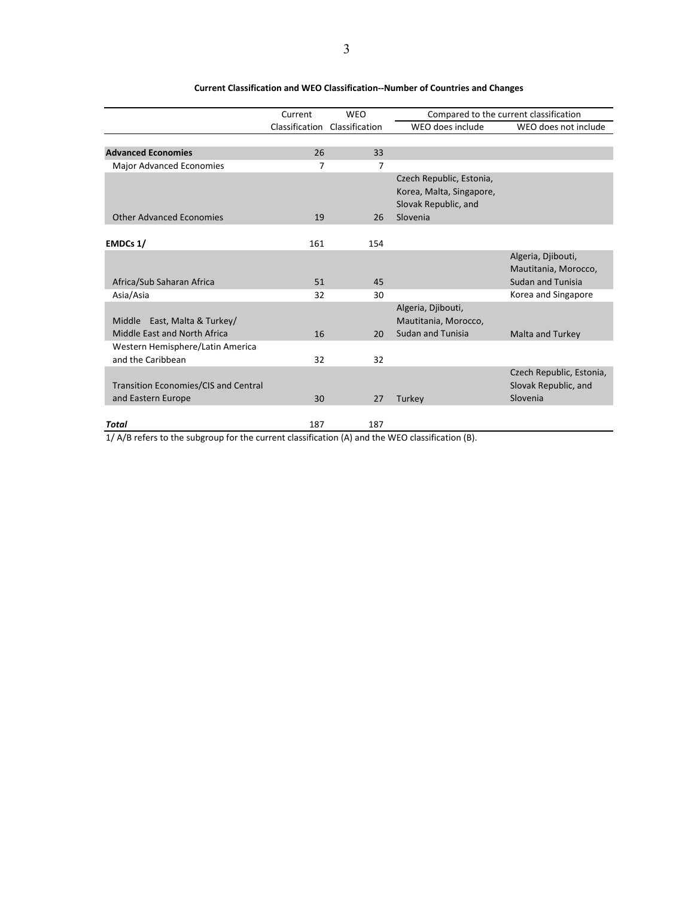|                                                                   | Current        | <b>WEO</b>     |                                                                                          | Compared to the current classification                                 |
|-------------------------------------------------------------------|----------------|----------------|------------------------------------------------------------------------------------------|------------------------------------------------------------------------|
|                                                                   | Classification | Classification | WEO does include                                                                         | WEO does not include                                                   |
|                                                                   |                |                |                                                                                          |                                                                        |
| <b>Advanced Economies</b>                                         | 26             | 33             |                                                                                          |                                                                        |
| Major Advanced Economies                                          | 7              | 7              |                                                                                          |                                                                        |
| <b>Other Advanced Economies</b>                                   | 19             | 26             | Czech Republic, Estonia,<br>Korea, Malta, Singapore,<br>Slovak Republic, and<br>Slovenia |                                                                        |
|                                                                   |                |                |                                                                                          |                                                                        |
| EMDCs 1/                                                          | 161            | 154            |                                                                                          |                                                                        |
| Africa/Sub Saharan Africa                                         | 51             | 45             |                                                                                          | Algeria, Djibouti,<br>Mautitania, Morocco,<br><b>Sudan and Tunisia</b> |
| Asia/Asia                                                         | 32             | 30             |                                                                                          | Korea and Singapore                                                    |
| Middle East, Malta & Turkey/<br>Middle East and North Africa      | 16             | 20             | Algeria, Djibouti,<br>Mautitania, Morocco,<br><b>Sudan and Tunisia</b>                   | <b>Malta and Turkey</b>                                                |
| Western Hemisphere/Latin America<br>and the Caribbean             | 32             | 32             |                                                                                          |                                                                        |
| <b>Transition Economies/CIS and Central</b><br>and Eastern Europe | 30             | 27             | Turkey                                                                                   | Czech Republic, Estonia,<br>Slovak Republic, and<br>Slovenia           |
| <b>Total</b><br>. .<br>$\sim$ $\sim$                              | 187            | 187            | $\frac{1}{2}$<br>$\sqrt{2}$                                                              |                                                                        |

### **Current Classification and WEO Classification--Number of Countries and Changes**

1/ A/B refers to the subgroup for the current classification (A) and the WEO classification (B).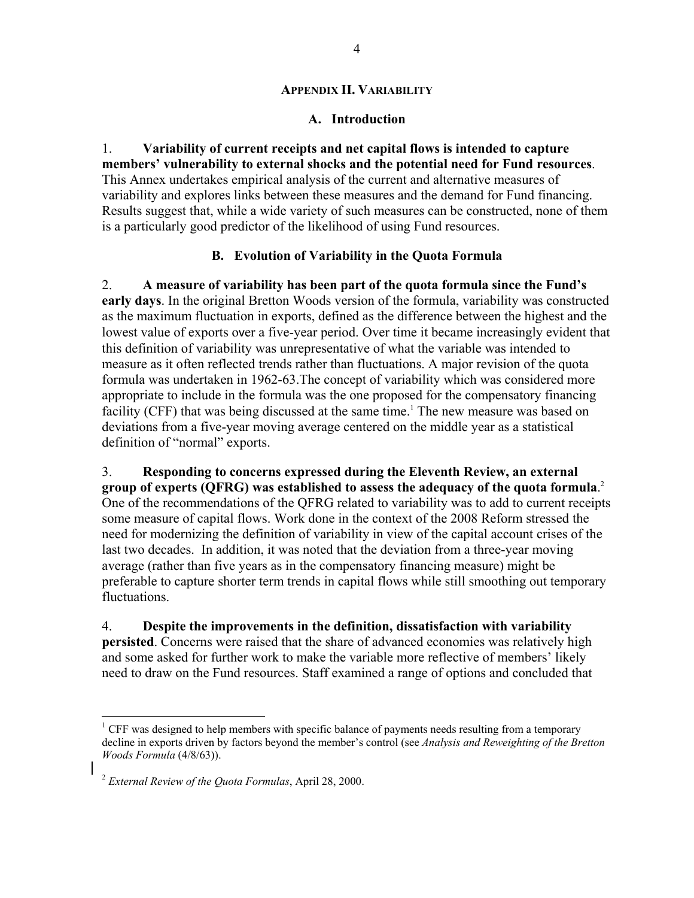## **APPENDIX II. VARIABILITY**

## **A. Introduction**

1. **Variability of current receipts and net capital flows is intended to capture members' vulnerability to external shocks and the potential need for Fund resources**. This Annex undertakes empirical analysis of the current and alternative measures of variability and explores links between these measures and the demand for Fund financing. Results suggest that, while a wide variety of such measures can be constructed, none of them is a particularly good predictor of the likelihood of using Fund resources.

## **B. Evolution of Variability in the Quota Formula**

2. **A measure of variability has been part of the quota formula since the Fund's early days**. In the original Bretton Woods version of the formula, variability was constructed as the maximum fluctuation in exports, defined as the difference between the highest and the lowest value of exports over a five-year period. Over time it became increasingly evident that this definition of variability was unrepresentative of what the variable was intended to measure as it often reflected trends rather than fluctuations. A major revision of the quota formula was undertaken in 1962-63.The concept of variability which was considered more appropriate to include in the formula was the one proposed for the compensatory financing facility (CFF) that was being discussed at the same time.<sup>1</sup> The new measure was based on deviations from a five-year moving average centered on the middle year as a statistical definition of "normal" exports.

3. **Responding to concerns expressed during the Eleventh Review, an external group of experts (QFRG) was established to assess the adequacy of the quota formula**. 2 One of the recommendations of the QFRG related to variability was to add to current receipts some measure of capital flows. Work done in the context of the 2008 Reform stressed the need for modernizing the definition of variability in view of the capital account crises of the last two decades. In addition, it was noted that the deviation from a three-year moving average (rather than five years as in the compensatory financing measure) might be preferable to capture shorter term trends in capital flows while still smoothing out temporary fluctuations.

4. **Despite the improvements in the definition, dissatisfaction with variability persisted**. Concerns were raised that the share of advanced economies was relatively high and some asked for further work to make the variable more reflective of members' likely need to draw on the Fund resources. Staff examined a range of options and concluded that

 $\overline{a}$ 

<sup>&</sup>lt;sup>1</sup> CFF was designed to help members with specific balance of payments needs resulting from a temporary decline in exports driven by factors beyond the member's control (see *Analysis and Reweighting of the Bretton Woods Formula* (4/8/63)).

<sup>2</sup> *External Review of the Quota Formulas*, April 28, 2000.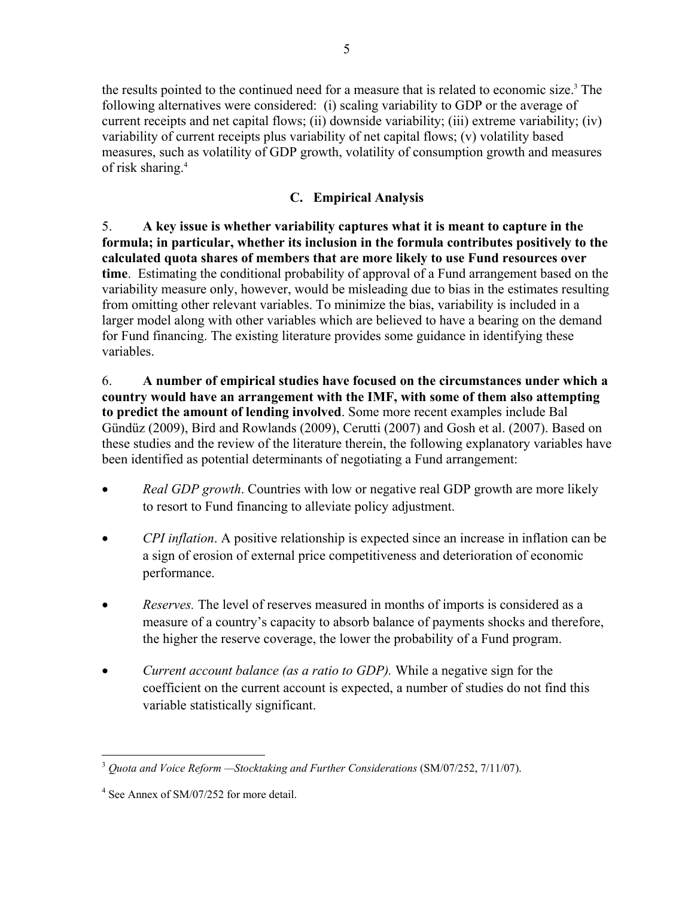the results pointed to the continued need for a measure that is related to economic size.<sup>3</sup> The following alternatives were considered: (i) scaling variability to GDP or the average of current receipts and net capital flows; (ii) downside variability; (iii) extreme variability; (iv) variability of current receipts plus variability of net capital flows; (v) volatility based measures, such as volatility of GDP growth, volatility of consumption growth and measures of risk sharing.4

# **C. Empirical Analysis**

5. **A key issue is whether variability captures what it is meant to capture in the formula; in particular, whether its inclusion in the formula contributes positively to the calculated quota shares of members that are more likely to use Fund resources over time**. Estimating the conditional probability of approval of a Fund arrangement based on the variability measure only, however, would be misleading due to bias in the estimates resulting from omitting other relevant variables. To minimize the bias, variability is included in a larger model along with other variables which are believed to have a bearing on the demand for Fund financing. The existing literature provides some guidance in identifying these variables.

6. **A number of empirical studies have focused on the circumstances under which a country would have an arrangement with the IMF, with some of them also attempting to predict the amount of lending involved**. Some more recent examples include Bal Gündüz (2009), Bird and Rowlands (2009), Cerutti (2007) and Gosh et al. (2007). Based on these studies and the review of the literature therein, the following explanatory variables have been identified as potential determinants of negotiating a Fund arrangement:

- *Real GDP growth*. Countries with low or negative real GDP growth are more likely to resort to Fund financing to alleviate policy adjustment.
- *CPI inflation*. A positive relationship is expected since an increase in inflation can be a sign of erosion of external price competitiveness and deterioration of economic performance.
- *Reserves.* The level of reserves measured in months of imports is considered as a measure of a country's capacity to absorb balance of payments shocks and therefore, the higher the reserve coverage, the lower the probability of a Fund program.
- *Current account balance (as a ratio to GDP).* While a negative sign for the coefficient on the current account is expected, a number of studies do not find this variable statistically significant.

<sup>&</sup>lt;u>.</u> <sup>3</sup> *Quota and Voice Reform —Stocktaking and Further Considerations* (SM/07/252, 7/11/07).

<sup>&</sup>lt;sup>4</sup> See Annex of SM/07/252 for more detail.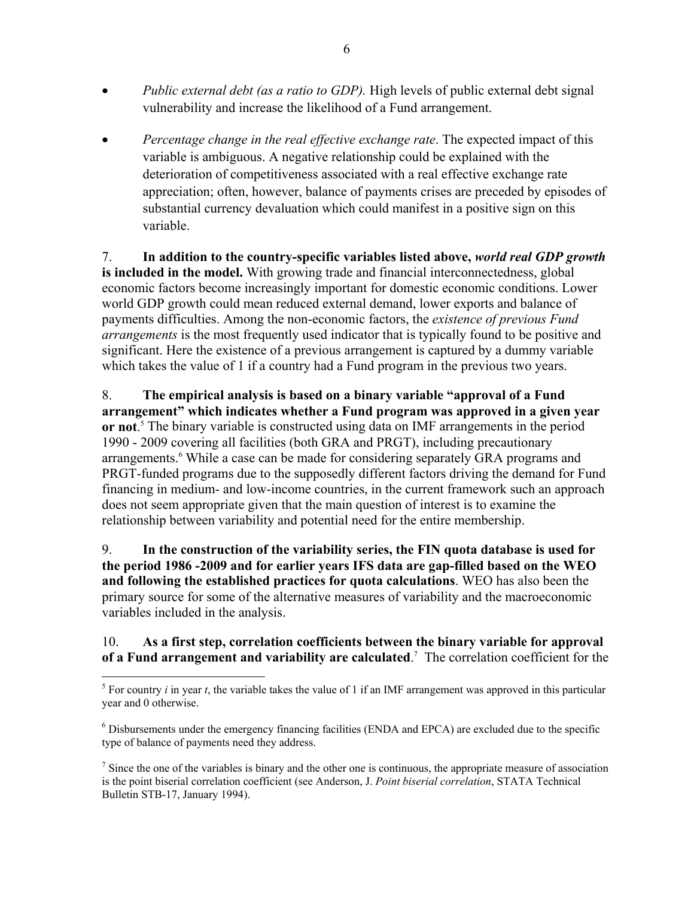- Public external debt (as a ratio to GDP). High levels of public external debt signal vulnerability and increase the likelihood of a Fund arrangement.
- *Percentage change in the real effective exchange rate*. The expected impact of this variable is ambiguous. A negative relationship could be explained with the deterioration of competitiveness associated with a real effective exchange rate appreciation; often, however, balance of payments crises are preceded by episodes of substantial currency devaluation which could manifest in a positive sign on this variable.

7. **In addition to the country-specific variables listed above,** *world real GDP growth* **is included in the model.** With growing trade and financial interconnectedness, global economic factors become increasingly important for domestic economic conditions. Lower world GDP growth could mean reduced external demand, lower exports and balance of payments difficulties. Among the non-economic factors, the *existence of previous Fund arrangements* is the most frequently used indicator that is typically found to be positive and significant. Here the existence of a previous arrangement is captured by a dummy variable which takes the value of 1 if a country had a Fund program in the previous two years.

8. **The empirical analysis is based on a binary variable "approval of a Fund arrangement" which indicates whether a Fund program was approved in a given year or not**. 5 The binary variable is constructed using data on IMF arrangements in the period 1990 - 2009 covering all facilities (both GRA and PRGT), including precautionary arrangements.<sup>6</sup> While a case can be made for considering separately GRA programs and PRGT-funded programs due to the supposedly different factors driving the demand for Fund financing in medium- and low-income countries, in the current framework such an approach does not seem appropriate given that the main question of interest is to examine the relationship between variability and potential need for the entire membership.

9. **In the construction of the variability series, the FIN quota database is used for the period 1986 -2009 and for earlier years IFS data are gap-filled based on the WEO and following the established practices for quota calculations**. WEO has also been the primary source for some of the alternative measures of variability and the macroeconomic variables included in the analysis.

# 10. **As a first step, correlation coefficients between the binary variable for approval of a Fund arrangement and variability are calculated**. 7 The correlation coefficient for the

<sup>&</sup>lt;u>.</u> <sup>5</sup> For country *i* in year *t*, the variable takes the value of 1 if an IMF arrangement was approved in this particular year and 0 otherwise.

<sup>&</sup>lt;sup>6</sup> Disbursements under the emergency financing facilities (ENDA and EPCA) are excluded due to the specific type of balance of payments need they address.

 $<sup>7</sup>$  Since the one of the variables is binary and the other one is continuous, the appropriate measure of association</sup> is the point biserial correlation coefficient (see Anderson, J. *Point biserial correlation*, STATA Technical Bulletin STB-17, January 1994).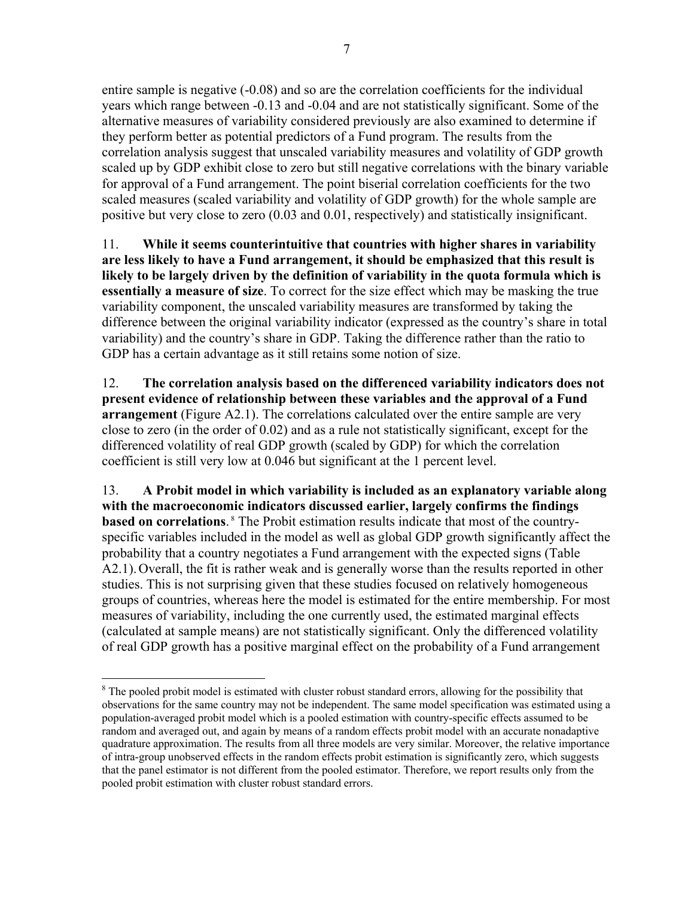entire sample is negative (-0.08) and so are the correlation coefficients for the individual years which range between -0.13 and -0.04 and are not statistically significant. Some of the alternative measures of variability considered previously are also examined to determine if they perform better as potential predictors of a Fund program. The results from the correlation analysis suggest that unscaled variability measures and volatility of GDP growth scaled up by GDP exhibit close to zero but still negative correlations with the binary variable for approval of a Fund arrangement. The point biserial correlation coefficients for the two scaled measures (scaled variability and volatility of GDP growth) for the whole sample are positive but very close to zero (0.03 and 0.01, respectively) and statistically insignificant.

11. **While it seems counterintuitive that countries with higher shares in variability are less likely to have a Fund arrangement, it should be emphasized that this result is likely to be largely driven by the definition of variability in the quota formula which is essentially a measure of size**. To correct for the size effect which may be masking the true variability component, the unscaled variability measures are transformed by taking the difference between the original variability indicator (expressed as the country's share in total variability) and the country's share in GDP. Taking the difference rather than the ratio to GDP has a certain advantage as it still retains some notion of size.

12. **The correlation analysis based on the differenced variability indicators does not present evidence of relationship between these variables and the approval of a Fund arrangement** (Figure A2.1). The correlations calculated over the entire sample are very close to zero (in the order of 0.02) and as a rule not statistically significant, except for the differenced volatility of real GDP growth (scaled by GDP) for which the correlation coefficient is still very low at 0.046 but significant at the 1 percent level.

13. **A Probit model in which variability is included as an explanatory variable along with the macroeconomic indicators discussed earlier, largely confirms the findings based on correlations**.<sup>8</sup> The Probit estimation results indicate that most of the countryspecific variables included in the model as well as global GDP growth significantly affect the probability that a country negotiates a Fund arrangement with the expected signs (Table A2.1).Overall, the fit is rather weak and is generally worse than the results reported in other studies. This is not surprising given that these studies focused on relatively homogeneous groups of countries, whereas here the model is estimated for the entire membership. For most measures of variability, including the one currently used, the estimated marginal effects (calculated at sample means) are not statistically significant. Only the differenced volatility of real GDP growth has a positive marginal effect on the probability of a Fund arrangement

 $\overline{a}$ <sup>8</sup> The pooled probit model is estimated with cluster robust standard errors, allowing for the possibility that observations for the same country may not be independent. The same model specification was estimated using a population-averaged probit model which is a pooled estimation with country-specific effects assumed to be random and averaged out, and again by means of a random effects probit model with an accurate nonadaptive quadrature approximation. The results from all three models are very similar. Moreover, the relative importance of intra-group unobserved effects in the random effects probit estimation is significantly zero, which suggests that the panel estimator is not different from the pooled estimator. Therefore, we report results only from the pooled probit estimation with cluster robust standard errors.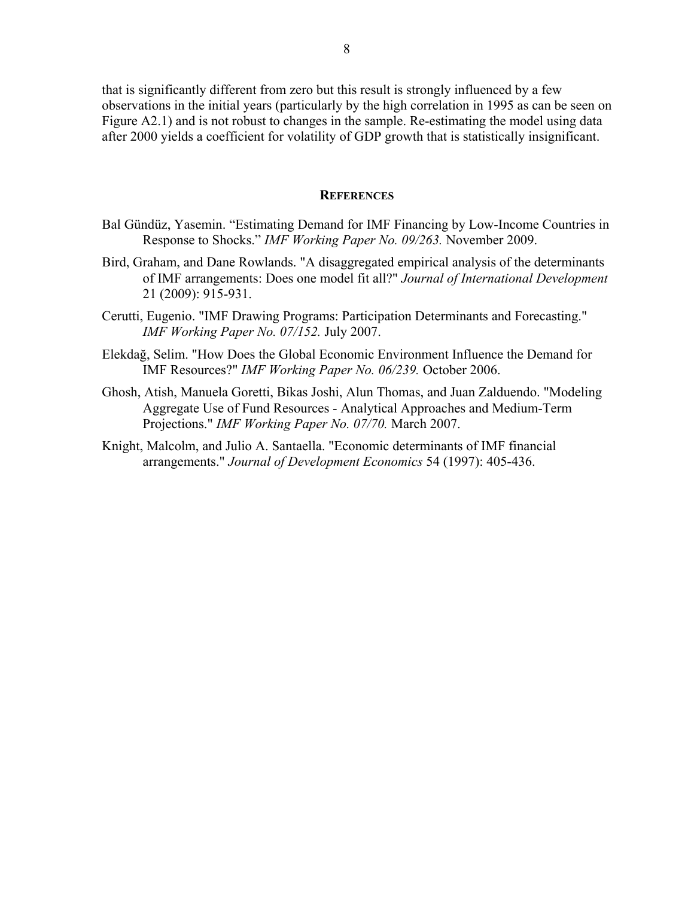that is significantly different from zero but this result is strongly influenced by a few observations in the initial years (particularly by the high correlation in 1995 as can be seen on Figure A2.1) and is not robust to changes in the sample. Re-estimating the model using data after 2000 yields a coefficient for volatility of GDP growth that is statistically insignificant.

### **REFERENCES**

- Bal Gündüz, Yasemin. "Estimating Demand for IMF Financing by Low-Income Countries in Response to Shocks." *IMF Working Paper No. 09/263.* November 2009.
- Bird, Graham, and Dane Rowlands. "A disaggregated empirical analysis of the determinants of IMF arrangements: Does one model fit all?" *Journal of International Development* 21 (2009): 915-931.
- Cerutti, Eugenio. "IMF Drawing Programs: Participation Determinants and Forecasting." *IMF Working Paper No. 07/152.* July 2007.
- Elekdağ, Selim. "How Does the Global Economic Environment Influence the Demand for IMF Resources?" *IMF Working Paper No. 06/239.* October 2006.
- Ghosh, Atish, Manuela Goretti, Bikas Joshi, Alun Thomas, and Juan Zalduendo. "Modeling Aggregate Use of Fund Resources - Analytical Approaches and Medium-Term Projections." *IMF Working Paper No. 07/70.* March 2007.
- Knight, Malcolm, and Julio A. Santaella. "Economic determinants of IMF financial arrangements." *Journal of Development Economics* 54 (1997): 405-436.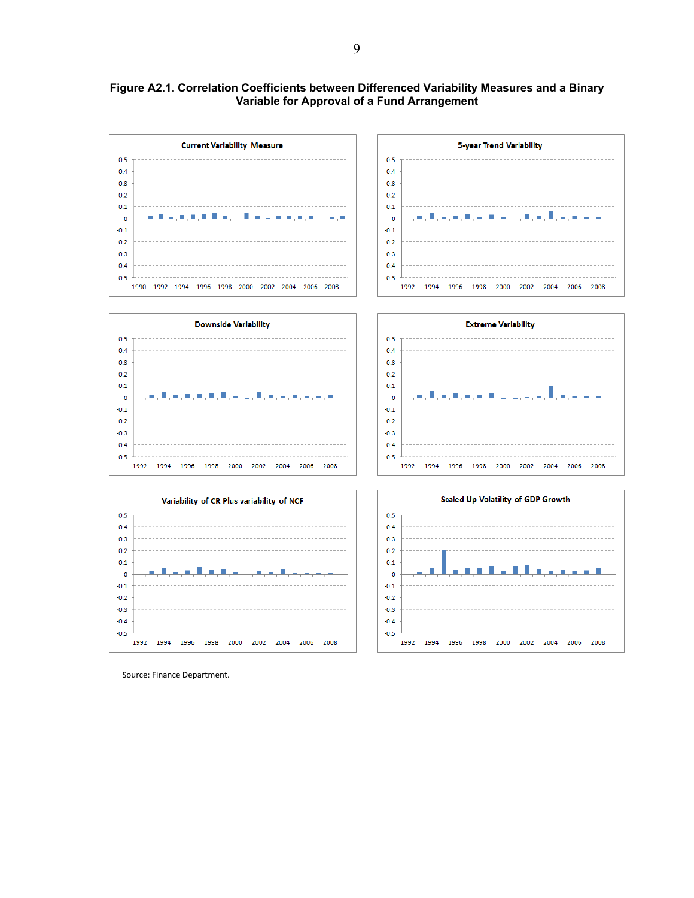### **Figure A2.1. Correlation Coefficients between Differenced Variability Measures and a Binary Variable for Approval of a Fund Arrangement**



Source: Finance Department.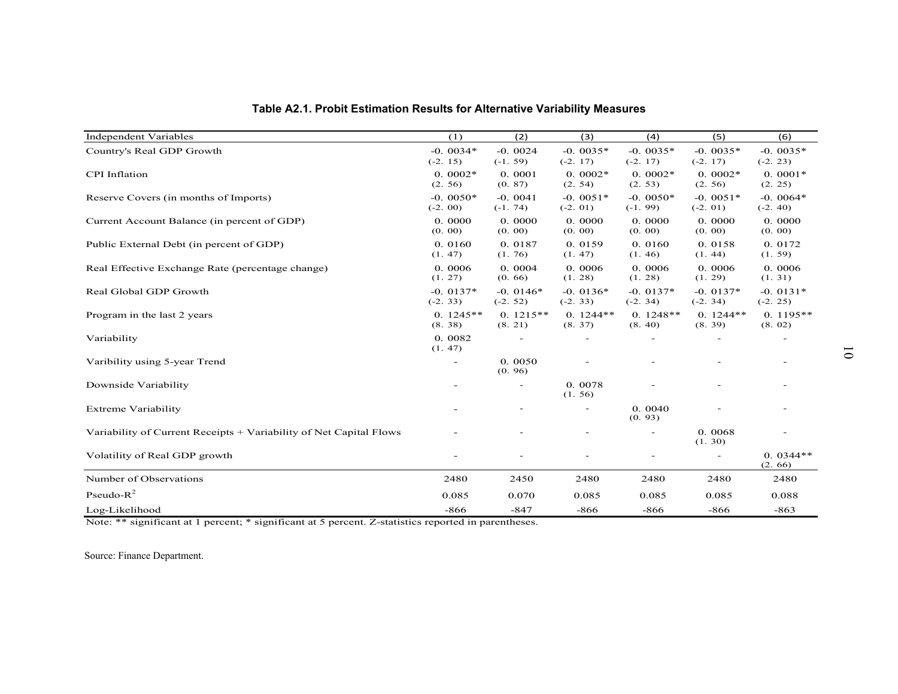| Table A2.1. Probit Estimation Results for Alternative Variability Measures |                         |                         |                         |                          |                         |                          |
|----------------------------------------------------------------------------|-------------------------|-------------------------|-------------------------|--------------------------|-------------------------|--------------------------|
| <b>Independent Variables</b>                                               | (1)                     | (2)                     | (3)                     | (4)                      | (5)                     | (6)                      |
| Country's Real GDP Growth                                                  | $-0.0034*$              | $-0.0024$               | $-0.0035*$              | $-0.0035*$               | $-0.0035*$              | $-0.0035*$               |
|                                                                            | $(-2.15)$               | $(-1.59)$               | $(-2.17)$               | $(-2.17)$                | $(-2.17)$               | $(-2.23)$                |
| <b>CPI</b> Inflation                                                       | $0.0002*$<br>(2.56)     | 0.0001<br>(0.87)        | $0.0002*$<br>(2.54)     | $0.0002*$<br>(2.53)      | $0.0002*$<br>(2.56)     | $0.0001*$<br>(2.25)      |
| Reserve Covers (in months of Imports)                                      | $-0.0050*$<br>$(-2.00)$ | $-0.0041$<br>$(-1, 74)$ | $-0.0051*$<br>$(-2.01)$ | $-0.0050*$<br>$(-1.99)$  | $-0.0051*$<br>$(-2.01)$ | $-0.0064*$<br>$(-2, 40)$ |
| Current Account Balance (in percent of GDP)                                | 0.0000<br>(0.00)        | 0.0000<br>(0.00)        | 0.0000<br>(0.00)        | 0.0000<br>(0.00)         | 0.0000<br>(0.00)        | 0.0000<br>(0.00)         |
| Public External Debt (in percent of GDP)                                   | 0.0160<br>(1.47)        | 0.0187<br>(1.76)        | 0.0159<br>(1.47)        | 0.0160<br>(1.46)         | 0.0158<br>(1.44)        | 0.0172<br>(1.59)         |
| Real Effective Exchange Rate (percentage change)                           | 0.0006<br>(1.27)        | 0.0004<br>(0.66)        | 0.0006<br>(1.28)        | 0.0006<br>(1.28)         | 0.0006<br>(1.29)        | 0.0006<br>(1.31)         |
| Real Global GDP Growth                                                     | $-0.0137*$<br>$(-2.33)$ | $-0.0146*$<br>$(-2.52)$ | $-0.0136*$<br>$(-2.33)$ | $-0.0137*$<br>$(-2.34)$  | $-0.0137*$<br>$(-2.34)$ | $-0.0131*$<br>$(-2.25)$  |
| Program in the last 2 years                                                | $0.1245**$<br>(8.38)    | $0.1215**$<br>(8.21)    | $0.1244**$<br>(8.37)    | $0.1248**$<br>(8.40)     | $0.1244**$<br>(8.39)    | $0.1195**$<br>(8.02)     |
| Variability                                                                | 0.0082<br>(1.47)        | $\sim$                  |                         | $\sim$                   | $\sim$                  | ٠                        |
| Varibility using 5-year Trend                                              |                         | 0.0050<br>(0.96)        |                         |                          |                         |                          |
| Downside Variability                                                       |                         | $\sim$                  | 0.0078<br>(1.56)        |                          |                         |                          |
| <b>Extreme Variability</b>                                                 |                         |                         |                         | 0.0040<br>(0.93)         |                         |                          |
| Variability of Current Receipts + Variability of Net Capital Flows         |                         |                         |                         | $\sim$                   | 0.0068<br>(1.30)        |                          |
| Volatility of Real GDP growth                                              |                         |                         |                         | $\overline{\phantom{a}}$ | $\sim$                  | $0.0344**$<br>(2.66)     |
| Number of Observations                                                     | 2480                    | 2450                    | 2480                    | 2480                     | 2480                    | 2480                     |
| Pseudo- $R^2$                                                              | 0.085                   | 0.070                   | 0.085                   | 0.085                    | 0.085                   | 0.088                    |
| Log-Likelihood                                                             | $-866$                  | $-847$                  | $-866$                  | $-866$                   | -866                    | $-863$                   |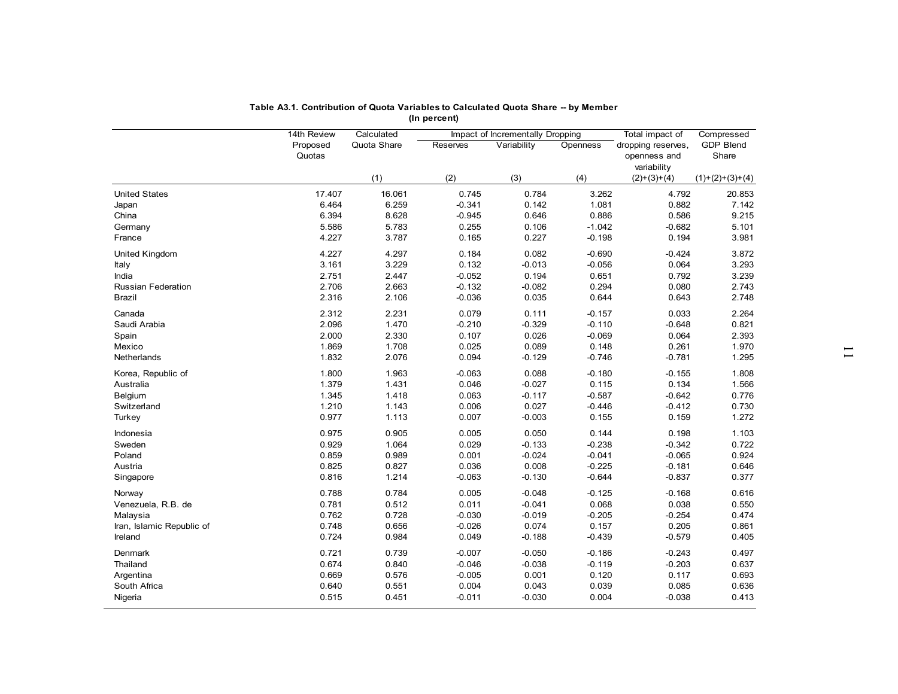|                           | Table A3.1. Contribution of Quota Variables to Calculated Quota Share -- by Member |             |                |                                  |                   |                              |                   |
|---------------------------|------------------------------------------------------------------------------------|-------------|----------------|----------------------------------|-------------------|------------------------------|-------------------|
|                           |                                                                                    |             | (In percent)   |                                  |                   |                              |                   |
|                           | 14th Review                                                                        | Calculated  |                | Impact of Incrementally Dropping |                   | Total impact of              | Compressed        |
|                           | Proposed                                                                           | Quota Share | Reserves       | Variability                      | Openness          | dropping reserves,           | <b>GDP Blend</b>  |
|                           | Quotas                                                                             |             |                |                                  |                   | openness and                 | Share             |
|                           |                                                                                    | (1)         | (2)            | (3)                              | (4)               | variability<br>$(2)+(3)+(4)$ | $(1)+(2)+(3)+(4)$ |
| <b>United States</b>      | 17.407                                                                             | 16.061      | 0.745          | 0.784                            | 3.262             | 4.792                        | 20.853            |
| Japan                     | 6.464                                                                              | 6.259       | $-0.341$       | 0.142                            | 1.081             | 0.882                        | 7.142             |
| China                     | 6.394                                                                              | 8.628       | $-0.945$       | 0.646                            | 0.886             | 0.586                        | 9.215             |
| Germany                   | 5.586                                                                              | 5.783       | 0.255          | 0.106                            | $-1.042$          | $-0.682$                     | 5.101             |
| France                    | 4.227                                                                              | 3.787       | 0.165          | 0.227                            | $-0.198$          | 0.194                        | 3.981             |
|                           |                                                                                    |             |                |                                  |                   |                              |                   |
| United Kingdom            | 4.227                                                                              | 4.297       | 0.184          | 0.082                            | $-0.690$          | $-0.424$                     | 3.872             |
| Italy                     | 3.161                                                                              | 3.229       | 0.132          | $-0.013$                         | $-0.056$          | 0.064                        | 3.293             |
| India                     | 2.751                                                                              | 2.447       | $-0.052$       | 0.194                            | 0.651             | 0.792                        | 3.239             |
| <b>Russian Federation</b> | 2.706                                                                              | 2.663       | $-0.132$       | $-0.082$                         | 0.294             | 0.080                        | 2.743             |
| Brazil                    | 2.316                                                                              | 2.106       | $-0.036$       | 0.035                            | 0.644             | 0.643                        | 2.748             |
| Canada                    | 2.312                                                                              | 2.231       | 0.079          | 0.111                            | $-0.157$          | 0.033                        | 2.264             |
| Saudi Arabia              | 2.096                                                                              | 1.470       | $-0.210$       | $-0.329$                         | $-0.110$          | $-0.648$                     | 0.821             |
| Spain                     | 2.000                                                                              | 2.330       | 0.107          | 0.026                            | $-0.069$          | 0.064                        | 2.393             |
| Mexico                    | 1.869                                                                              | 1.708       | 0.025          | 0.089                            | 0.148             | 0.261                        | 1.970             |
| Netherlands               | 1.832                                                                              | 2.076       | 0.094          | $-0.129$                         | $-0.746$          | $-0.781$                     | 1.295             |
| Korea, Republic of        | 1.800                                                                              | 1.963       | $-0.063$       | 0.088                            | $-0.180$          | $-0.155$                     | 1.808             |
| Australia                 | 1.379                                                                              | 1.431       | 0.046          | $-0.027$                         | 0.115             | 0.134                        | 1.566             |
| Belgium                   | 1.345                                                                              | 1.418       | 0.063          | $-0.117$                         | $-0.587$          | $-0.642$                     | 0.776             |
| Switzerland               | 1.210                                                                              | 1.143       | 0.006          | 0.027                            | $-0.446$          | $-0.412$                     | 0.730             |
| Turkey                    | 0.977                                                                              | 1.113       | 0.007          | $-0.003$                         | 0.155             | 0.159                        | 1.272             |
|                           |                                                                                    |             |                |                                  |                   |                              |                   |
| Indonesia<br>Sweden       | 0.975<br>0.929                                                                     | 0.905       | 0.005<br>0.029 | 0.050<br>$-0.133$                | 0.144<br>$-0.238$ | 0.198<br>$-0.342$            | 1.103<br>0.722    |
|                           |                                                                                    | 1.064       |                |                                  |                   |                              |                   |
| Poland                    | 0.859                                                                              | 0.989       | 0.001          | $-0.024$                         | $-0.041$          | $-0.065$                     | 0.924             |
| Austria                   | 0.825                                                                              | 0.827       | 0.036          | 0.008                            | $-0.225$          | $-0.181$                     | 0.646             |
| Singapore                 | 0.816                                                                              | 1.214       | $-0.063$       | $-0.130$                         | $-0.644$          | $-0.837$                     | 0.377             |
| Norway                    | 0.788                                                                              | 0.784       | 0.005          | $-0.048$                         | $-0.125$          | $-0.168$                     | 0.616             |
| Venezuela, R.B. de        | 0.781                                                                              | 0.512       | 0.011          | $-0.041$                         | 0.068             | 0.038                        | 0.550             |
| Malaysia                  | 0.762                                                                              | 0.728       | $-0.030$       | $-0.019$                         | $-0.205$          | $-0.254$                     | 0.474             |
| Iran, Islamic Republic of | 0.748                                                                              | 0.656       | $-0.026$       | 0.074                            | 0.157             | 0.205                        | 0.861             |
| Ireland                   | 0.724                                                                              | 0.984       | 0.049          | $-0.188$                         | $-0.439$          | $-0.579$                     | 0.405             |
| Denmark                   | 0.721                                                                              | 0.739       | $-0.007$       | $-0.050$                         | $-0.186$          | $-0.243$                     | 0.497             |
| Thailand                  | 0.674                                                                              | 0.840       | $-0.046$       | $-0.038$                         | $-0.119$          | $-0.203$                     | 0.637             |
| Argentina                 | 0.669                                                                              | 0.576       | $-0.005$       | 0.001                            | 0.120             | 0.117                        | 0.693             |
| South Africa              | 0.640                                                                              | 0.551       | 0.004          | 0.043                            | 0.039             | 0.085                        | 0.636             |
| Nigeria                   | 0.515                                                                              | 0.451       | $-0.011$       | $-0.030$                         | 0.004             | $-0.038$                     | 0.413             |
|                           |                                                                                    |             |                |                                  |                   |                              |                   |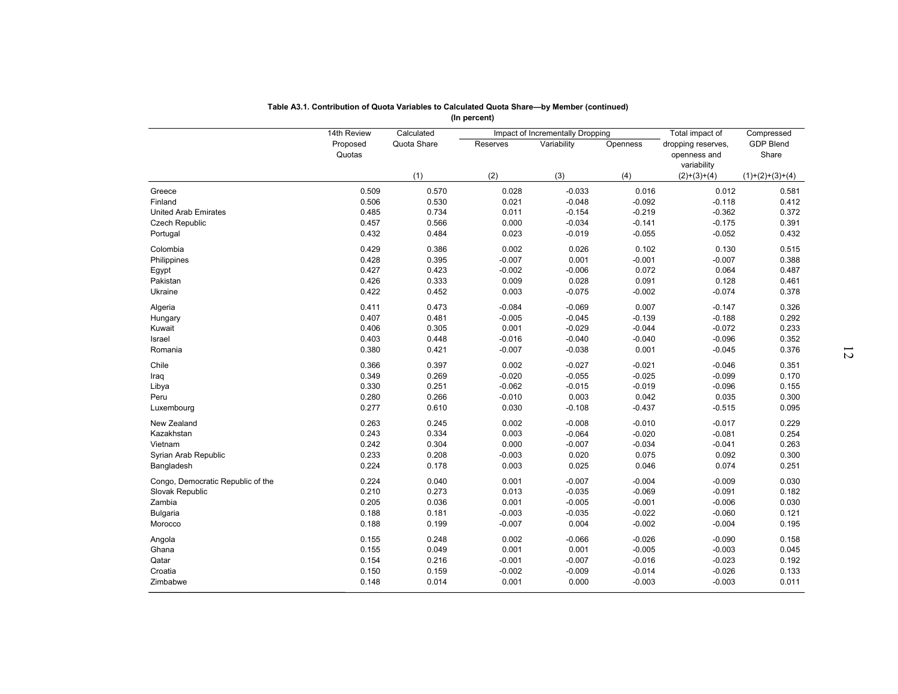|                                   | 14th Review |                           | (In percent) |                                                 |          |                                       |                                |
|-----------------------------------|-------------|---------------------------|--------------|-------------------------------------------------|----------|---------------------------------------|--------------------------------|
|                                   | Proposed    | Calculated<br>Quota Share | Reserves     | Impact of Incrementally Dropping<br>Variability | Openness | Total impact of<br>dropping reserves, | Compressed<br><b>GDP Blend</b> |
|                                   | Quotas      |                           |              |                                                 |          | openness and<br>variability           | Share                          |
|                                   |             | (1)                       | (2)          | (3)                                             | (4)      | $(2)+(3)+(4)$                         | $(1)+(2)+(3)+(4)$              |
| Greece                            | 0.509       | 0.570                     | 0.028        | $-0.033$                                        | 0.016    | 0.012                                 | 0.581                          |
| Finland                           | 0.506       | 0.530                     | 0.021        | $-0.048$                                        | $-0.092$ | $-0.118$                              | 0.412                          |
| <b>United Arab Emirates</b>       | 0.485       | 0.734                     | 0.011        | $-0.154$                                        | $-0.219$ | $-0.362$                              | 0.372                          |
| <b>Czech Republic</b>             | 0.457       | 0.566                     | 0.000        | $-0.034$                                        | $-0.141$ | $-0.175$                              | 0.391                          |
| Portugal                          | 0.432       | 0.484                     | 0.023        | $-0.019$                                        | $-0.055$ | $-0.052$                              | 0.432                          |
| Colombia                          | 0.429       | 0.386                     | 0.002        | 0.026                                           | 0.102    | 0.130                                 | 0.515                          |
| Philippines                       | 0.428       | 0.395                     | $-0.007$     | 0.001                                           | $-0.001$ | $-0.007$                              | 0.388                          |
| Egypt                             | 0.427       | 0.423                     | $-0.002$     | $-0.006$                                        | 0.072    | 0.064                                 | 0.487                          |
| Pakistan                          | 0.426       | 0.333                     | 0.009        | 0.028                                           | 0.091    | 0.128                                 | 0.461                          |
| Ukraine                           | 0.422       | 0.452                     | 0.003        | $-0.075$                                        | $-0.002$ | $-0.074$                              | 0.378                          |
|                                   |             |                           |              |                                                 |          |                                       |                                |
| Algeria                           | 0.411       | 0.473                     | $-0.084$     | $-0.069$                                        | 0.007    | $-0.147$                              | 0.326                          |
| Hungary                           | 0.407       | 0.481                     | $-0.005$     | $-0.045$                                        | $-0.139$ | $-0.188$                              | 0.292                          |
| Kuwait                            | 0.406       | 0.305                     | 0.001        | $-0.029$                                        | $-0.044$ | $-0.072$                              | 0.233                          |
| Israel                            | 0.403       | 0.448                     | $-0.016$     | $-0.040$                                        | $-0.040$ | $-0.096$                              | 0.352                          |
| Romania                           | 0.380       | 0.421                     | $-0.007$     | $-0.038$                                        | 0.001    | $-0.045$                              | 0.376                          |
| Chile                             | 0.366       | 0.397                     | 0.002        | $-0.027$                                        | $-0.021$ | $-0.046$                              | 0.351                          |
| Iraq                              | 0.349       | 0.269                     | $-0.020$     | $-0.055$                                        | $-0.025$ | $-0.099$                              | 0.170                          |
| Libya                             | 0.330       | 0.251                     | $-0.062$     | $-0.015$                                        | $-0.019$ | $-0.096$                              | 0.155                          |
| Peru                              | 0.280       | 0.266                     | $-0.010$     | 0.003                                           | 0.042    | 0.035                                 | 0.300                          |
| Luxembourg                        | 0.277       | 0.610                     | 0.030        | $-0.108$                                        | $-0.437$ | $-0.515$                              | 0.095                          |
|                                   |             |                           |              |                                                 |          |                                       |                                |
| New Zealand                       | 0.263       | 0.245                     | 0.002        | $-0.008$                                        | $-0.010$ | $-0.017$                              | 0.229                          |
| Kazakhstan                        | 0.243       | 0.334                     | 0.003        | $-0.064$                                        | $-0.020$ | $-0.081$                              | 0.254                          |
| Vietnam                           | 0.242       | 0.304                     | 0.000        | $-0.007$                                        | $-0.034$ | $-0.041$                              | 0.263                          |
| Syrian Arab Republic              | 0.233       | 0.208                     | $-0.003$     | 0.020                                           | 0.075    | 0.092                                 | 0.300                          |
| Bangladesh                        | 0.224       | 0.178                     | 0.003        | 0.025                                           | 0.046    | 0.074                                 | 0.251                          |
| Congo, Democratic Republic of the | 0.224       | 0.040                     | 0.001        | $-0.007$                                        | $-0.004$ | $-0.009$                              | 0.030                          |
| Slovak Republic                   | 0.210       | 0.273                     | 0.013        | $-0.035$                                        | $-0.069$ | $-0.091$                              | 0.182                          |
| Zambia                            | 0.205       | 0.036                     | 0.001        | $-0.005$                                        | $-0.001$ | $-0.006$                              | 0.030                          |
| <b>Bulgaria</b>                   | 0.188       | 0.181                     | $-0.003$     | $-0.035$                                        | $-0.022$ | $-0.060$                              | 0.121                          |
| Morocco                           | 0.188       | 0.199                     | $-0.007$     | 0.004                                           | $-0.002$ | $-0.004$                              | 0.195                          |
|                                   |             |                           |              |                                                 |          |                                       |                                |
| Angola                            | 0.155       | 0.248                     | 0.002        | $-0.066$                                        | $-0.026$ | $-0.090$                              | 0.158                          |
| Ghana                             | 0.155       | 0.049                     | 0.001        | 0.001                                           | $-0.005$ | $-0.003$                              | 0.045                          |
| Qatar                             | 0.154       | 0.216                     | $-0.001$     | $-0.007$                                        | $-0.016$ | $-0.023$                              | 0.192                          |
| Croatia                           | 0.150       | 0.159                     | $-0.002$     | $-0.009$                                        | $-0.014$ | $-0.026$                              | 0.133                          |
| Zimbabwe                          | 0.148       | 0.014                     | 0.001        | 0.000                                           | $-0.003$ | $-0.003$                              | 0.011                          |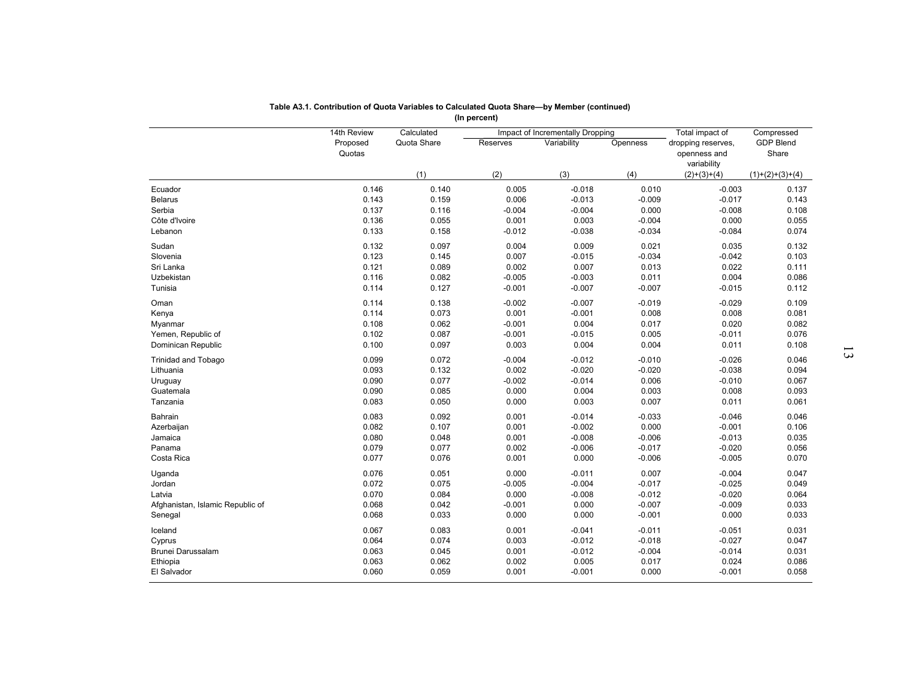|                                             | 14th Review        | Calculated     |                   | Impact of Incrementally Dropping |                      | Total impact of                                   | Compressed                |
|---------------------------------------------|--------------------|----------------|-------------------|----------------------------------|----------------------|---------------------------------------------------|---------------------------|
|                                             | Proposed<br>Quotas | Quota Share    | Reserves          | Variability                      | Openness             | dropping reserves,<br>openness and<br>variability | <b>GDP Blend</b><br>Share |
|                                             |                    | (1)            | (2)               | (3)                              | (4)                  | $(2)+(3)+(4)$                                     | $(1)+(2)+(3)+(4)$         |
| Ecuador                                     | 0.146              | 0.140          | 0.005             | $-0.018$                         | 0.010                | $-0.003$                                          | 0.137                     |
| <b>Belarus</b>                              | 0.143              | 0.159          | 0.006             | $-0.013$                         | $-0.009$             | $-0.017$                                          | 0.143                     |
| Serbia                                      | 0.137              | 0.116          | $-0.004$          | $-0.004$                         | 0.000                | $-0.008$                                          | 0.108                     |
| Côte d'Ivoire                               | 0.136              | 0.055          | 0.001             | 0.003                            | $-0.004$             | 0.000                                             | 0.055                     |
| Lebanon                                     | 0.133              | 0.158          | $-0.012$          | $-0.038$                         | $-0.034$             | $-0.084$                                          | 0.074                     |
| Sudan                                       | 0.132              | 0.097          | 0.004             | 0.009                            | 0.021                | 0.035                                             | 0.132                     |
| Slovenia                                    | 0.123              | 0.145          | 0.007             | $-0.015$                         | $-0.034$             | $-0.042$                                          | 0.103                     |
| Sri Lanka                                   | 0.121              | 0.089          | 0.002             | 0.007                            | 0.013                | 0.022                                             | 0.111                     |
| Uzbekistan                                  | 0.116              | 0.082          | $-0.005$          | $-0.003$                         | 0.011                | 0.004                                             | 0.086                     |
| Tunisia                                     | 0.114              | 0.127          | $-0.001$          | $-0.007$                         | $-0.007$             | $-0.015$                                          | 0.112                     |
|                                             |                    |                |                   |                                  |                      |                                                   |                           |
| Oman                                        | 0.114              | 0.138          | $-0.002$          | $-0.007$                         | $-0.019$             | $-0.029$                                          | 0.109                     |
| Kenya                                       | 0.114              | 0.073          | 0.001             | $-0.001$                         | 0.008                | 0.008                                             | 0.081                     |
| Myanmar                                     | 0.108              | 0.062          | $-0.001$          | 0.004                            | 0.017                | 0.020                                             | 0.082                     |
| Yemen, Republic of                          | 0.102              | 0.087          | $-0.001$          | $-0.015$                         | 0.005                | $-0.011$                                          | 0.076                     |
| Dominican Republic                          | 0.100              | 0.097          | 0.003             | 0.004                            | 0.004                | 0.011                                             | 0.108                     |
| <b>Trinidad and Tobago</b>                  | 0.099              | 0.072          | $-0.004$          | $-0.012$                         | $-0.010$             | $-0.026$                                          | 0.046                     |
| Lithuania                                   | 0.093              | 0.132          | 0.002             | $-0.020$                         | $-0.020$             | $-0.038$                                          | 0.094                     |
| Uruguay                                     | 0.090              | 0.077          | $-0.002$          | $-0.014$                         | 0.006                | $-0.010$                                          | 0.067                     |
| Guatemala                                   | 0.090              | 0.085          | 0.000             | 0.004                            | 0.003                | 0.008                                             | 0.093                     |
| Tanzania                                    | 0.083              | 0.050          | 0.000             | 0.003                            | 0.007                | 0.011                                             | 0.061                     |
| Bahrain                                     | 0.083              | 0.092          | 0.001             | $-0.014$                         | $-0.033$             | $-0.046$                                          | 0.046                     |
| Azerbaijan                                  | 0.082              | 0.107          | 0.001             | $-0.002$                         | 0.000                | $-0.001$                                          | 0.106                     |
| Jamaica                                     | 0.080              | 0.048          | 0.001             | $-0.008$                         | $-0.006$             | $-0.013$                                          | 0.035                     |
| Panama                                      | 0.079              | 0.077          | 0.002             | $-0.006$                         | $-0.017$             | $-0.020$                                          | 0.056                     |
| Costa Rica                                  | 0.077              | 0.076          | 0.001             | 0.000                            | $-0.006$             | $-0.005$                                          | 0.070                     |
|                                             |                    |                |                   |                                  |                      |                                                   |                           |
| Uganda                                      | 0.076              | 0.051          | 0.000             | $-0.011$                         | 0.007                | $-0.004$                                          | 0.047                     |
| Jordan<br>Latvia                            | 0.072<br>0.070     | 0.075<br>0.084 | $-0.005$<br>0.000 | $-0.004$<br>$-0.008$             | $-0.017$<br>$-0.012$ | $-0.025$<br>$-0.020$                              | 0.049<br>0.064            |
|                                             | 0.068              |                | $-0.001$          | 0.000                            | $-0.007$             |                                                   | 0.033                     |
| Afghanistan, Islamic Republic of<br>Senegal | 0.068              | 0.042<br>0.033 | 0.000             | 0.000                            | $-0.001$             | $-0.009$<br>0.000                                 | 0.033                     |
|                                             |                    |                |                   |                                  |                      |                                                   |                           |
| Iceland                                     | 0.067              | 0.083          | 0.001             | $-0.041$                         | $-0.011$             | $-0.051$                                          | 0.031                     |
| Cyprus                                      | 0.064              | 0.074          | 0.003             | $-0.012$                         | $-0.018$             | $-0.027$                                          | 0.047                     |
| Brunei Darussalam                           | 0.063              | 0.045          | 0.001             | $-0.012$                         | $-0.004$             | $-0.014$                                          | 0.031                     |
| Ethiopia                                    | 0.063              | 0.062          | 0.002             | 0.005                            | 0.017                | 0.024                                             | 0.086                     |
| El Salvador                                 | 0.060              | 0.059          | 0.001             | $-0.001$                         | 0.000                | $-0.001$                                          | 0.058                     |

| Table A3.1. Contribution of Quota Variables to Calculated Quota Share—by Member (continued) |
|---------------------------------------------------------------------------------------------|
| (In percent)                                                                                |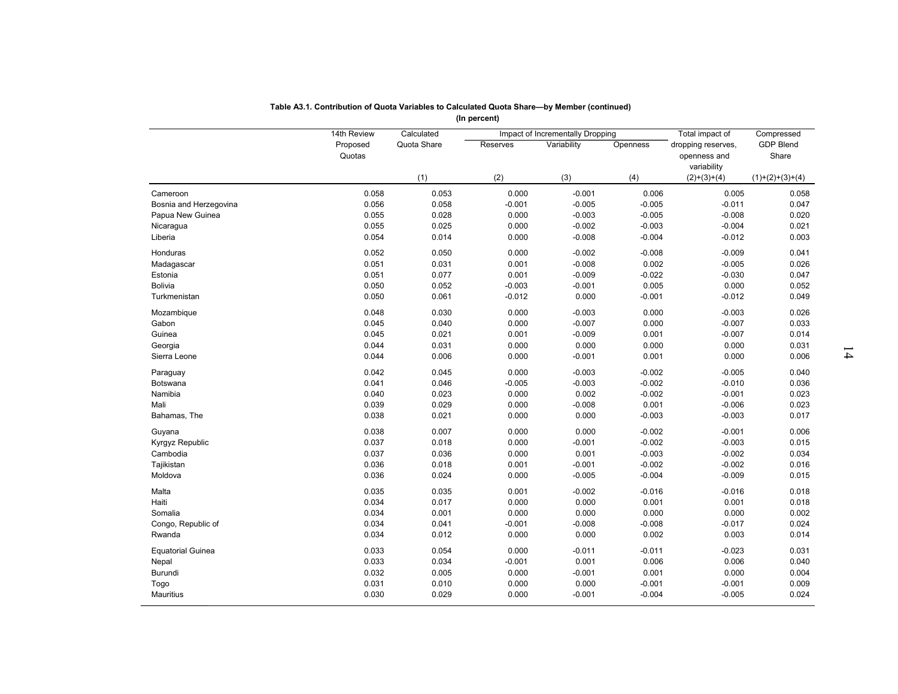|                          |                    |                | (In percent)      |                                         |                   |                                                   |                    |
|--------------------------|--------------------|----------------|-------------------|-----------------------------------------|-------------------|---------------------------------------------------|--------------------|
|                          | 14th Review        | Calculated     |                   | <b>Impact of Incrementally Dropping</b> |                   | Total impact of                                   | Compressed         |
|                          | Proposed<br>Quotas | Quota Share    | Reserves          | Variability                             | Openness          | dropping reserves,<br>openness and<br>variability | GDP Blend<br>Share |
|                          |                    | (1)            | (2)               | (3)                                     | (4)               | $(2)+(3)+(4)$                                     | $(1)+(2)+(3)+(4)$  |
| Cameroon                 | 0.058              | 0.053          | 0.000             | $-0.001$                                | 0.006             | 0.005                                             | 0.058              |
| Bosnia and Herzegovina   | 0.056              | 0.058          | $-0.001$          | $-0.005$                                | $-0.005$          | $-0.011$                                          | 0.047              |
| Papua New Guinea         | 0.055              | 0.028          | 0.000             | $-0.003$                                | $-0.005$          | $-0.008$                                          | 0.020              |
| Nicaragua                | 0.055              | 0.025          | 0.000             | $-0.002$                                | $-0.003$          | $-0.004$                                          | 0.021              |
| Liberia                  | 0.054              | 0.014          | 0.000             | $-0.008$                                | $-0.004$          | $-0.012$                                          | 0.003              |
| Honduras                 | 0.052              | 0.050          | 0.000             | $-0.002$                                | $-0.008$          | $-0.009$                                          | 0.041              |
| Madagascar               | 0.051              | 0.031          | 0.001             | $-0.008$                                | 0.002             | $-0.005$                                          | 0.026              |
| Estonia                  | 0.051              | 0.077          | 0.001             | $-0.009$                                | $-0.022$          | $-0.030$                                          | 0.047              |
| <b>Bolivia</b>           | 0.050              | 0.052          | $-0.003$          | $-0.001$                                | 0.005             | 0.000                                             | 0.052              |
| Turkmenistan             | 0.050              | 0.061          | $-0.012$          | 0.000                                   | $-0.001$          | $-0.012$                                          | 0.049              |
|                          | 0.048              | 0.030          | 0.000             | $-0.003$                                |                   | $-0.003$                                          |                    |
| Mozambique<br>Gabon      | 0.045              | 0.040          | 0.000             | $-0.007$                                | 0.000<br>0.000    | $-0.007$                                          | 0.026<br>0.033     |
| Guinea                   | 0.045              | 0.021          | 0.001             | $-0.009$                                | 0.001             | $-0.007$                                          | 0.014              |
|                          | 0.044              | 0.031          | 0.000             | 0.000                                   | 0.000             | 0.000                                             |                    |
| Georgia<br>Sierra Leone  | 0.044              | 0.006          | 0.000             | $-0.001$                                | 0.001             | 0.000                                             | 0.031<br>0.006     |
|                          |                    |                |                   |                                         |                   |                                                   |                    |
| Paraguay                 | 0.042              | 0.045          | 0.000             | $-0.003$                                | $-0.002$          | $-0.005$                                          | 0.040              |
| Botswana                 | 0.041              | 0.046          | $-0.005$          | $-0.003$                                | $-0.002$          | $-0.010$                                          | 0.036              |
| Namibia                  | 0.040              | 0.023          | 0.000             | 0.002                                   | $-0.002$          | $-0.001$                                          | 0.023              |
| Mali                     | 0.039              | 0.029          | 0.000             | $-0.008$                                | 0.001             | $-0.006$                                          | 0.023              |
| Bahamas, The             | 0.038              | 0.021          | 0.000             | 0.000                                   | $-0.003$          | $-0.003$                                          | 0.017              |
| Guyana                   | 0.038              | 0.007          | 0.000             | 0.000                                   | $-0.002$          | $-0.001$                                          | 0.006              |
| Kyrgyz Republic          | 0.037              | 0.018          | 0.000             | $-0.001$                                | $-0.002$          | $-0.003$                                          | 0.015              |
| Cambodia                 | 0.037              | 0.036          | 0.000             | 0.001                                   | $-0.003$          | $-0.002$                                          | 0.034              |
| Tajikistan               | 0.036              | 0.018          | 0.001             | $-0.001$                                | $-0.002$          | $-0.002$                                          | 0.016              |
| Moldova                  | 0.036              | 0.024          | 0.000             | $-0.005$                                | $-0.004$          | $-0.009$                                          | 0.015              |
| Malta                    | 0.035              | 0.035          | 0.001             | $-0.002$                                | $-0.016$          | $-0.016$                                          | 0.018              |
| Haiti                    | 0.034              | 0.017          | 0.000             | 0.000                                   | 0.001             | 0.001                                             | 0.018              |
| Somalia                  | 0.034              | 0.001          | 0.000             | 0.000                                   | 0.000             | 0.000                                             | 0.002              |
| Congo, Republic of       | 0.034              | 0.041          | $-0.001$          | $-0.008$                                | $-0.008$          | $-0.017$                                          | 0.024              |
| Rwanda                   | 0.034              | 0.012          | 0.000             | 0.000                                   | 0.002             | 0.003                                             | 0.014              |
|                          | 0.033              | 0.054          | 0.000             | $-0.011$                                | $-0.011$          | $-0.023$                                          | 0.031              |
| <b>Equatorial Guinea</b> | 0.033              |                |                   |                                         |                   |                                                   |                    |
| Nepal                    | 0.032              | 0.034          | $-0.001$<br>0.000 | 0.001                                   | 0.006             | 0.006                                             | 0.040              |
| Burundi                  | 0.031              | 0.005          |                   | $-0.001$                                | 0.001<br>$-0.001$ | 0.000                                             | 0.004              |
| Togo<br>Mauritius        | 0.030              | 0.010<br>0.029 | 0.000<br>0.000    | 0.000<br>$-0.001$                       | $-0.004$          | $-0.001$<br>$-0.005$                              | 0.009<br>0.024     |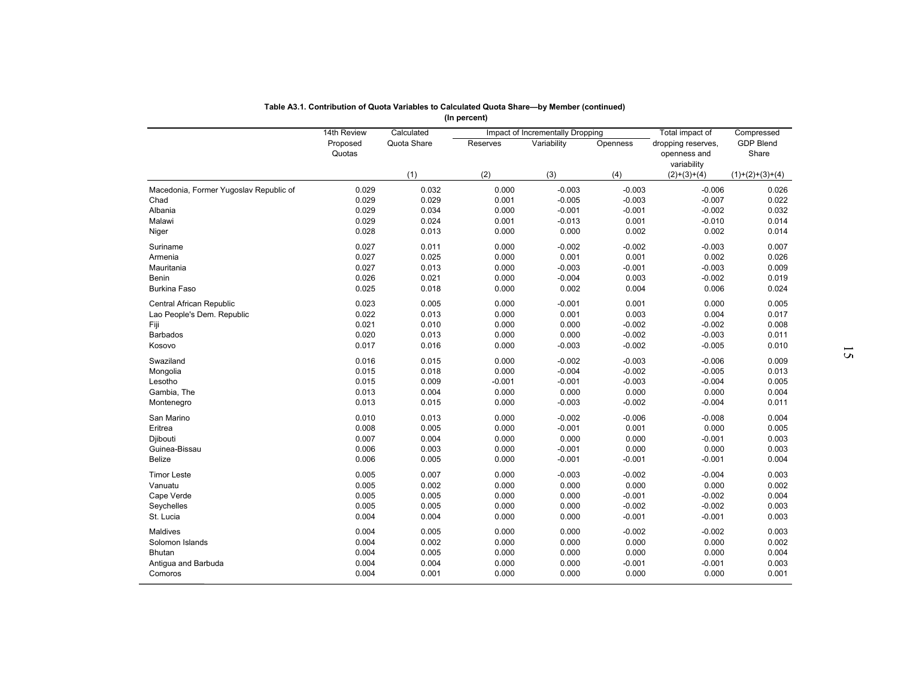|                                        | 14th Review<br>Proposed<br>Quotas | Calculated<br>Quota Share | <b>Reserves</b> | Impact of Incrementally Dropping<br>Variability | Openness          | Total impact of<br>dropping reserves,<br>openness and<br>variability | Compressed<br><b>GDP Blend</b><br>Share |
|----------------------------------------|-----------------------------------|---------------------------|-----------------|-------------------------------------------------|-------------------|----------------------------------------------------------------------|-----------------------------------------|
|                                        |                                   | (1)                       | (2)             | (3)                                             | (4)               | $(2)+(3)+(4)$                                                        | $(1)+(2)+(3)+(4)$                       |
| Macedonia, Former Yugoslav Republic of | 0.029                             | 0.032                     | 0.000           | $-0.003$                                        | $-0.003$          | $-0.006$                                                             | 0.026                                   |
| Chad                                   | 0.029                             | 0.029                     | 0.001           | $-0.005$                                        | $-0.003$          | $-0.007$                                                             | 0.022                                   |
| Albania                                | 0.029                             | 0.034                     | 0.000           | $-0.001$                                        | $-0.001$          | $-0.002$                                                             | 0.032                                   |
| Malawi                                 | 0.029                             | 0.024                     | 0.001           | $-0.013$                                        | 0.001             | $-0.010$                                                             | 0.014                                   |
| Niger                                  | 0.028                             | 0.013                     | 0.000           | 0.000                                           | 0.002             | 0.002                                                                | 0.014                                   |
| Suriname                               | 0.027                             | 0.011                     | 0.000           | $-0.002$                                        | $-0.002$          | $-0.003$                                                             | 0.007                                   |
| Armenia                                | 0.027                             | 0.025                     | 0.000           | 0.001                                           | 0.001             | 0.002                                                                | 0.026                                   |
| Mauritania                             | 0.027                             | 0.013                     | 0.000           | $-0.003$                                        | $-0.001$          | $-0.003$                                                             | 0.009                                   |
| Benin                                  | 0.026                             | 0.021                     | 0.000           | $-0.004$                                        | 0.003             | $-0.002$                                                             | 0.019                                   |
| <b>Burkina Faso</b>                    | 0.025                             | 0.018                     | 0.000           | 0.002                                           | 0.004             | 0.006                                                                | 0.024                                   |
| Central African Republic               | 0.023                             | 0.005                     | 0.000           | $-0.001$                                        | 0.001             | 0.000                                                                | 0.005                                   |
| Lao People's Dem. Republic             | 0.022                             | 0.013                     | 0.000           | 0.001                                           | 0.003             | 0.004                                                                | 0.017                                   |
| Fiji                                   | 0.021                             | 0.010                     | 0.000           | 0.000                                           | $-0.002$          | $-0.002$                                                             | 0.008                                   |
| <b>Barbados</b>                        | 0.020                             | 0.013                     | 0.000           | 0.000                                           | $-0.002$          | $-0.003$                                                             | 0.011                                   |
| Kosovo                                 | 0.017                             | 0.016                     | 0.000           | $-0.003$                                        | $-0.002$          | $-0.005$                                                             | 0.010                                   |
| Swaziland                              | 0.016                             | 0.015                     | 0.000           | $-0.002$                                        | $-0.003$          | $-0.006$                                                             | 0.009                                   |
| Mongolia                               | 0.015                             | 0.018                     | 0.000           | $-0.004$                                        | $-0.002$          | $-0.005$                                                             | 0.013                                   |
| Lesotho                                | 0.015                             | 0.009                     | $-0.001$        | $-0.001$                                        | $-0.003$          | $-0.004$                                                             | 0.005                                   |
| Gambia, The                            | 0.013                             | 0.004                     | 0.000           | 0.000                                           | 0.000             | 0.000                                                                | 0.004                                   |
| Montenegro                             | 0.013                             | 0.015                     | 0.000           | $-0.003$                                        | $-0.002$          | $-0.004$                                                             | 0.011                                   |
| San Marino                             | 0.010                             | 0.013                     | 0.000           | $-0.002$                                        | $-0.006$          | $-0.008$                                                             | 0.004                                   |
| Eritrea                                | 0.008                             | 0.005                     | 0.000           | $-0.001$                                        | 0.001             | 0.000                                                                | 0.005                                   |
| Djibouti                               | 0.007                             | 0.004                     | 0.000           | 0.000                                           | 0.000             | $-0.001$                                                             | 0.003                                   |
| Guinea-Bissau                          | 0.006                             | 0.003                     | 0.000           | $-0.001$                                        | 0.000             | 0.000                                                                | 0.003                                   |
| Belize                                 | 0.006                             | 0.005                     | 0.000           | $-0.001$                                        | $-0.001$          | $-0.001$                                                             | 0.004                                   |
| <b>Timor Leste</b>                     | 0.005                             | 0.007                     | 0.000           | $-0.003$                                        | $-0.002$          | $-0.004$                                                             | 0.003                                   |
| Vanuatu                                | 0.005                             | 0.002                     | 0.000           | 0.000                                           | 0.000             | 0.000                                                                | 0.002                                   |
| Cape Verde                             | 0.005                             | 0.005                     | 0.000           | 0.000                                           | $-0.001$          | $-0.002$                                                             | 0.004                                   |
| Seychelles                             | 0.005                             | 0.005                     | 0.000           | 0.000                                           | $-0.002$          | $-0.002$                                                             | 0.003                                   |
| St. Lucia                              | 0.004                             | 0.004                     | 0.000           | 0.000                                           | $-0.001$          | $-0.001$                                                             | 0.003                                   |
|                                        |                                   |                           |                 |                                                 |                   |                                                                      |                                         |
| Maldives                               | 0.004                             | 0.005                     | 0.000           | 0.000                                           | $-0.002$          | $-0.002$                                                             | 0.003                                   |
| Solomon Islands                        | 0.004                             | 0.002                     | 0.000           | 0.000                                           | 0.000             | 0.000                                                                | 0.002                                   |
| <b>Bhutan</b>                          | 0.004<br>0.004                    | 0.005<br>0.004            | 0.000<br>0.000  | 0.000<br>0.000                                  | 0.000<br>$-0.001$ | 0.000<br>$-0.001$                                                    | 0.004<br>0.003                          |
| Antigua and Barbuda                    |                                   |                           |                 |                                                 |                   |                                                                      |                                         |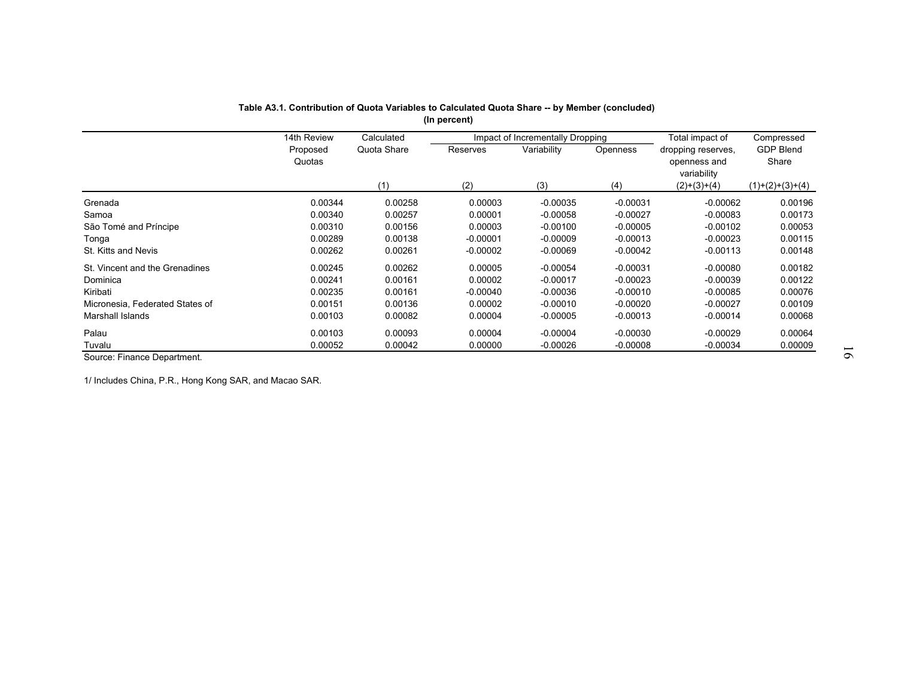|                                 | Table A3.1. Contribution of Quota Variables to Calculated Quota Share -- by Member (concluded) |                           | (In percent) |                                                 |            |                                              |                                |
|---------------------------------|------------------------------------------------------------------------------------------------|---------------------------|--------------|-------------------------------------------------|------------|----------------------------------------------|--------------------------------|
|                                 | 14th Review<br>Proposed                                                                        | Calculated<br>Quota Share | Reserves     | Impact of Incrementally Dropping<br>Variability | Openness   | Total impact of<br>dropping reserves,        | Compressed<br><b>GDP Blend</b> |
|                                 | Quotas                                                                                         | (1)                       | (2)          | (3)                                             | (4)        | openness and<br>variability<br>$(2)+(3)+(4)$ | Share<br>$(1)+(2)+(3)+(4)$     |
| Grenada                         | 0.00344                                                                                        | 0.00258                   | 0.00003      | $-0.00035$                                      | $-0.00031$ | $-0.00062$                                   | 0.00196                        |
| Samoa                           | 0.00340                                                                                        | 0.00257                   | 0.00001      | $-0.00058$                                      | $-0.00027$ | $-0.00083$                                   | 0.00173                        |
| São Tomé and Príncipe           | 0.00310                                                                                        | 0.00156                   | 0.00003      | $-0.00100$                                      | $-0.00005$ | $-0.00102$                                   | 0.00053                        |
| Tonga                           | 0.00289                                                                                        | 0.00138                   | $-0.00001$   | $-0.00009$                                      | $-0.00013$ | $-0.00023$                                   | 0.00115                        |
| St. Kitts and Nevis             | 0.00262                                                                                        | 0.00261                   | $-0.00002$   | $-0.00069$                                      | $-0.00042$ | $-0.00113$                                   | 0.00148                        |
| St. Vincent and the Grenadines  | 0.00245                                                                                        | 0.00262                   | 0.00005      | $-0.00054$                                      | $-0.00031$ | $-0.00080$                                   | 0.00182                        |
| Dominica                        | 0.00241                                                                                        | 0.00161                   | 0.00002      | $-0.00017$                                      | $-0.00023$ | $-0.00039$                                   | 0.00122                        |
| Kiribati                        | 0.00235                                                                                        | 0.00161                   | $-0.00040$   | $-0.00036$                                      | $-0.00010$ | $-0.00085$                                   | 0.00076                        |
| Micronesia, Federated States of | 0.00151                                                                                        | 0.00136                   | 0.00002      | $-0.00010$                                      | $-0.00020$ | $-0.00027$                                   | 0.00109                        |
| Marshall Islands                | 0.00103                                                                                        | 0.00082                   | 0.00004      | $-0.00005$                                      | $-0.00013$ | $-0.00014$                                   | 0.00068                        |
| Palau                           | 0.00103                                                                                        | 0.00093                   | 0.00004      | $-0.00004$                                      | $-0.00030$ | $-0.00029$                                   | 0.00064                        |
| Tuvalu                          | 0.00052                                                                                        | 0.00042                   | 0.00000      | $-0.00026$                                      | $-0.00008$ | $-0.00034$                                   | 0.00009                        |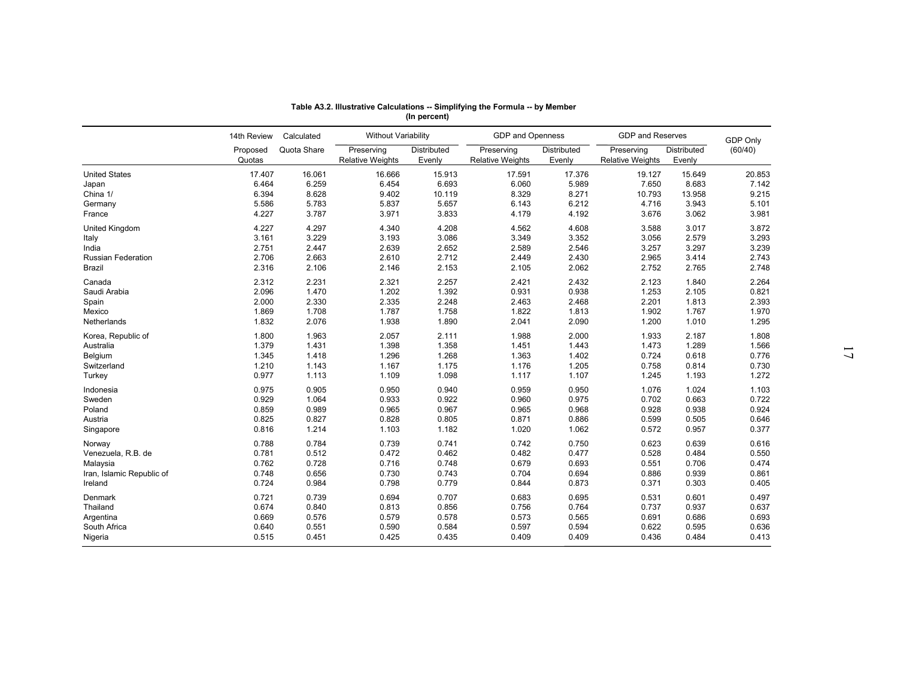|                           |                    |             | Table A3.2. Illustrative Calculations -- Simplifying the Formula -- by Member | (In percent)          |                                       |                              |                                       |                       |                 |  |
|---------------------------|--------------------|-------------|-------------------------------------------------------------------------------|-----------------------|---------------------------------------|------------------------------|---------------------------------------|-----------------------|-----------------|--|
|                           | 14th Review        | Calculated  | <b>Without Variability</b>                                                    |                       | GDP and Openness                      |                              | <b>GDP and Reserves</b>               |                       | <b>GDP Only</b> |  |
|                           | Proposed<br>Quotas | Quota Share | Preserving<br><b>Relative Weights</b>                                         | Distributed<br>Evenly | Preserving<br><b>Relative Weights</b> | <b>Distributed</b><br>Evenly | Preserving<br><b>Relative Weights</b> | Distributed<br>Evenly | (60/40)         |  |
| <b>United States</b>      | 17.407             | 16.061      | 16.666                                                                        | 15.913                | 17.591                                | 17.376                       | 19.127                                | 15.649                | 20.853          |  |
| Japan                     | 6.464              | 6.259       | 6.454                                                                         | 6.693                 | 6.060                                 | 5.989                        | 7.650                                 | 8.683                 | 7.142           |  |
| China 1/                  | 6.394              | 8.628       | 9.402                                                                         | 10.119                | 8.329                                 | 8.271                        | 10.793                                | 13.958                | 9.215           |  |
| Germany                   | 5.586              | 5.783       | 5.837                                                                         | 5.657                 | 6.143                                 | 6.212                        | 4.716                                 | 3.943                 | 5.101           |  |
| France                    | 4.227              | 3.787       | 3.971                                                                         | 3.833                 | 4.179                                 | 4.192                        | 3.676                                 | 3.062                 | 3.981           |  |
| United Kingdom            | 4.227              | 4.297       | 4.340                                                                         | 4.208                 | 4.562                                 | 4.608                        | 3.588                                 | 3.017                 | 3.872           |  |
| Italy                     | 3.161              | 3.229       | 3.193                                                                         | 3.086                 | 3.349                                 | 3.352                        | 3.056                                 | 2.579                 | 3.293           |  |
| India                     | 2.751              | 2.447       | 2.639                                                                         | 2.652                 | 2.589                                 | 2.546                        | 3.257                                 | 3.297                 | 3.239           |  |
| <b>Russian Federation</b> | 2.706              | 2.663       | 2.610                                                                         | 2.712                 | 2.449                                 | 2.430                        | 2.965                                 | 3.414                 | 2.743           |  |
| Brazil                    | 2.316              | 2.106       | 2.146                                                                         | 2.153                 | 2.105                                 | 2.062                        | 2.752                                 | 2.765                 | 2.748           |  |
| Canada                    | 2.312              | 2.231       | 2.321                                                                         | 2.257                 | 2.421                                 | 2.432                        | 2.123                                 | 1.840                 | 2.264           |  |
| Saudi Arabia              | 2.096              | 1.470       | 1.202                                                                         | 1.392                 | 0.931                                 | 0.938                        | 1.253                                 | 2.105                 | 0.821           |  |
| Spain                     | 2.000              | 2.330       | 2.335                                                                         | 2.248                 | 2.463                                 | 2.468                        | 2.201                                 | 1.813                 | 2.393           |  |
| Mexico                    | 1.869              | 1.708       | 1.787                                                                         | 1.758                 | 1.822                                 | 1.813                        | 1.902                                 | 1.767                 | 1.970           |  |
| Netherlands               | 1.832              | 2.076       | 1.938                                                                         | 1.890                 | 2.041                                 | 2.090                        | 1.200                                 | 1.010                 | 1.295           |  |
|                           |                    |             |                                                                               |                       |                                       |                              |                                       |                       |                 |  |
| Korea, Republic of        | 1.800              | 1.963       | 2.057                                                                         | 2.111                 | 1.988                                 | 2.000                        | 1.933                                 | 2.187                 | 1.808           |  |
| Australia                 | 1.379              | 1.431       | 1.398                                                                         | 1.358                 | 1.451                                 | 1.443                        | 1.473                                 | 1.289                 | 1.566           |  |
| Belgium                   | 1.345              | 1.418       | 1.296                                                                         | 1.268                 | 1.363                                 | 1.402                        | 0.724                                 | 0.618                 | 0.776           |  |
| Switzerland               | 1.210              | 1.143       | 1.167                                                                         | 1.175                 | 1.176                                 | 1.205                        | 0.758                                 | 0.814                 | 0.730           |  |
| Turkey                    | 0.977              | 1.113       | 1.109                                                                         | 1.098                 | 1.117                                 | 1.107                        | 1.245                                 | 1.193                 | 1.272           |  |
| Indonesia                 | 0.975              | 0.905       | 0.950                                                                         | 0.940                 | 0.959                                 | 0.950                        | 1.076                                 | 1.024                 | 1.103           |  |
| Sweden                    | 0.929              | 1.064       | 0.933                                                                         | 0.922                 | 0.960                                 | 0.975                        | 0.702                                 | 0.663                 | 0.722           |  |
| Poland                    | 0.859              | 0.989       | 0.965                                                                         | 0.967                 | 0.965                                 | 0.968                        | 0.928                                 | 0.938                 | 0.924           |  |
| Austria                   | 0.825              | 0.827       | 0.828                                                                         | 0.805                 | 0.871                                 | 0.886                        | 0.599                                 | 0.505                 | 0.646           |  |
| Singapore                 | 0.816              | 1.214       | 1.103                                                                         | 1.182                 | 1.020                                 | 1.062                        | 0.572                                 | 0.957                 | 0.377           |  |
| Norway                    | 0.788              | 0.784       | 0.739                                                                         | 0.741                 | 0.742                                 | 0.750                        | 0.623                                 | 0.639                 | 0.616           |  |
| Venezuela, R.B. de        | 0.781              | 0.512       | 0.472                                                                         | 0.462                 | 0.482                                 | 0.477                        | 0.528                                 | 0.484                 | 0.550           |  |
| Malaysia                  | 0.762              | 0.728       | 0.716                                                                         | 0.748                 | 0.679                                 | 0.693                        | 0.551                                 | 0.706                 | 0.474           |  |
| Iran, Islamic Republic of | 0.748              | 0.656       | 0.730                                                                         | 0.743                 | 0.704                                 | 0.694                        | 0.886                                 | 0.939                 | 0.861           |  |
| Ireland                   | 0.724              | 0.984       | 0.798                                                                         | 0.779                 | 0.844                                 | 0.873                        | 0.371                                 | 0.303                 | 0.405           |  |
|                           |                    |             |                                                                               |                       |                                       |                              |                                       |                       |                 |  |
| Denmark                   | 0.721              | 0.739       | 0.694                                                                         | 0.707                 | 0.683                                 | 0.695                        | 0.531                                 | 0.601                 | 0.497           |  |
| Thailand                  | 0.674              | 0.840       | 0.813                                                                         | 0.856                 | 0.756                                 | 0.764                        | 0.737                                 | 0.937                 | 0.637           |  |
| Argentina                 | 0.669              | 0.576       | 0.579                                                                         | 0.578                 | 0.573                                 | 0.565                        | 0.691                                 | 0.686                 | 0.693           |  |
| South Africa              | 0.640              | 0.551       | 0.590                                                                         | 0.584                 | 0.597                                 | 0.594                        | 0.622                                 | 0.595                 | 0.636           |  |
| Nigeria                   | 0.515              | 0.451       | 0.425                                                                         | 0.435                 | 0.409                                 | 0.409                        | 0.436                                 | 0.484                 | 0.413           |  |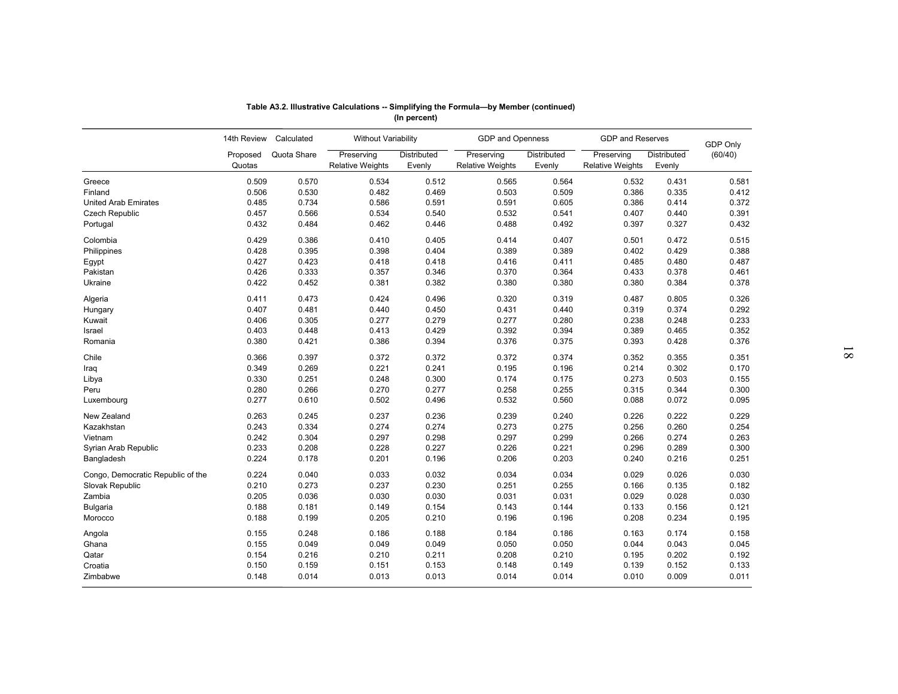| Table A3.2. Illustrative Calculations -- Simplifying the Formula-by Member (continued)<br>(In percent)<br>14th Review<br>Calculated<br><b>Without Variability</b><br>GDP and Openness<br><b>GDP and Reserves</b><br>GDP Only<br>Quota Share<br>Preserving<br>Distributed<br>Preserving<br>Preserving<br>(60/40)<br>Distributed<br>Distributed<br>Proposed<br>Quotas<br><b>Relative Weights</b><br>Evenly<br><b>Relative Weights</b><br>Evenly<br><b>Relative Weights</b><br>Evenly<br>0.509<br>0.570<br>0.534<br>0.512<br>0.565<br>0.564<br>0.532<br>0.431<br>0.581<br>0.506<br>0.530<br>0.482<br>0.469<br>0.503<br>0.509<br>0.386<br>0.335<br>0.412<br>0.485<br>0.734<br>0.586<br>0.591<br>0.591<br>0.605<br>0.386<br>0.414<br>0.372<br>0.457<br>0.566<br>0.532<br>0.541<br>0.534<br>0.540<br>0.407<br>0.440<br>0.391<br>0.432<br>0.484<br>0.462<br>0.488<br>0.492<br>0.397<br>0.327<br>0.432<br>0.446<br>0.414<br>0.407<br>0.429<br>0.386<br>0.410<br>0.405<br>0.501<br>0.472<br>0.515<br>0.428<br>0.395<br>0.398<br>0.404<br>0.389<br>0.389<br>0.402<br>0.429<br>0.388<br>0.427<br>0.423<br>0.418<br>0.418<br>0.416<br>0.411<br>0.485<br>0.480<br>0.487<br>0.426<br>0.333<br>0.370<br>0.357<br>0.346<br>0.364<br>0.433<br>0.378<br>0.461<br>Pakistan<br>0.422<br>0.452<br>0.382<br>0.380<br>0.380<br>0.380<br>0.384<br>0.378<br>Ukraine<br>0.381<br>0.411<br>0.473<br>0.424<br>0.496<br>0.320<br>0.319<br>0.487<br>0.805<br>0.326<br>Algeria<br>0.407<br>0.481<br>0.440<br>0.450<br>0.431<br>0.374<br>0.292<br>0.440<br>0.319<br>Hungary<br>0.406<br>0.305<br>0.277<br>0.279<br>0.277<br>0.280<br>0.238<br>0.248<br>0.233<br>Kuwait<br>0.403<br>0.392<br>0.448<br>0.413<br>0.429<br>0.394<br>0.389<br>0.465<br>0.352<br>Israel<br>0.380<br>0.421<br>0.386<br>0.394<br>0.376<br>0.375<br>0.393<br>0.428<br>0.376<br>Romania<br>0.366<br>0.372<br>0.397<br>0.372<br>0.372<br>0.374<br>0.352<br>0.355<br>0.351<br>Chile<br>0.349<br>0.195<br>0.269<br>0.221<br>0.241<br>0.196<br>0.214<br>0.302<br>0.170<br>Iraq<br>0.330<br>0.251<br>0.248<br>0.174<br>0.273<br>0.300<br>0.175<br>0.503<br>0.155<br>Libya<br>0.258<br>0.280<br>0.266<br>0.270<br>0.277<br>0.255<br>0.315<br>0.344<br>0.300<br>Peru<br>0.277<br>0.532<br>0.610<br>0.502<br>0.496<br>0.560<br>0.088<br>0.072<br>0.095<br>Luxembourg<br>0.239<br>0.263<br>0.245<br>0.237<br>0.236<br>0.240<br>0.226<br>0.222<br>0.229<br>New Zealand<br>0.243<br>0.274<br>0.273<br>0.260<br>0.254<br>Kazakhstan<br>0.334<br>0.274<br>0.275<br>0.256<br>0.242<br>0.298<br>0.297<br>0.274<br>Vietnam<br>0.304<br>0.297<br>0.299<br>0.266<br>0.263<br>0.226<br>0.233<br>0.208<br>0.228<br>0.227<br>0.221<br>0.296<br>0.289<br>0.300<br>Syrian Arab Republic<br>0.224<br>0.206<br>0.203<br>0.178<br>0.201<br>0.196<br>0.240<br>0.216<br>0.251<br>Bangladesh<br>0.032<br>0.034<br>0.034<br>Congo, Democratic Republic of the<br>0.224<br>0.040<br>0.033<br>0.029<br>0.026<br>0.030<br>0.273<br>0.237<br>0.230<br>0.251<br>Slovak Republic<br>0.210<br>0.255<br>0.166<br>0.135<br>0.182<br>0.205<br>0.030<br>0.031<br>Zambia<br>0.036<br>0.030<br>0.031<br>0.029<br>0.028<br>0.030<br>0.188<br>0.181<br>0.154<br>0.143<br>0.149<br>0.144<br>0.133<br>0.156<br>0.121<br><b>Bulgaria</b><br>0.188<br>0.199<br>0.205<br>0.210<br>0.196<br>0.234<br>Morocco<br>0.196<br>0.208<br>0.195<br>0.186<br>0.188<br>0.184<br>0.155<br>0.248<br>0.186<br>0.163<br>0.174<br>0.158<br>Angola<br>0.049<br>0.050<br>0.043<br>Ghana<br>0.155<br>0.049<br>0.049<br>0.050<br>0.044<br>0.045<br>0.154<br>0.210<br>0.208<br>0.210<br>0.195<br>0.202<br>0.192<br>Qatar<br>0.216<br>0.211<br>0.150<br>0.159<br>Croatia<br>0.151<br>0.153<br>0.148<br>0.149<br>0.139<br>0.152<br>0.133<br>0.148<br>0.014<br>0.013<br>0.013<br>0.014<br>0.014<br>0.010<br>0.009<br>0.011<br>Zimbabwe |                             |  |  |  |  |  |  |
|----------------------------------------------------------------------------------------------------------------------------------------------------------------------------------------------------------------------------------------------------------------------------------------------------------------------------------------------------------------------------------------------------------------------------------------------------------------------------------------------------------------------------------------------------------------------------------------------------------------------------------------------------------------------------------------------------------------------------------------------------------------------------------------------------------------------------------------------------------------------------------------------------------------------------------------------------------------------------------------------------------------------------------------------------------------------------------------------------------------------------------------------------------------------------------------------------------------------------------------------------------------------------------------------------------------------------------------------------------------------------------------------------------------------------------------------------------------------------------------------------------------------------------------------------------------------------------------------------------------------------------------------------------------------------------------------------------------------------------------------------------------------------------------------------------------------------------------------------------------------------------------------------------------------------------------------------------------------------------------------------------------------------------------------------------------------------------------------------------------------------------------------------------------------------------------------------------------------------------------------------------------------------------------------------------------------------------------------------------------------------------------------------------------------------------------------------------------------------------------------------------------------------------------------------------------------------------------------------------------------------------------------------------------------------------------------------------------------------------------------------------------------------------------------------------------------------------------------------------------------------------------------------------------------------------------------------------------------------------------------------------------------------------------------------------------------------------------------------------------------------------------------------------------------------------------------------------------------------------------------------------------------------------------------------------------------------------------------------------------------------------------------------------------------------------------------------------------------------------------------------------------------------------------------------------------------------------------------------------------------------------------------------------------------------------------------------------------------------------------------------------------------------------------------------|-----------------------------|--|--|--|--|--|--|
|                                                                                                                                                                                                                                                                                                                                                                                                                                                                                                                                                                                                                                                                                                                                                                                                                                                                                                                                                                                                                                                                                                                                                                                                                                                                                                                                                                                                                                                                                                                                                                                                                                                                                                                                                                                                                                                                                                                                                                                                                                                                                                                                                                                                                                                                                                                                                                                                                                                                                                                                                                                                                                                                                                                                                                                                                                                                                                                                                                                                                                                                                                                                                                                                                                                                                                                                                                                                                                                                                                                                                                                                                                                                                                                                                                                                    |                             |  |  |  |  |  |  |
|                                                                                                                                                                                                                                                                                                                                                                                                                                                                                                                                                                                                                                                                                                                                                                                                                                                                                                                                                                                                                                                                                                                                                                                                                                                                                                                                                                                                                                                                                                                                                                                                                                                                                                                                                                                                                                                                                                                                                                                                                                                                                                                                                                                                                                                                                                                                                                                                                                                                                                                                                                                                                                                                                                                                                                                                                                                                                                                                                                                                                                                                                                                                                                                                                                                                                                                                                                                                                                                                                                                                                                                                                                                                                                                                                                                                    |                             |  |  |  |  |  |  |
|                                                                                                                                                                                                                                                                                                                                                                                                                                                                                                                                                                                                                                                                                                                                                                                                                                                                                                                                                                                                                                                                                                                                                                                                                                                                                                                                                                                                                                                                                                                                                                                                                                                                                                                                                                                                                                                                                                                                                                                                                                                                                                                                                                                                                                                                                                                                                                                                                                                                                                                                                                                                                                                                                                                                                                                                                                                                                                                                                                                                                                                                                                                                                                                                                                                                                                                                                                                                                                                                                                                                                                                                                                                                                                                                                                                                    |                             |  |  |  |  |  |  |
|                                                                                                                                                                                                                                                                                                                                                                                                                                                                                                                                                                                                                                                                                                                                                                                                                                                                                                                                                                                                                                                                                                                                                                                                                                                                                                                                                                                                                                                                                                                                                                                                                                                                                                                                                                                                                                                                                                                                                                                                                                                                                                                                                                                                                                                                                                                                                                                                                                                                                                                                                                                                                                                                                                                                                                                                                                                                                                                                                                                                                                                                                                                                                                                                                                                                                                                                                                                                                                                                                                                                                                                                                                                                                                                                                                                                    |                             |  |  |  |  |  |  |
|                                                                                                                                                                                                                                                                                                                                                                                                                                                                                                                                                                                                                                                                                                                                                                                                                                                                                                                                                                                                                                                                                                                                                                                                                                                                                                                                                                                                                                                                                                                                                                                                                                                                                                                                                                                                                                                                                                                                                                                                                                                                                                                                                                                                                                                                                                                                                                                                                                                                                                                                                                                                                                                                                                                                                                                                                                                                                                                                                                                                                                                                                                                                                                                                                                                                                                                                                                                                                                                                                                                                                                                                                                                                                                                                                                                                    |                             |  |  |  |  |  |  |
|                                                                                                                                                                                                                                                                                                                                                                                                                                                                                                                                                                                                                                                                                                                                                                                                                                                                                                                                                                                                                                                                                                                                                                                                                                                                                                                                                                                                                                                                                                                                                                                                                                                                                                                                                                                                                                                                                                                                                                                                                                                                                                                                                                                                                                                                                                                                                                                                                                                                                                                                                                                                                                                                                                                                                                                                                                                                                                                                                                                                                                                                                                                                                                                                                                                                                                                                                                                                                                                                                                                                                                                                                                                                                                                                                                                                    |                             |  |  |  |  |  |  |
|                                                                                                                                                                                                                                                                                                                                                                                                                                                                                                                                                                                                                                                                                                                                                                                                                                                                                                                                                                                                                                                                                                                                                                                                                                                                                                                                                                                                                                                                                                                                                                                                                                                                                                                                                                                                                                                                                                                                                                                                                                                                                                                                                                                                                                                                                                                                                                                                                                                                                                                                                                                                                                                                                                                                                                                                                                                                                                                                                                                                                                                                                                                                                                                                                                                                                                                                                                                                                                                                                                                                                                                                                                                                                                                                                                                                    |                             |  |  |  |  |  |  |
|                                                                                                                                                                                                                                                                                                                                                                                                                                                                                                                                                                                                                                                                                                                                                                                                                                                                                                                                                                                                                                                                                                                                                                                                                                                                                                                                                                                                                                                                                                                                                                                                                                                                                                                                                                                                                                                                                                                                                                                                                                                                                                                                                                                                                                                                                                                                                                                                                                                                                                                                                                                                                                                                                                                                                                                                                                                                                                                                                                                                                                                                                                                                                                                                                                                                                                                                                                                                                                                                                                                                                                                                                                                                                                                                                                                                    |                             |  |  |  |  |  |  |
|                                                                                                                                                                                                                                                                                                                                                                                                                                                                                                                                                                                                                                                                                                                                                                                                                                                                                                                                                                                                                                                                                                                                                                                                                                                                                                                                                                                                                                                                                                                                                                                                                                                                                                                                                                                                                                                                                                                                                                                                                                                                                                                                                                                                                                                                                                                                                                                                                                                                                                                                                                                                                                                                                                                                                                                                                                                                                                                                                                                                                                                                                                                                                                                                                                                                                                                                                                                                                                                                                                                                                                                                                                                                                                                                                                                                    |                             |  |  |  |  |  |  |
|                                                                                                                                                                                                                                                                                                                                                                                                                                                                                                                                                                                                                                                                                                                                                                                                                                                                                                                                                                                                                                                                                                                                                                                                                                                                                                                                                                                                                                                                                                                                                                                                                                                                                                                                                                                                                                                                                                                                                                                                                                                                                                                                                                                                                                                                                                                                                                                                                                                                                                                                                                                                                                                                                                                                                                                                                                                                                                                                                                                                                                                                                                                                                                                                                                                                                                                                                                                                                                                                                                                                                                                                                                                                                                                                                                                                    | Greece                      |  |  |  |  |  |  |
|                                                                                                                                                                                                                                                                                                                                                                                                                                                                                                                                                                                                                                                                                                                                                                                                                                                                                                                                                                                                                                                                                                                                                                                                                                                                                                                                                                                                                                                                                                                                                                                                                                                                                                                                                                                                                                                                                                                                                                                                                                                                                                                                                                                                                                                                                                                                                                                                                                                                                                                                                                                                                                                                                                                                                                                                                                                                                                                                                                                                                                                                                                                                                                                                                                                                                                                                                                                                                                                                                                                                                                                                                                                                                                                                                                                                    | Finland                     |  |  |  |  |  |  |
|                                                                                                                                                                                                                                                                                                                                                                                                                                                                                                                                                                                                                                                                                                                                                                                                                                                                                                                                                                                                                                                                                                                                                                                                                                                                                                                                                                                                                                                                                                                                                                                                                                                                                                                                                                                                                                                                                                                                                                                                                                                                                                                                                                                                                                                                                                                                                                                                                                                                                                                                                                                                                                                                                                                                                                                                                                                                                                                                                                                                                                                                                                                                                                                                                                                                                                                                                                                                                                                                                                                                                                                                                                                                                                                                                                                                    | <b>United Arab Emirates</b> |  |  |  |  |  |  |
|                                                                                                                                                                                                                                                                                                                                                                                                                                                                                                                                                                                                                                                                                                                                                                                                                                                                                                                                                                                                                                                                                                                                                                                                                                                                                                                                                                                                                                                                                                                                                                                                                                                                                                                                                                                                                                                                                                                                                                                                                                                                                                                                                                                                                                                                                                                                                                                                                                                                                                                                                                                                                                                                                                                                                                                                                                                                                                                                                                                                                                                                                                                                                                                                                                                                                                                                                                                                                                                                                                                                                                                                                                                                                                                                                                                                    | <b>Czech Republic</b>       |  |  |  |  |  |  |
|                                                                                                                                                                                                                                                                                                                                                                                                                                                                                                                                                                                                                                                                                                                                                                                                                                                                                                                                                                                                                                                                                                                                                                                                                                                                                                                                                                                                                                                                                                                                                                                                                                                                                                                                                                                                                                                                                                                                                                                                                                                                                                                                                                                                                                                                                                                                                                                                                                                                                                                                                                                                                                                                                                                                                                                                                                                                                                                                                                                                                                                                                                                                                                                                                                                                                                                                                                                                                                                                                                                                                                                                                                                                                                                                                                                                    | Portugal                    |  |  |  |  |  |  |
|                                                                                                                                                                                                                                                                                                                                                                                                                                                                                                                                                                                                                                                                                                                                                                                                                                                                                                                                                                                                                                                                                                                                                                                                                                                                                                                                                                                                                                                                                                                                                                                                                                                                                                                                                                                                                                                                                                                                                                                                                                                                                                                                                                                                                                                                                                                                                                                                                                                                                                                                                                                                                                                                                                                                                                                                                                                                                                                                                                                                                                                                                                                                                                                                                                                                                                                                                                                                                                                                                                                                                                                                                                                                                                                                                                                                    | Colombia                    |  |  |  |  |  |  |
|                                                                                                                                                                                                                                                                                                                                                                                                                                                                                                                                                                                                                                                                                                                                                                                                                                                                                                                                                                                                                                                                                                                                                                                                                                                                                                                                                                                                                                                                                                                                                                                                                                                                                                                                                                                                                                                                                                                                                                                                                                                                                                                                                                                                                                                                                                                                                                                                                                                                                                                                                                                                                                                                                                                                                                                                                                                                                                                                                                                                                                                                                                                                                                                                                                                                                                                                                                                                                                                                                                                                                                                                                                                                                                                                                                                                    | Philippines                 |  |  |  |  |  |  |
|                                                                                                                                                                                                                                                                                                                                                                                                                                                                                                                                                                                                                                                                                                                                                                                                                                                                                                                                                                                                                                                                                                                                                                                                                                                                                                                                                                                                                                                                                                                                                                                                                                                                                                                                                                                                                                                                                                                                                                                                                                                                                                                                                                                                                                                                                                                                                                                                                                                                                                                                                                                                                                                                                                                                                                                                                                                                                                                                                                                                                                                                                                                                                                                                                                                                                                                                                                                                                                                                                                                                                                                                                                                                                                                                                                                                    | Egypt                       |  |  |  |  |  |  |
|                                                                                                                                                                                                                                                                                                                                                                                                                                                                                                                                                                                                                                                                                                                                                                                                                                                                                                                                                                                                                                                                                                                                                                                                                                                                                                                                                                                                                                                                                                                                                                                                                                                                                                                                                                                                                                                                                                                                                                                                                                                                                                                                                                                                                                                                                                                                                                                                                                                                                                                                                                                                                                                                                                                                                                                                                                                                                                                                                                                                                                                                                                                                                                                                                                                                                                                                                                                                                                                                                                                                                                                                                                                                                                                                                                                                    |                             |  |  |  |  |  |  |
|                                                                                                                                                                                                                                                                                                                                                                                                                                                                                                                                                                                                                                                                                                                                                                                                                                                                                                                                                                                                                                                                                                                                                                                                                                                                                                                                                                                                                                                                                                                                                                                                                                                                                                                                                                                                                                                                                                                                                                                                                                                                                                                                                                                                                                                                                                                                                                                                                                                                                                                                                                                                                                                                                                                                                                                                                                                                                                                                                                                                                                                                                                                                                                                                                                                                                                                                                                                                                                                                                                                                                                                                                                                                                                                                                                                                    |                             |  |  |  |  |  |  |
|                                                                                                                                                                                                                                                                                                                                                                                                                                                                                                                                                                                                                                                                                                                                                                                                                                                                                                                                                                                                                                                                                                                                                                                                                                                                                                                                                                                                                                                                                                                                                                                                                                                                                                                                                                                                                                                                                                                                                                                                                                                                                                                                                                                                                                                                                                                                                                                                                                                                                                                                                                                                                                                                                                                                                                                                                                                                                                                                                                                                                                                                                                                                                                                                                                                                                                                                                                                                                                                                                                                                                                                                                                                                                                                                                                                                    |                             |  |  |  |  |  |  |
|                                                                                                                                                                                                                                                                                                                                                                                                                                                                                                                                                                                                                                                                                                                                                                                                                                                                                                                                                                                                                                                                                                                                                                                                                                                                                                                                                                                                                                                                                                                                                                                                                                                                                                                                                                                                                                                                                                                                                                                                                                                                                                                                                                                                                                                                                                                                                                                                                                                                                                                                                                                                                                                                                                                                                                                                                                                                                                                                                                                                                                                                                                                                                                                                                                                                                                                                                                                                                                                                                                                                                                                                                                                                                                                                                                                                    |                             |  |  |  |  |  |  |
|                                                                                                                                                                                                                                                                                                                                                                                                                                                                                                                                                                                                                                                                                                                                                                                                                                                                                                                                                                                                                                                                                                                                                                                                                                                                                                                                                                                                                                                                                                                                                                                                                                                                                                                                                                                                                                                                                                                                                                                                                                                                                                                                                                                                                                                                                                                                                                                                                                                                                                                                                                                                                                                                                                                                                                                                                                                                                                                                                                                                                                                                                                                                                                                                                                                                                                                                                                                                                                                                                                                                                                                                                                                                                                                                                                                                    |                             |  |  |  |  |  |  |
|                                                                                                                                                                                                                                                                                                                                                                                                                                                                                                                                                                                                                                                                                                                                                                                                                                                                                                                                                                                                                                                                                                                                                                                                                                                                                                                                                                                                                                                                                                                                                                                                                                                                                                                                                                                                                                                                                                                                                                                                                                                                                                                                                                                                                                                                                                                                                                                                                                                                                                                                                                                                                                                                                                                                                                                                                                                                                                                                                                                                                                                                                                                                                                                                                                                                                                                                                                                                                                                                                                                                                                                                                                                                                                                                                                                                    |                             |  |  |  |  |  |  |
|                                                                                                                                                                                                                                                                                                                                                                                                                                                                                                                                                                                                                                                                                                                                                                                                                                                                                                                                                                                                                                                                                                                                                                                                                                                                                                                                                                                                                                                                                                                                                                                                                                                                                                                                                                                                                                                                                                                                                                                                                                                                                                                                                                                                                                                                                                                                                                                                                                                                                                                                                                                                                                                                                                                                                                                                                                                                                                                                                                                                                                                                                                                                                                                                                                                                                                                                                                                                                                                                                                                                                                                                                                                                                                                                                                                                    |                             |  |  |  |  |  |  |
|                                                                                                                                                                                                                                                                                                                                                                                                                                                                                                                                                                                                                                                                                                                                                                                                                                                                                                                                                                                                                                                                                                                                                                                                                                                                                                                                                                                                                                                                                                                                                                                                                                                                                                                                                                                                                                                                                                                                                                                                                                                                                                                                                                                                                                                                                                                                                                                                                                                                                                                                                                                                                                                                                                                                                                                                                                                                                                                                                                                                                                                                                                                                                                                                                                                                                                                                                                                                                                                                                                                                                                                                                                                                                                                                                                                                    |                             |  |  |  |  |  |  |
|                                                                                                                                                                                                                                                                                                                                                                                                                                                                                                                                                                                                                                                                                                                                                                                                                                                                                                                                                                                                                                                                                                                                                                                                                                                                                                                                                                                                                                                                                                                                                                                                                                                                                                                                                                                                                                                                                                                                                                                                                                                                                                                                                                                                                                                                                                                                                                                                                                                                                                                                                                                                                                                                                                                                                                                                                                                                                                                                                                                                                                                                                                                                                                                                                                                                                                                                                                                                                                                                                                                                                                                                                                                                                                                                                                                                    |                             |  |  |  |  |  |  |
|                                                                                                                                                                                                                                                                                                                                                                                                                                                                                                                                                                                                                                                                                                                                                                                                                                                                                                                                                                                                                                                                                                                                                                                                                                                                                                                                                                                                                                                                                                                                                                                                                                                                                                                                                                                                                                                                                                                                                                                                                                                                                                                                                                                                                                                                                                                                                                                                                                                                                                                                                                                                                                                                                                                                                                                                                                                                                                                                                                                                                                                                                                                                                                                                                                                                                                                                                                                                                                                                                                                                                                                                                                                                                                                                                                                                    |                             |  |  |  |  |  |  |
|                                                                                                                                                                                                                                                                                                                                                                                                                                                                                                                                                                                                                                                                                                                                                                                                                                                                                                                                                                                                                                                                                                                                                                                                                                                                                                                                                                                                                                                                                                                                                                                                                                                                                                                                                                                                                                                                                                                                                                                                                                                                                                                                                                                                                                                                                                                                                                                                                                                                                                                                                                                                                                                                                                                                                                                                                                                                                                                                                                                                                                                                                                                                                                                                                                                                                                                                                                                                                                                                                                                                                                                                                                                                                                                                                                                                    |                             |  |  |  |  |  |  |
|                                                                                                                                                                                                                                                                                                                                                                                                                                                                                                                                                                                                                                                                                                                                                                                                                                                                                                                                                                                                                                                                                                                                                                                                                                                                                                                                                                                                                                                                                                                                                                                                                                                                                                                                                                                                                                                                                                                                                                                                                                                                                                                                                                                                                                                                                                                                                                                                                                                                                                                                                                                                                                                                                                                                                                                                                                                                                                                                                                                                                                                                                                                                                                                                                                                                                                                                                                                                                                                                                                                                                                                                                                                                                                                                                                                                    |                             |  |  |  |  |  |  |
|                                                                                                                                                                                                                                                                                                                                                                                                                                                                                                                                                                                                                                                                                                                                                                                                                                                                                                                                                                                                                                                                                                                                                                                                                                                                                                                                                                                                                                                                                                                                                                                                                                                                                                                                                                                                                                                                                                                                                                                                                                                                                                                                                                                                                                                                                                                                                                                                                                                                                                                                                                                                                                                                                                                                                                                                                                                                                                                                                                                                                                                                                                                                                                                                                                                                                                                                                                                                                                                                                                                                                                                                                                                                                                                                                                                                    |                             |  |  |  |  |  |  |
|                                                                                                                                                                                                                                                                                                                                                                                                                                                                                                                                                                                                                                                                                                                                                                                                                                                                                                                                                                                                                                                                                                                                                                                                                                                                                                                                                                                                                                                                                                                                                                                                                                                                                                                                                                                                                                                                                                                                                                                                                                                                                                                                                                                                                                                                                                                                                                                                                                                                                                                                                                                                                                                                                                                                                                                                                                                                                                                                                                                                                                                                                                                                                                                                                                                                                                                                                                                                                                                                                                                                                                                                                                                                                                                                                                                                    |                             |  |  |  |  |  |  |
|                                                                                                                                                                                                                                                                                                                                                                                                                                                                                                                                                                                                                                                                                                                                                                                                                                                                                                                                                                                                                                                                                                                                                                                                                                                                                                                                                                                                                                                                                                                                                                                                                                                                                                                                                                                                                                                                                                                                                                                                                                                                                                                                                                                                                                                                                                                                                                                                                                                                                                                                                                                                                                                                                                                                                                                                                                                                                                                                                                                                                                                                                                                                                                                                                                                                                                                                                                                                                                                                                                                                                                                                                                                                                                                                                                                                    |                             |  |  |  |  |  |  |
|                                                                                                                                                                                                                                                                                                                                                                                                                                                                                                                                                                                                                                                                                                                                                                                                                                                                                                                                                                                                                                                                                                                                                                                                                                                                                                                                                                                                                                                                                                                                                                                                                                                                                                                                                                                                                                                                                                                                                                                                                                                                                                                                                                                                                                                                                                                                                                                                                                                                                                                                                                                                                                                                                                                                                                                                                                                                                                                                                                                                                                                                                                                                                                                                                                                                                                                                                                                                                                                                                                                                                                                                                                                                                                                                                                                                    |                             |  |  |  |  |  |  |
|                                                                                                                                                                                                                                                                                                                                                                                                                                                                                                                                                                                                                                                                                                                                                                                                                                                                                                                                                                                                                                                                                                                                                                                                                                                                                                                                                                                                                                                                                                                                                                                                                                                                                                                                                                                                                                                                                                                                                                                                                                                                                                                                                                                                                                                                                                                                                                                                                                                                                                                                                                                                                                                                                                                                                                                                                                                                                                                                                                                                                                                                                                                                                                                                                                                                                                                                                                                                                                                                                                                                                                                                                                                                                                                                                                                                    |                             |  |  |  |  |  |  |
|                                                                                                                                                                                                                                                                                                                                                                                                                                                                                                                                                                                                                                                                                                                                                                                                                                                                                                                                                                                                                                                                                                                                                                                                                                                                                                                                                                                                                                                                                                                                                                                                                                                                                                                                                                                                                                                                                                                                                                                                                                                                                                                                                                                                                                                                                                                                                                                                                                                                                                                                                                                                                                                                                                                                                                                                                                                                                                                                                                                                                                                                                                                                                                                                                                                                                                                                                                                                                                                                                                                                                                                                                                                                                                                                                                                                    |                             |  |  |  |  |  |  |
|                                                                                                                                                                                                                                                                                                                                                                                                                                                                                                                                                                                                                                                                                                                                                                                                                                                                                                                                                                                                                                                                                                                                                                                                                                                                                                                                                                                                                                                                                                                                                                                                                                                                                                                                                                                                                                                                                                                                                                                                                                                                                                                                                                                                                                                                                                                                                                                                                                                                                                                                                                                                                                                                                                                                                                                                                                                                                                                                                                                                                                                                                                                                                                                                                                                                                                                                                                                                                                                                                                                                                                                                                                                                                                                                                                                                    |                             |  |  |  |  |  |  |
|                                                                                                                                                                                                                                                                                                                                                                                                                                                                                                                                                                                                                                                                                                                                                                                                                                                                                                                                                                                                                                                                                                                                                                                                                                                                                                                                                                                                                                                                                                                                                                                                                                                                                                                                                                                                                                                                                                                                                                                                                                                                                                                                                                                                                                                                                                                                                                                                                                                                                                                                                                                                                                                                                                                                                                                                                                                                                                                                                                                                                                                                                                                                                                                                                                                                                                                                                                                                                                                                                                                                                                                                                                                                                                                                                                                                    |                             |  |  |  |  |  |  |
|                                                                                                                                                                                                                                                                                                                                                                                                                                                                                                                                                                                                                                                                                                                                                                                                                                                                                                                                                                                                                                                                                                                                                                                                                                                                                                                                                                                                                                                                                                                                                                                                                                                                                                                                                                                                                                                                                                                                                                                                                                                                                                                                                                                                                                                                                                                                                                                                                                                                                                                                                                                                                                                                                                                                                                                                                                                                                                                                                                                                                                                                                                                                                                                                                                                                                                                                                                                                                                                                                                                                                                                                                                                                                                                                                                                                    |                             |  |  |  |  |  |  |
|                                                                                                                                                                                                                                                                                                                                                                                                                                                                                                                                                                                                                                                                                                                                                                                                                                                                                                                                                                                                                                                                                                                                                                                                                                                                                                                                                                                                                                                                                                                                                                                                                                                                                                                                                                                                                                                                                                                                                                                                                                                                                                                                                                                                                                                                                                                                                                                                                                                                                                                                                                                                                                                                                                                                                                                                                                                                                                                                                                                                                                                                                                                                                                                                                                                                                                                                                                                                                                                                                                                                                                                                                                                                                                                                                                                                    |                             |  |  |  |  |  |  |
|                                                                                                                                                                                                                                                                                                                                                                                                                                                                                                                                                                                                                                                                                                                                                                                                                                                                                                                                                                                                                                                                                                                                                                                                                                                                                                                                                                                                                                                                                                                                                                                                                                                                                                                                                                                                                                                                                                                                                                                                                                                                                                                                                                                                                                                                                                                                                                                                                                                                                                                                                                                                                                                                                                                                                                                                                                                                                                                                                                                                                                                                                                                                                                                                                                                                                                                                                                                                                                                                                                                                                                                                                                                                                                                                                                                                    |                             |  |  |  |  |  |  |
|                                                                                                                                                                                                                                                                                                                                                                                                                                                                                                                                                                                                                                                                                                                                                                                                                                                                                                                                                                                                                                                                                                                                                                                                                                                                                                                                                                                                                                                                                                                                                                                                                                                                                                                                                                                                                                                                                                                                                                                                                                                                                                                                                                                                                                                                                                                                                                                                                                                                                                                                                                                                                                                                                                                                                                                                                                                                                                                                                                                                                                                                                                                                                                                                                                                                                                                                                                                                                                                                                                                                                                                                                                                                                                                                                                                                    |                             |  |  |  |  |  |  |
|                                                                                                                                                                                                                                                                                                                                                                                                                                                                                                                                                                                                                                                                                                                                                                                                                                                                                                                                                                                                                                                                                                                                                                                                                                                                                                                                                                                                                                                                                                                                                                                                                                                                                                                                                                                                                                                                                                                                                                                                                                                                                                                                                                                                                                                                                                                                                                                                                                                                                                                                                                                                                                                                                                                                                                                                                                                                                                                                                                                                                                                                                                                                                                                                                                                                                                                                                                                                                                                                                                                                                                                                                                                                                                                                                                                                    |                             |  |  |  |  |  |  |
|                                                                                                                                                                                                                                                                                                                                                                                                                                                                                                                                                                                                                                                                                                                                                                                                                                                                                                                                                                                                                                                                                                                                                                                                                                                                                                                                                                                                                                                                                                                                                                                                                                                                                                                                                                                                                                                                                                                                                                                                                                                                                                                                                                                                                                                                                                                                                                                                                                                                                                                                                                                                                                                                                                                                                                                                                                                                                                                                                                                                                                                                                                                                                                                                                                                                                                                                                                                                                                                                                                                                                                                                                                                                                                                                                                                                    |                             |  |  |  |  |  |  |
|                                                                                                                                                                                                                                                                                                                                                                                                                                                                                                                                                                                                                                                                                                                                                                                                                                                                                                                                                                                                                                                                                                                                                                                                                                                                                                                                                                                                                                                                                                                                                                                                                                                                                                                                                                                                                                                                                                                                                                                                                                                                                                                                                                                                                                                                                                                                                                                                                                                                                                                                                                                                                                                                                                                                                                                                                                                                                                                                                                                                                                                                                                                                                                                                                                                                                                                                                                                                                                                                                                                                                                                                                                                                                                                                                                                                    |                             |  |  |  |  |  |  |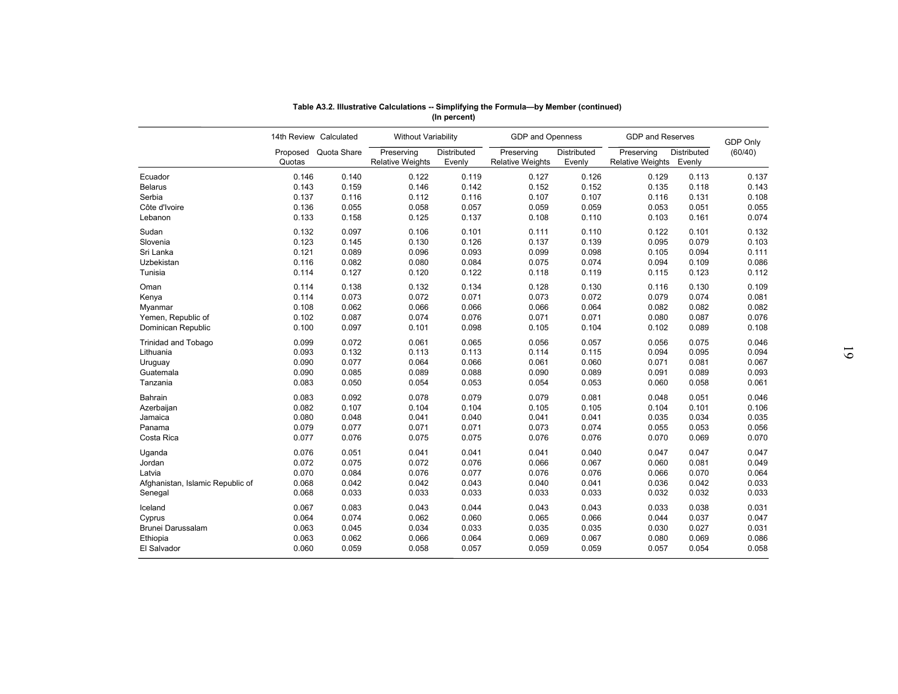|                                  |                        |                      |                                       | (In percent)          |                                       |                       |                                       |             |                 |
|----------------------------------|------------------------|----------------------|---------------------------------------|-----------------------|---------------------------------------|-----------------------|---------------------------------------|-------------|-----------------|
|                                  | 14th Review Calculated |                      | <b>Without Variability</b>            |                       | <b>GDP</b> and Openness               |                       | <b>GDP and Reserves</b>               |             | <b>GDP Only</b> |
|                                  | Quotas                 | Proposed Quota Share | Preserving<br><b>Relative Weights</b> | Distributed<br>Evenly | Preserving<br><b>Relative Weights</b> | Distributed<br>Evenly | Preserving<br>Relative Weights Evenly | Distributed | (60/40)         |
| Ecuador                          | 0.146                  | 0.140                | 0.122                                 | 0.119                 | 0.127                                 | 0.126                 | 0.129                                 | 0.113       | 0.137           |
| <b>Belarus</b>                   | 0.143                  | 0.159                | 0.146                                 | 0.142                 | 0.152                                 | 0.152                 | 0.135                                 | 0.118       | 0.143           |
| Serbia                           | 0.137                  | 0.116                | 0.112                                 | 0.116                 | 0.107                                 | 0.107                 | 0.116                                 | 0.131       | 0.108           |
| Côte d'Ivoire                    | 0.136                  | 0.055                | 0.058                                 | 0.057                 | 0.059                                 | 0.059                 | 0.053                                 | 0.051       | 0.055           |
| Lebanon                          | 0.133                  | 0.158                | 0.125                                 | 0.137                 | 0.108                                 | 0.110                 | 0.103                                 | 0.161       | 0.074           |
| Sudan                            | 0.132                  | 0.097                | 0.106                                 | 0.101                 | 0.111                                 | 0.110                 | 0.122                                 | 0.101       | 0.132           |
| Slovenia                         | 0.123                  | 0.145                | 0.130                                 | 0.126                 | 0.137                                 | 0.139                 | 0.095                                 | 0.079       | 0.103           |
| Sri Lanka                        | 0.121                  | 0.089                | 0.096                                 | 0.093                 | 0.099                                 | 0.098                 | 0.105                                 | 0.094       | 0.111           |
| Uzbekistan                       | 0.116                  | 0.082                | 0.080                                 | 0.084                 | 0.075                                 | 0.074                 | 0.094                                 | 0.109       | 0.086           |
| Tunisia                          | 0.114                  | 0.127                | 0.120                                 | 0.122                 | 0.118                                 | 0.119                 | 0.115                                 | 0.123       | 0.112           |
| Oman                             | 0.114                  | 0.138                | 0.132                                 | 0.134                 | 0.128                                 | 0.130                 | 0.116                                 | 0.130       | 0.109           |
| Kenya                            | 0.114                  | 0.073                | 0.072                                 | 0.071                 | 0.073                                 | 0.072                 | 0.079                                 | 0.074       | 0.081           |
| Myanmar                          | 0.108                  | 0.062                | 0.066                                 | 0.066                 | 0.066                                 | 0.064                 | 0.082                                 | 0.082       | 0.082           |
| Yemen, Republic of               | 0.102                  | 0.087                | 0.074                                 | 0.076                 | 0.071                                 | 0.071                 | 0.080                                 | 0.087       | 0.076           |
| Dominican Republic               | 0.100                  | 0.097                | 0.101                                 | 0.098                 | 0.105                                 | 0.104                 | 0.102                                 | 0.089       | 0.108           |
| <b>Trinidad and Tobago</b>       | 0.099                  | 0.072                | 0.061                                 | 0.065                 | 0.056                                 | 0.057                 | 0.056                                 | 0.075       | 0.046           |
| Lithuania                        | 0.093                  | 0.132                | 0.113                                 | 0.113                 | 0.114                                 | 0.115                 | 0.094                                 | 0.095       | 0.094           |
| Uruguay                          | 0.090                  | 0.077                | 0.064                                 | 0.066                 | 0.061                                 | 0.060                 | 0.071                                 | 0.081       | 0.067           |
| Guatemala                        | 0.090                  | 0.085                | 0.089                                 | 0.088                 | 0.090                                 | 0.089                 | 0.091                                 | 0.089       | 0.093           |
| Tanzania                         | 0.083                  | 0.050                | 0.054                                 | 0.053                 | 0.054                                 | 0.053                 | 0.060                                 | 0.058       | 0.061           |
| Bahrain                          | 0.083                  | 0.092                | 0.078                                 | 0.079                 | 0.079                                 | 0.081                 | 0.048                                 | 0.051       | 0.046           |
| Azerbaijan                       | 0.082                  | 0.107                | 0.104                                 | 0.104                 | 0.105                                 | 0.105                 | 0.104                                 | 0.101       | 0.106           |
| Jamaica                          | 0.080                  | 0.048                | 0.041                                 | 0.040                 | 0.041                                 | 0.041                 | 0.035                                 | 0.034       | 0.035           |
| Panama                           | 0.079                  | 0.077                | 0.071                                 | 0.071                 | 0.073                                 | 0.074                 | 0.055                                 | 0.053       | 0.056           |
| Costa Rica                       | 0.077                  | 0.076                | 0.075                                 | 0.075                 | 0.076                                 | 0.076                 | 0.070                                 | 0.069       | 0.070           |
|                                  |                        |                      |                                       |                       |                                       |                       |                                       |             |                 |
| Uganda                           | 0.076                  | 0.051                | 0.041                                 | 0.041                 | 0.041                                 | 0.040                 | 0.047                                 | 0.047       | 0.047           |
| Jordan                           | 0.072                  | 0.075                | 0.072                                 | 0.076                 | 0.066                                 | 0.067                 | 0.060                                 | 0.081       | 0.049           |
| Latvia                           | 0.070                  | 0.084                | 0.076                                 | 0.077                 | 0.076                                 | 0.076                 | 0.066                                 | 0.070       | 0.064           |
| Afghanistan, Islamic Republic of | 0.068                  | 0.042                | 0.042                                 | 0.043                 | 0.040                                 | 0.041                 | 0.036                                 | 0.042       | 0.033           |
| Senegal                          | 0.068                  | 0.033                | 0.033                                 | 0.033                 | 0.033                                 | 0.033                 | 0.032                                 | 0.032       | 0.033           |
| Iceland                          | 0.067                  | 0.083                | 0.043                                 | 0.044                 | 0.043                                 | 0.043                 | 0.033                                 | 0.038       | 0.031           |
| Cyprus                           | 0.064                  | 0.074                | 0.062                                 | 0.060                 | 0.065                                 | 0.066                 | 0.044                                 | 0.037       | 0.047           |
| Brunei Darussalam                | 0.063                  | 0.045                | 0.034                                 | 0.033                 | 0.035                                 | 0.035                 | 0.030                                 | 0.027       | 0.031           |
| Ethiopia                         | 0.063                  | 0.062                | 0.066                                 | 0.064                 | 0.069                                 | 0.067                 | 0.080                                 | 0.069       | 0.086           |
| El Salvador                      | 0.060                  | 0.059                | 0.058                                 | 0.057                 | 0.059                                 | 0.059                 | 0.057                                 | 0.054       | 0.058           |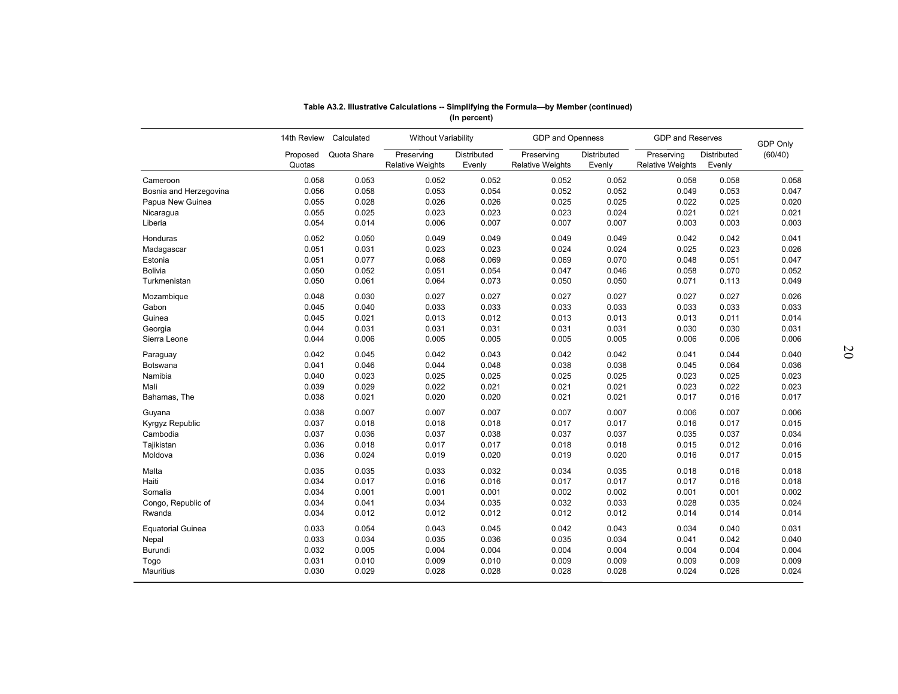|                          |                    | 14th Review Calculated | Without Variability                   |                       | GDP and Openness                      |                       | <b>GDP and Reserves</b>               |                       | <b>GDP Only</b> |
|--------------------------|--------------------|------------------------|---------------------------------------|-----------------------|---------------------------------------|-----------------------|---------------------------------------|-----------------------|-----------------|
|                          | Proposed<br>Quotas | Quota Share            | Preserving<br><b>Relative Weights</b> | Distributed<br>Evenly | Preserving<br><b>Relative Weights</b> | Distributed<br>Evenly | Preserving<br><b>Relative Weights</b> | Distributed<br>Evenly | (60/40)         |
| Cameroon                 | 0.058              | 0.053                  | 0.052                                 | 0.052                 | 0.052                                 | 0.052                 | 0.058                                 | 0.058                 | 0.058           |
| Bosnia and Herzegovina   | 0.056              | 0.058                  | 0.053                                 | 0.054                 | 0.052                                 | 0.052                 | 0.049                                 | 0.053                 | 0.047           |
| Papua New Guinea         | 0.055              | 0.028                  | 0.026                                 | 0.026                 | 0.025                                 | 0.025                 | 0.022                                 | 0.025                 | 0.020           |
| Nicaragua                | 0.055              | 0.025                  | 0.023                                 | 0.023                 | 0.023                                 | 0.024                 | 0.021                                 | 0.021                 | 0.021           |
| Liberia                  | 0.054              | 0.014                  | 0.006                                 | 0.007                 | 0.007                                 | 0.007                 | 0.003                                 | 0.003                 | 0.003           |
| Honduras                 | 0.052              | 0.050                  | 0.049                                 | 0.049                 | 0.049                                 | 0.049                 | 0.042                                 | 0.042                 | 0.041           |
| Madagascar               | 0.051              | 0.031                  | 0.023                                 | 0.023                 | 0.024                                 | 0.024                 | 0.025                                 | 0.023                 | 0.026           |
| Estonia                  | 0.051              | 0.077                  | 0.068                                 | 0.069                 | 0.069                                 | 0.070                 | 0.048                                 | 0.051                 | 0.047           |
| <b>Bolivia</b>           | 0.050              | 0.052                  | 0.051                                 | 0.054                 | 0.047                                 | 0.046                 | 0.058                                 | 0.070                 | 0.052           |
| Turkmenistan             | 0.050              | 0.061                  | 0.064                                 | 0.073                 | 0.050                                 | 0.050                 | 0.071                                 | 0.113                 | 0.049           |
| Mozambique               | 0.048              | 0.030                  | 0.027                                 | 0.027                 | 0.027                                 | 0.027                 | 0.027                                 | 0.027                 | 0.026           |
| Gabon                    | 0.045              | 0.040                  | 0.033                                 | 0.033                 | 0.033                                 | 0.033                 | 0.033                                 | 0.033                 | 0.033           |
| Guinea                   | 0.045              | 0.021                  | 0.013                                 | 0.012                 | 0.013                                 | 0.013                 | 0.013                                 | 0.011                 | 0.014           |
| Georgia                  | 0.044              | 0.031                  | 0.031                                 | 0.031                 | 0.031                                 | 0.031                 | 0.030                                 | 0.030                 | 0.031           |
| Sierra Leone             | 0.044              | 0.006                  | 0.005                                 | 0.005                 | 0.005                                 | 0.005                 | 0.006                                 | 0.006                 | 0.006           |
| Paraguay                 | 0.042              | 0.045                  | 0.042                                 | 0.043                 | 0.042                                 | 0.042                 | 0.041                                 | 0.044                 | 0.040           |
| Botswana                 | 0.041              | 0.046                  | 0.044                                 | 0.048                 | 0.038                                 | 0.038                 | 0.045                                 | 0.064                 | 0.036           |
| Namibia                  | 0.040              | 0.023                  | 0.025                                 | 0.025                 | 0.025                                 | 0.025                 | 0.023                                 | 0.025                 | 0.023           |
| Mali                     | 0.039              | 0.029                  | 0.022                                 | 0.021                 | 0.021                                 | 0.021                 | 0.023                                 | 0.022                 | 0.023           |
| Bahamas, The             | 0.038              | 0.021                  | 0.020                                 | 0.020                 | 0.021                                 | 0.021                 | 0.017                                 | 0.016                 | 0.017           |
| Guyana                   | 0.038              | 0.007                  | 0.007                                 | 0.007                 | 0.007                                 | 0.007                 | 0.006                                 | 0.007                 | 0.006           |
| Kyrgyz Republic          | 0.037              | 0.018                  | 0.018                                 | 0.018                 | 0.017                                 | 0.017                 | 0.016                                 | 0.017                 | 0.015           |
| Cambodia                 | 0.037              | 0.036                  | 0.037                                 | 0.038                 | 0.037                                 | 0.037                 | 0.035                                 | 0.037                 | 0.034           |
| Tajikistan               | 0.036              | 0.018                  | 0.017                                 | 0.017                 | 0.018                                 | 0.018                 | 0.015                                 | 0.012                 | 0.016           |
| Moldova                  | 0.036              | 0.024                  | 0.019                                 | 0.020                 | 0.019                                 | 0.020                 | 0.016                                 | 0.017                 | 0.015           |
| Malta                    | 0.035              | 0.035                  | 0.033                                 | 0.032                 | 0.034                                 | 0.035                 | 0.018                                 | 0.016                 | 0.018           |
| Haiti                    | 0.034              | 0.017                  | 0.016                                 | 0.016                 | 0.017                                 | 0.017                 | 0.017                                 | 0.016                 | 0.018           |
| Somalia                  | 0.034              | 0.001                  | 0.001                                 | 0.001                 | 0.002                                 | 0.002                 | 0.001                                 | 0.001                 | 0.002           |
| Congo, Republic of       | 0.034              | 0.041                  | 0.034                                 | 0.035                 | 0.032                                 | 0.033                 | 0.028                                 | 0.035                 | 0.024           |
| Rwanda                   | 0.034              | 0.012                  | 0.012                                 | 0.012                 | 0.012                                 | 0.012                 | 0.014                                 | 0.014                 | 0.014           |
| <b>Equatorial Guinea</b> | 0.033              | 0.054                  | 0.043                                 | 0.045                 | 0.042                                 | 0.043                 | 0.034                                 | 0.040                 | 0.031           |
| Nepal                    | 0.033              | 0.034                  | 0.035                                 | 0.036                 | 0.035                                 | 0.034                 | 0.041                                 | 0.042                 | 0.040           |
| Burundi                  | 0.032              | 0.005                  | 0.004                                 | 0.004                 | 0.004                                 | 0.004                 | 0.004                                 | 0.004                 | 0.004           |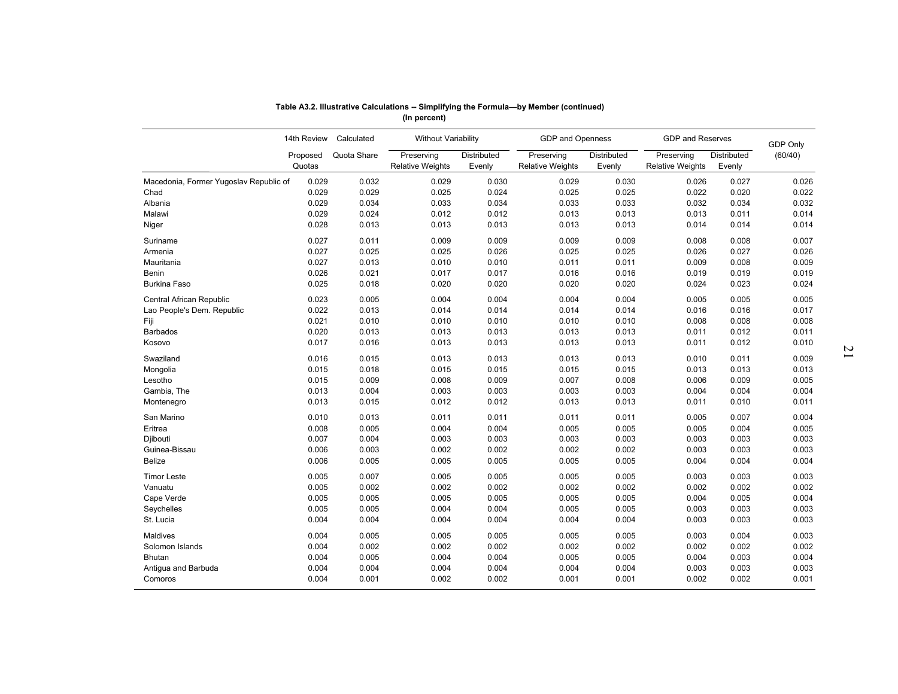|                                        | 14th Review        | Calculated  | Without Variability                   |                       | GDP and Openness                      |                       | <b>GDP and Reserves</b>               |                       |                            |
|----------------------------------------|--------------------|-------------|---------------------------------------|-----------------------|---------------------------------------|-----------------------|---------------------------------------|-----------------------|----------------------------|
|                                        | Proposed<br>Quotas | Quota Share | Preserving<br><b>Relative Weights</b> | Distributed<br>Evenly | Preserving<br><b>Relative Weights</b> | Distributed<br>Evenly | Preserving<br><b>Relative Weights</b> | Distributed<br>Evenly | <b>GDP Only</b><br>(60/40) |
| Macedonia, Former Yugoslav Republic of | 0.029              | 0.032       | 0.029                                 | 0.030                 | 0.029                                 | 0.030                 | 0.026                                 | 0.027                 | 0.026                      |
| Chad                                   | 0.029              | 0.029       | 0.025                                 | 0.024                 | 0.025                                 | 0.025                 | 0.022                                 | 0.020                 | 0.022                      |
| Albania                                | 0.029              | 0.034       | 0.033                                 | 0.034                 | 0.033                                 | 0.033                 | 0.032                                 | 0.034                 | 0.032                      |
| Malawi                                 | 0.029              | 0.024       | 0.012                                 | 0.012                 | 0.013                                 | 0.013                 | 0.013                                 | 0.011                 | 0.014                      |
| Niger                                  | 0.028              | 0.013       | 0.013                                 | 0.013                 | 0.013                                 | 0.013                 | 0.014                                 | 0.014                 | 0.014                      |
| Suriname                               | 0.027              | 0.011       | 0.009                                 | 0.009                 | 0.009                                 | 0.009                 | 0.008                                 | 0.008                 | 0.007                      |
| Armenia                                | 0.027              | 0.025       | 0.025                                 | 0.026                 | 0.025                                 | 0.025                 | 0.026                                 | 0.027                 | 0.026                      |
| Mauritania                             | 0.027              | 0.013       | 0.010                                 | 0.010                 | 0.011                                 | 0.011                 | 0.009                                 | 0.008                 | 0.009                      |
| <b>Benin</b>                           | 0.026              | 0.021       | 0.017                                 | 0.017                 | 0.016                                 | 0.016                 | 0.019                                 | 0.019                 | 0.019                      |
| <b>Burkina Faso</b>                    | 0.025              | 0.018       | 0.020                                 | 0.020                 | 0.020                                 | 0.020                 | 0.024                                 | 0.023                 | 0.024                      |
| Central African Republic               | 0.023              | 0.005       | 0.004                                 | 0.004                 | 0.004                                 | 0.004                 | 0.005                                 | 0.005                 | 0.005                      |
| Lao People's Dem. Republic             | 0.022              | 0.013       | 0.014                                 | 0.014                 | 0.014                                 | 0.014                 | 0.016                                 | 0.016                 | 0.017                      |
| Fiji                                   | 0.021              | 0.010       | 0.010                                 | 0.010                 | 0.010                                 | 0.010                 | 0.008                                 | 0.008                 | 0.008                      |
| Barbados                               | 0.020              | 0.013       | 0.013                                 | 0.013                 | 0.013                                 | 0.013                 | 0.011                                 | 0.012                 | 0.011                      |
| Kosovo                                 | 0.017              | 0.016       | 0.013                                 | 0.013                 | 0.013                                 | 0.013                 | 0.011                                 | 0.012                 | 0.010                      |
| Swaziland                              | 0.016              | 0.015       | 0.013                                 | 0.013                 | 0.013                                 | 0.013                 | 0.010                                 | 0.011                 | 0.009                      |
| Mongolia                               | 0.015              | 0.018       | 0.015                                 | 0.015                 | 0.015                                 | 0.015                 | 0.013                                 | 0.013                 | 0.013                      |
| Lesotho                                | 0.015              | 0.009       | 0.008                                 | 0.009                 | 0.007                                 | 0.008                 | 0.006                                 | 0.009                 | 0.005                      |
| Gambia, The                            | 0.013              | 0.004       | 0.003                                 | 0.003                 | 0.003                                 | 0.003                 | 0.004                                 | 0.004                 | 0.004                      |
| Montenegro                             | 0.013              | 0.015       | 0.012                                 | 0.012                 | 0.013                                 | 0.013                 | 0.011                                 | 0.010                 | 0.011                      |
| San Marino                             | 0.010              | 0.013       | 0.011                                 | 0.011                 | 0.011                                 | 0.011                 | 0.005                                 | 0.007                 | 0.004                      |
| Eritrea                                | 0.008              | 0.005       | 0.004                                 | 0.004                 | 0.005                                 | 0.005                 | 0.005                                 | 0.004                 | 0.005                      |
| Djibouti                               | 0.007              | 0.004       | 0.003                                 | 0.003                 | 0.003                                 | 0.003                 | 0.003                                 | 0.003                 | 0.003                      |
| Guinea-Bissau                          | 0.006              | 0.003       | 0.002                                 | 0.002                 | 0.002                                 | 0.002                 | 0.003                                 | 0.003                 | 0.003                      |
| Belize                                 | 0.006              | 0.005       | 0.005                                 | 0.005                 | 0.005                                 | 0.005                 | 0.004                                 | 0.004                 | 0.004                      |
| <b>Timor Leste</b>                     | 0.005              | 0.007       | 0.005                                 | 0.005                 | 0.005                                 | 0.005                 | 0.003                                 | 0.003                 | 0.003                      |
| Vanuatu                                | 0.005              | 0.002       | 0.002                                 | 0.002                 | 0.002                                 | 0.002                 | 0.002                                 | 0.002                 | 0.002                      |
| Cape Verde                             | 0.005              | 0.005       | 0.005                                 | 0.005                 | 0.005                                 | 0.005                 | 0.004                                 | 0.005                 | 0.004                      |
| Seychelles                             | 0.005              | 0.005       | 0.004                                 | 0.004                 | 0.005                                 | 0.005                 | 0.003                                 | 0.003                 | 0.003                      |
| St. Lucia                              | 0.004              | 0.004       | 0.004                                 | 0.004                 | 0.004                                 | 0.004                 | 0.003                                 | 0.003                 | 0.003                      |
| Maldives                               | 0.004              | 0.005       | 0.005                                 | 0.005                 | 0.005                                 | 0.005                 | 0.003                                 | 0.004                 | 0.003                      |
| Solomon Islands                        | 0.004              | 0.002       | 0.002                                 | 0.002                 | 0.002                                 | 0.002                 | 0.002                                 | 0.002                 | 0.002                      |
| Bhutan                                 | 0.004              | 0.005       | 0.004                                 | 0.004                 | 0.005                                 | 0.005                 | 0.004                                 | 0.003                 | 0.004                      |
| Antigua and Barbuda                    | 0.004              | 0.004       | 0.004                                 | 0.004                 | 0.004                                 | 0.004                 | 0.003                                 | 0.003                 | 0.003                      |
| Comoros                                | 0.004              | 0.001       | 0.002                                 | 0.002                 | 0.001                                 | 0.001                 | 0.002                                 | 0.002                 | 0.001                      |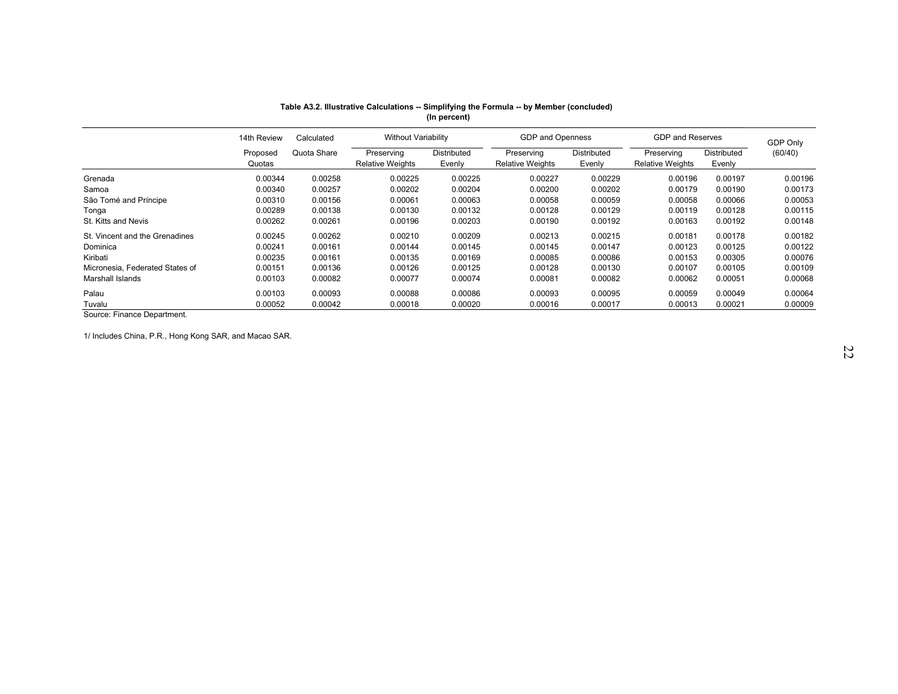|                                 |                    |             |                                       |                       | Table A3.2. Illustrative Calculations -- Simplifying the Formula -- by Member (concluded) |                       |                                       |                       |                 |
|---------------------------------|--------------------|-------------|---------------------------------------|-----------------------|-------------------------------------------------------------------------------------------|-----------------------|---------------------------------------|-----------------------|-----------------|
|                                 |                    |             |                                       | (In percent)          |                                                                                           |                       |                                       |                       |                 |
|                                 | 14th Review        | Calculated  | <b>Without Variability</b>            |                       | GDP and Openness                                                                          |                       | <b>GDP and Reserves</b>               |                       | <b>GDP Only</b> |
|                                 | Proposed<br>Quotas | Quota Share | Preserving<br><b>Relative Weights</b> | Distributed<br>Evenly | Preserving<br><b>Relative Weights</b>                                                     | Distributed<br>Evenly | Preserving<br><b>Relative Weights</b> | Distributed<br>Evenly | (60/40)         |
| Grenada                         | 0.00344            | 0.00258     | 0.00225                               | 0.00225               | 0.00227                                                                                   | 0.00229               | 0.00196                               | 0.00197               | 0.00196         |
| Samoa                           | 0.00340            | 0.00257     | 0.00202                               | 0.00204               | 0.00200                                                                                   | 0.00202               | 0.00179                               | 0.00190               | 0.00173         |
| São Tomé and Príncipe           | 0.00310            | 0.00156     | 0.00061                               | 0.00063               | 0.00058                                                                                   | 0.00059               | 0.00058                               | 0.00066               | 0.00053         |
| Tonga                           | 0.00289            | 0.00138     | 0.00130                               | 0.00132               | 0.00128                                                                                   | 0.00129               | 0.00119                               | 0.00128               | 0.00115         |
| St. Kitts and Nevis             | 0.00262            | 0.00261     | 0.00196                               | 0.00203               | 0.00190                                                                                   | 0.00192               | 0.00163                               | 0.00192               | 0.00148         |
| St. Vincent and the Grenadines  | 0.00245            | 0.00262     | 0.00210                               | 0.00209               | 0.00213                                                                                   | 0.00215               | 0.00181                               | 0.00178               | 0.00182         |
| Dominica                        | 0.00241            | 0.00161     | 0.00144                               | 0.00145               | 0.00145                                                                                   | 0.00147               | 0.00123                               | 0.00125               | 0.00122         |
| Kiribati                        | 0.00235            | 0.00161     | 0.00135                               | 0.00169               | 0.00085                                                                                   | 0.00086               | 0.00153                               | 0.00305               | 0.00076         |
| Micronesia, Federated States of | 0.00151            | 0.00136     | 0.00126                               | 0.00125               | 0.00128                                                                                   | 0.00130               | 0.00107                               | 0.00105               | 0.00109         |
| Marshall Islands                | 0.00103            | 0.00082     | 0.00077                               | 0.00074               | 0.00081                                                                                   | 0.00082               | 0.00062                               | 0.00051               | 0.00068         |
| Palau                           | 0.00103            | 0.00093     | 0.00088                               | 0.00086               | 0.00093                                                                                   | 0.00095               | 0.00059                               | 0.00049               | 0.00064         |
| Tuvalu                          | 0.00052            | 0.00042     | 0.00018                               | 0.00020               | 0.00016                                                                                   | 0.00017               | 0.00013                               | 0.00021               | 0.00009         |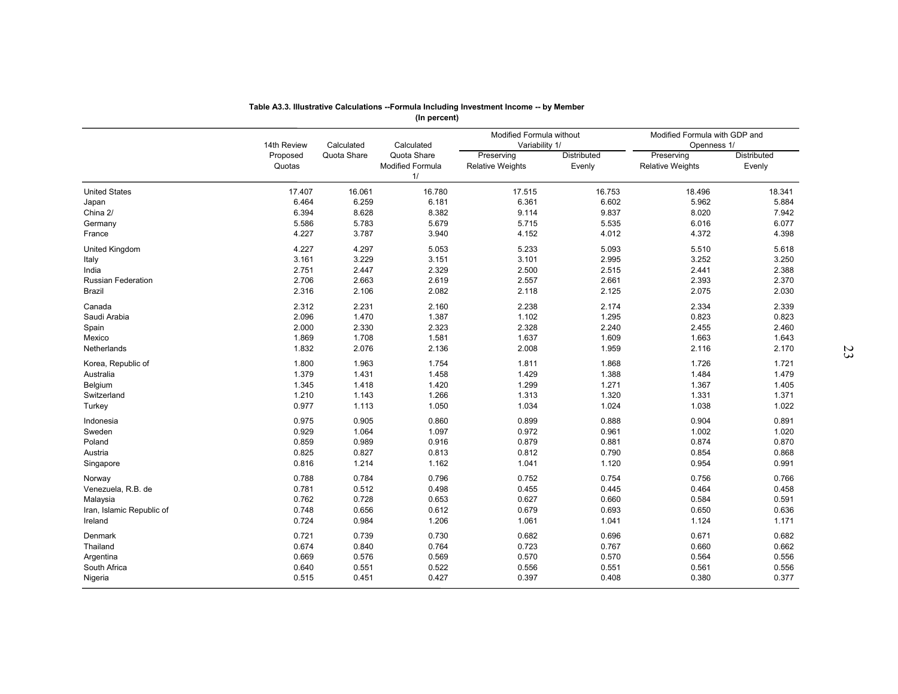|                           |                |                | (In percent)           | Table A3.3. Illustrative Calculations --Formula Including Investment Income -- by Member |                |                               |                |    |
|---------------------------|----------------|----------------|------------------------|------------------------------------------------------------------------------------------|----------------|-------------------------------|----------------|----|
|                           |                |                |                        |                                                                                          |                |                               |                |    |
|                           |                |                |                        | Modified Formula without                                                                 |                | Modified Formula with GDP and |                |    |
|                           | 14th Review    | Calculated     | Calculated             | Variability 1/                                                                           |                | Openness 1/                   |                |    |
|                           | Proposed       | Quota Share    | Quota Share            | Preserving                                                                               | Distributed    | Preserving                    | Distributed    |    |
|                           | Quotas         |                | Modified Formula<br>1/ | <b>Relative Weights</b>                                                                  | Evenly         | <b>Relative Weights</b>       | Evenly         |    |
|                           |                |                |                        |                                                                                          |                |                               |                |    |
| <b>United States</b>      | 17.407         | 16.061         | 16.780                 | 17.515                                                                                   | 16.753         | 18.496                        | 18.341         |    |
| Japan                     | 6.464          | 6.259          | 6.181                  | 6.361                                                                                    | 6.602          | 5.962                         | 5.884          |    |
| China 2/                  | 6.394          | 8.628          | 8.382                  | 9.114                                                                                    | 9.837          | 8.020                         | 7.942          |    |
| Germany                   | 5.586          | 5.783          | 5.679                  | 5.715                                                                                    | 5.535          | 6.016                         | 6.077          |    |
| France                    | 4.227          | 3.787          | 3.940                  | 4.152                                                                                    | 4.012          | 4.372                         | 4.398          |    |
| United Kingdom            | 4.227          | 4.297          | 5.053                  | 5.233                                                                                    | 5.093          | 5.510                         | 5.618          |    |
| Italy                     | 3.161          | 3.229          | 3.151                  | 3.101                                                                                    | 2.995          | 3.252                         | 3.250          |    |
| India                     | 2.751          | 2.447          | 2.329                  | 2.500                                                                                    | 2.515          | 2.441                         | 2.388          |    |
| <b>Russian Federation</b> | 2.706          | 2.663          | 2.619                  | 2.557                                                                                    | 2.661          | 2.393                         | 2.370          |    |
| Brazil                    | 2.316          | 2.106          | 2.082                  | 2.118                                                                                    | 2.125          | 2.075                         | 2.030          |    |
| Canada                    | 2.312          | 2.231          | 2.160                  | 2.238                                                                                    | 2.174          | 2.334                         | 2.339          |    |
| Saudi Arabia              | 2.096          | 1.470          | 1.387                  | 1.102                                                                                    | 1.295          | 0.823                         | 0.823          |    |
| Spain                     | 2.000          | 2.330          | 2.323                  | 2.328                                                                                    | 2.240          | 2.455                         | 2.460          |    |
| Mexico                    | 1.869          | 1.708          | 1.581                  | 1.637                                                                                    | 1.609          | 1.663                         | 1.643          |    |
| Netherlands               | 1.832          | 2.076          | 2.136                  | 2.008                                                                                    | 1.959          | 2.116                         | 2.170          | 23 |
|                           |                |                |                        |                                                                                          |                |                               |                |    |
| Korea, Republic of        | 1.800          | 1.963          | 1.754                  | 1.811                                                                                    | 1.868          | 1.726                         | 1.721          |    |
| Australia                 | 1.379          | 1.431          | 1.458                  | 1.429                                                                                    | 1.388          | 1.484                         | 1.479          |    |
| Belgium<br>Switzerland    | 1.345<br>1.210 | 1.418<br>1.143 | 1.420<br>1.266         | 1.299<br>1.313                                                                           | 1.271<br>1.320 | 1.367<br>1.331                | 1.405<br>1.371 |    |
| Turkey                    | 0.977          | 1.113          | 1.050                  | 1.034                                                                                    | 1.024          | 1.038                         | 1.022          |    |
|                           |                |                |                        |                                                                                          |                |                               |                |    |
| Indonesia                 | 0.975          | 0.905          | 0.860                  | 0.899                                                                                    | 0.888          | 0.904                         | 0.891          |    |
| Sweden                    | 0.929          | 1.064          | 1.097                  | 0.972                                                                                    | 0.961          | 1.002                         | 1.020          |    |
| Poland                    | 0.859          | 0.989          | 0.916                  | 0.879                                                                                    | 0.881          | 0.874                         | 0.870          |    |
| Austria                   | 0.825          | 0.827          | 0.813                  | 0.812                                                                                    | 0.790          | 0.854                         | 0.868          |    |
| Singapore                 | 0.816          | 1.214          | 1.162                  | 1.041                                                                                    | 1.120          | 0.954                         | 0.991          |    |
| Norway                    | 0.788          | 0.784          | 0.796                  | 0.752                                                                                    | 0.754          | 0.756                         | 0.766          |    |
| Venezuela, R.B. de        | 0.781          | 0.512          | 0.498                  | 0.455                                                                                    | 0.445          | 0.464                         | 0.458          |    |
| Malaysia                  | 0.762          | 0.728          | 0.653                  | 0.627                                                                                    | 0.660          | 0.584                         | 0.591          |    |
| Iran, Islamic Republic of | 0.748          | 0.656          | 0.612                  | 0.679                                                                                    | 0.693          | 0.650                         | 0.636          |    |
| Ireland                   | 0.724          | 0.984          | 1.206                  | 1.061                                                                                    | 1.041          | 1.124                         | 1.171          |    |
| Denmark                   | 0.721          | 0.739          | 0.730                  | 0.682                                                                                    | 0.696          | 0.671                         | 0.682          |    |
| Thailand                  | 0.674          | 0.840          | 0.764                  | 0.723                                                                                    | 0.767          | 0.660                         | 0.662          |    |
| Argentina                 | 0.669          | 0.576          | 0.569                  | 0.570                                                                                    | 0.570          | 0.564                         | 0.556          |    |
| South Africa              | 0.640          | 0.551          | 0.522                  | 0.556                                                                                    | 0.551          | 0.561                         | 0.556          |    |
| Nigeria                   | 0.515          | 0.451          | 0.427                  | 0.397                                                                                    | 0.408          | 0.380                         | 0.377          |    |
|                           |                |                |                        |                                                                                          |                |                               |                |    |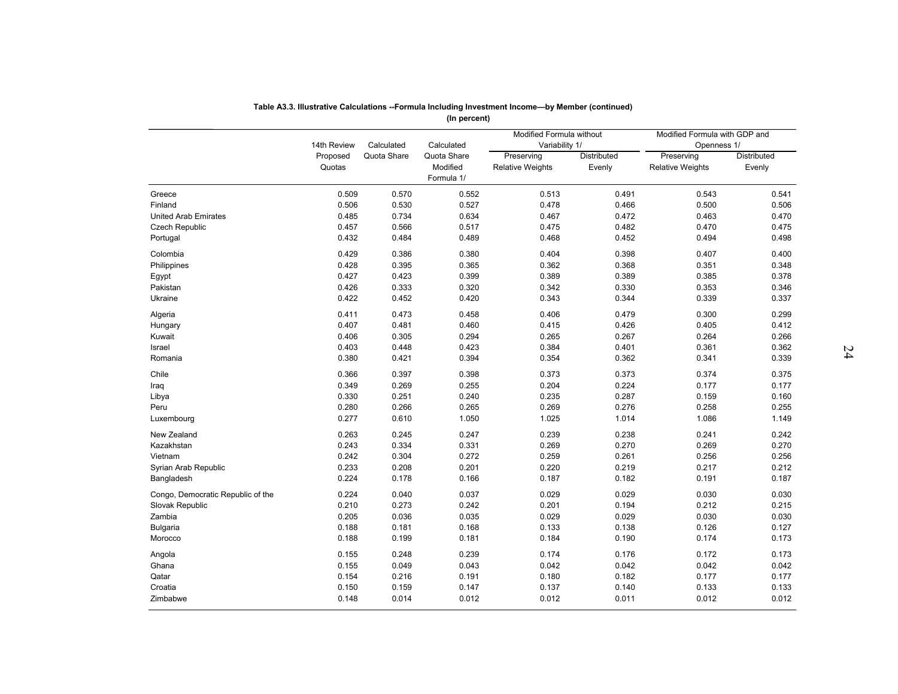|                                   |                    |             | (In percent)                          | Modified Formula without              |                       | Modified Formula with GDP and         |                              |
|-----------------------------------|--------------------|-------------|---------------------------------------|---------------------------------------|-----------------------|---------------------------------------|------------------------------|
|                                   | 14th Review        | Calculated  | Calculated                            | Variability 1/                        |                       | Openness 1/                           |                              |
|                                   | Proposed<br>Quotas | Quota Share | Quota Share<br>Modified<br>Formula 1/ | Preserving<br><b>Relative Weights</b> | Distributed<br>Evenly | Preserving<br><b>Relative Weights</b> | <b>Distributed</b><br>Evenly |
| Greece                            | 0.509              | 0.570       | 0.552                                 | 0.513                                 | 0.491                 | 0.543                                 | 0.541                        |
| Finland                           | 0.506              | 0.530       | 0.527                                 | 0.478                                 | 0.466                 | 0.500                                 | 0.506                        |
| <b>United Arab Emirates</b>       | 0.485              | 0.734       | 0.634                                 | 0.467                                 | 0.472                 | 0.463                                 | 0.470                        |
| <b>Czech Republic</b>             | 0.457              | 0.566       | 0.517                                 | 0.475                                 | 0.482                 | 0.470                                 | 0.475                        |
| Portugal                          | 0.432              | 0.484       | 0.489                                 | 0.468                                 | 0.452                 | 0.494                                 | 0.498                        |
| Colombia                          | 0.429              | 0.386       | 0.380                                 | 0.404                                 | 0.398                 | 0.407                                 | 0.400                        |
| Philippines                       | 0.428              | 0.395       | 0.365                                 | 0.362                                 | 0.368                 | 0.351                                 | 0.348                        |
| Egypt                             | 0.427              | 0.423       | 0.399                                 | 0.389                                 | 0.389                 | 0.385                                 | 0.378                        |
| Pakistan                          | 0.426              | 0.333       | 0.320                                 | 0.342                                 | 0.330                 | 0.353                                 | 0.346                        |
| Ukraine                           | 0.422              | 0.452       | 0.420                                 | 0.343                                 | 0.344                 | 0.339                                 | 0.337                        |
| Algeria                           | 0.411              | 0.473       | 0.458                                 | 0.406                                 | 0.479                 | 0.300                                 | 0.299                        |
| Hungary                           | 0.407              | 0.481       | 0.460                                 | 0.415                                 | 0.426                 | 0.405                                 | 0.412                        |
| Kuwait                            | 0.406              | 0.305       | 0.294                                 | 0.265                                 | 0.267                 | 0.264                                 | 0.266                        |
| Israel                            | 0.403              | 0.448       | 0.423                                 | 0.384                                 | 0.401                 | 0.361                                 | 0.362                        |
| Romania                           | 0.380              | 0.421       | 0.394                                 | 0.354                                 | 0.362                 | 0.341                                 | 0.339                        |
| Chile                             | 0.366              | 0.397       | 0.398                                 | 0.373                                 | 0.373                 | 0.374                                 | 0.375                        |
| Iraq                              | 0.349              | 0.269       | 0.255                                 | 0.204                                 | 0.224                 | 0.177                                 | 0.177                        |
| Libya                             | 0.330              | 0.251       | 0.240                                 | 0.235                                 | 0.287                 | 0.159                                 | 0.160                        |
| Peru                              | 0.280              | 0.266       | 0.265                                 | 0.269                                 | 0.276                 | 0.258                                 | 0.255                        |
| Luxembourg                        | 0.277              | 0.610       | 1.050                                 | 1.025                                 | 1.014                 | 1.086                                 | 1.149                        |
| New Zealand                       | 0.263              | 0.245       | 0.247                                 | 0.239                                 | 0.238                 | 0.241                                 | 0.242                        |
| Kazakhstan                        | 0.243              | 0.334       | 0.331                                 | 0.269                                 | 0.270                 | 0.269                                 | 0.270                        |
| Vietnam                           | 0.242              | 0.304       | 0.272                                 | 0.259                                 | 0.261                 | 0.256                                 | 0.256                        |
| Syrian Arab Republic              | 0.233              | 0.208       | 0.201                                 | 0.220                                 | 0.219                 | 0.217                                 | 0.212                        |
| Bangladesh                        | 0.224              | 0.178       | 0.166                                 | 0.187                                 | 0.182                 | 0.191                                 | 0.187                        |
| Congo, Democratic Republic of the | 0.224              | 0.040       | 0.037                                 | 0.029                                 | 0.029                 | 0.030                                 | 0.030                        |
| Slovak Republic                   | 0.210              | 0.273       | 0.242                                 | 0.201                                 | 0.194                 | 0.212                                 | 0.215                        |
| Zambia                            | 0.205              | 0.036       | 0.035                                 | 0.029                                 | 0.029                 | 0.030                                 | 0.030                        |
| Bulgaria                          | 0.188              | 0.181       | 0.168                                 | 0.133                                 | 0.138                 | 0.126                                 | 0.127                        |
| Morocco                           | 0.188              | 0.199       | 0.181                                 | 0.184                                 | 0.190                 | 0.174                                 | 0.173                        |
| Angola                            | 0.155              | 0.248       | 0.239                                 | 0.174                                 | 0.176                 | 0.172                                 | 0.173                        |
| Ghana                             | 0.155              | 0.049       | 0.043                                 | 0.042                                 | 0.042                 | 0.042                                 | 0.042                        |
| Qatar                             | 0.154              | 0.216       | 0.191                                 | 0.180                                 | 0.182                 | 0.177                                 | 0.177                        |
| Croatia                           | 0.150              | 0.159       | 0.147                                 | 0.137                                 | 0.140                 | 0.133                                 | 0.133                        |
| Zimbabwe                          | 0.148              | 0.014       | 0.012                                 | 0.012                                 | 0.011                 | 0.012                                 | 0.012                        |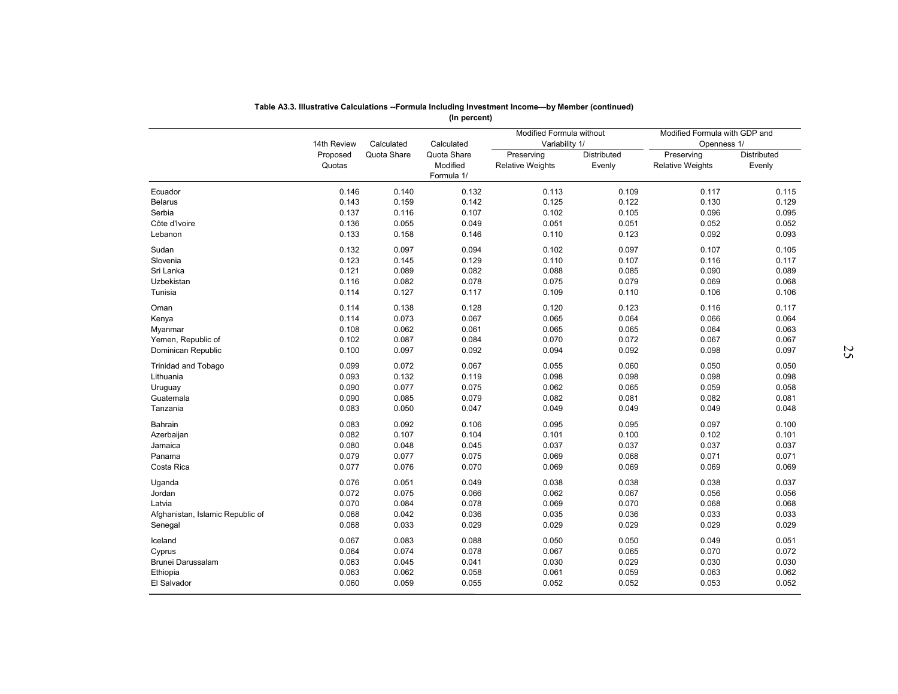|                                  | 14th Review        | Calculated     | Calculated                            | Modified Formula without<br>Variability 1/ |                       | Modified Formula with GDP and<br>Openness 1/ |                       |
|----------------------------------|--------------------|----------------|---------------------------------------|--------------------------------------------|-----------------------|----------------------------------------------|-----------------------|
|                                  | Proposed<br>Quotas | Quota Share    | Quota Share<br>Modified<br>Formula 1/ | Preserving<br><b>Relative Weights</b>      | Distributed<br>Evenly | Preserving<br><b>Relative Weights</b>        | Distributed<br>Evenly |
| Ecuador                          | 0.146              | 0.140          | 0.132                                 | 0.113                                      | 0.109                 | 0.117                                        | 0.115                 |
| <b>Belarus</b>                   | 0.143              | 0.159          | 0.142                                 | 0.125                                      | 0.122                 | 0.130                                        | 0.129                 |
| Serbia                           | 0.137              | 0.116          | 0.107                                 | 0.102                                      | 0.105                 | 0.096                                        | 0.095                 |
| Côte d'Ivoire                    | 0.136              | 0.055          | 0.049                                 | 0.051                                      | 0.051                 | 0.052                                        | 0.052                 |
| Lebanon                          | 0.133              | 0.158          | 0.146                                 | 0.110                                      | 0.123                 | 0.092                                        | 0.093                 |
| Sudan                            | 0.132              | 0.097          | 0.094                                 | 0.102                                      | 0.097                 | 0.107                                        | 0.105                 |
| Slovenia                         | 0.123              | 0.145          | 0.129                                 | 0.110                                      | 0.107                 | 0.116                                        | 0.117                 |
| Sri Lanka                        | 0.121              | 0.089          | 0.082                                 | 0.088                                      | 0.085                 | 0.090                                        | 0.089                 |
| Uzbekistan                       | 0.116              | 0.082          | 0.078                                 | 0.075                                      | 0.079                 | 0.069                                        | 0.068                 |
| Tunisia                          | 0.114              | 0.127          | 0.117                                 | 0.109                                      | 0.110                 | 0.106                                        | 0.106                 |
| Oman                             | 0.114              | 0.138          | 0.128                                 | 0.120                                      | 0.123                 | 0.116                                        | 0.117                 |
| Kenya                            | 0.114              | 0.073          | 0.067                                 | 0.065                                      | 0.064                 | 0.066                                        | 0.064                 |
| Myanmar                          | 0.108              | 0.062          | 0.061                                 | 0.065                                      | 0.065                 | 0.064                                        | 0.063                 |
| Yemen, Republic of               | 0.102              | 0.087          | 0.084                                 | 0.070                                      | 0.072                 | 0.067                                        | 0.067                 |
| Dominican Republic               | 0.100              | 0.097          | 0.092                                 | 0.094                                      | 0.092                 | 0.098                                        | 0.097                 |
| Trinidad and Tobago              | 0.099              | 0.072          | 0.067                                 | 0.055                                      | 0.060                 | 0.050                                        | 0.050                 |
| Lithuania                        | 0.093              | 0.132          | 0.119                                 | 0.098                                      | 0.098                 | 0.098                                        | 0.098                 |
| Uruguay                          | 0.090              | 0.077          | 0.075                                 | 0.062                                      | 0.065                 | 0.059                                        | 0.058                 |
| Guatemala                        | 0.090              | 0.085          | 0.079                                 | 0.082                                      | 0.081                 | 0.082                                        | 0.081                 |
| Tanzania                         | 0.083              | 0.050          | 0.047                                 | 0.049                                      | 0.049                 | 0.049                                        | 0.048                 |
|                                  |                    |                |                                       |                                            |                       |                                              |                       |
| Bahrain                          | 0.083<br>0.082     | 0.092<br>0.107 | 0.106<br>0.104                        | 0.095<br>0.101                             | 0.095<br>0.100        | 0.097<br>0.102                               | 0.100<br>0.101        |
| Azerbaijan<br>Jamaica            | 0.080              | 0.048          | 0.045                                 | 0.037                                      | 0.037                 | 0.037                                        | 0.037                 |
| Panama                           | 0.079              | 0.077          | 0.075                                 | 0.069                                      | 0.068                 | 0.071                                        | 0.071                 |
| Costa Rica                       | 0.077              | 0.076          | 0.070                                 | 0.069                                      | 0.069                 | 0.069                                        | 0.069                 |
|                                  |                    |                |                                       |                                            |                       |                                              |                       |
| Uganda                           | 0.076              | 0.051          | 0.049                                 | 0.038                                      | 0.038                 | 0.038                                        | 0.037                 |
| Jordan                           | 0.072              | 0.075          | 0.066                                 | 0.062                                      | 0.067                 | 0.056                                        | 0.056                 |
| Latvia                           | 0.070              | 0.084          | 0.078                                 | 0.069                                      | 0.070                 | 0.068                                        | 0.068                 |
| Afghanistan, Islamic Republic of | 0.068              | 0.042          | 0.036                                 | 0.035                                      | 0.036                 | 0.033                                        | 0.033                 |
| Senegal                          | 0.068              | 0.033          | 0.029                                 | 0.029                                      | 0.029                 | 0.029                                        | 0.029                 |
| Iceland                          | 0.067              | 0.083          | 0.088                                 | 0.050                                      | 0.050                 | 0.049                                        | 0.051                 |
| Cyprus                           | 0.064              | 0.074          | 0.078                                 | 0.067                                      | 0.065                 | 0.070                                        | 0.072                 |
| Brunei Darussalam                | 0.063              | 0.045          | 0.041                                 | 0.030                                      | 0.029                 | 0.030                                        | 0.030                 |
| Ethiopia                         | 0.063              | 0.062          | 0.058                                 | 0.061                                      | 0.059                 | 0.063                                        | 0.062                 |
| El Salvador                      | 0.060              | 0.059          | 0.055                                 | 0.052                                      | 0.052                 | 0.053                                        | 0.052                 |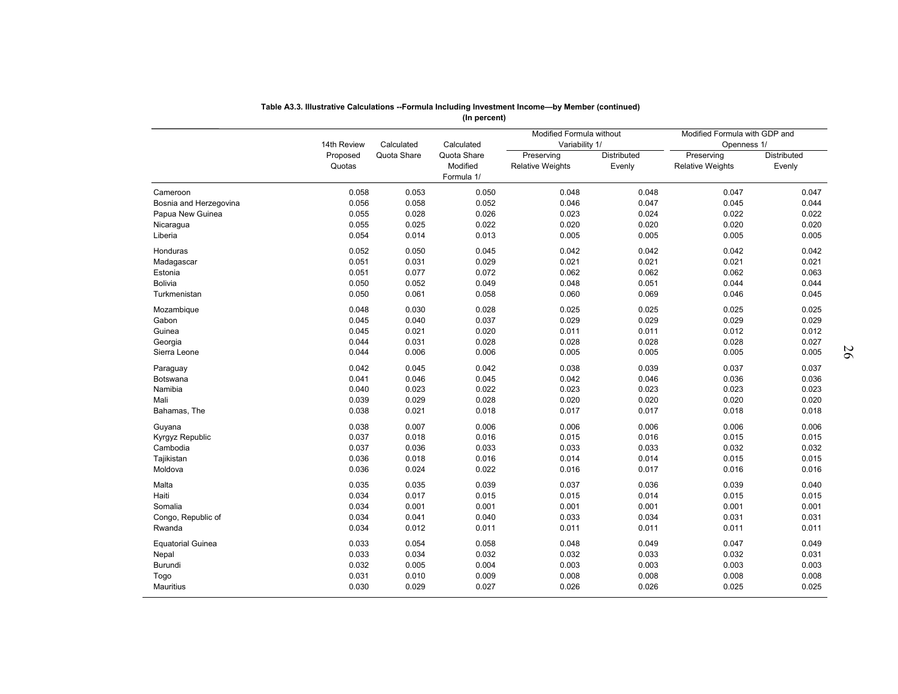|                          |                         |                           |                           | Modified Formula without     |             | Modified Formula with GDP and |                    |
|--------------------------|-------------------------|---------------------------|---------------------------|------------------------------|-------------|-------------------------------|--------------------|
|                          | 14th Review<br>Proposed | Calculated<br>Quota Share | Calculated<br>Quota Share | Variability 1/<br>Preserving | Distributed | Openness 1/<br>Preserving     | <b>Distributed</b> |
|                          | Quotas                  |                           | Modified<br>Formula 1/    | <b>Relative Weights</b>      | Evenly      | <b>Relative Weights</b>       | Evenly             |
| Cameroon                 | 0.058                   | 0.053                     | 0.050                     | 0.048                        | 0.048       | 0.047                         | 0.047              |
| Bosnia and Herzegovina   | 0.056                   | 0.058                     | 0.052                     | 0.046                        | 0.047       | 0.045                         | 0.044              |
| Papua New Guinea         | 0.055                   | 0.028                     | 0.026                     | 0.023                        | 0.024       | 0.022                         | 0.022              |
| Nicaragua                | 0.055                   | 0.025                     | 0.022                     | 0.020                        | 0.020       | 0.020                         | 0.020              |
| Liberia                  | 0.054                   | 0.014                     | 0.013                     | 0.005                        | 0.005       | 0.005                         | 0.005              |
| Honduras                 | 0.052                   | 0.050                     | 0.045                     | 0.042                        | 0.042       | 0.042                         | 0.042              |
| Madagascar               | 0.051                   | 0.031                     | 0.029                     | 0.021                        | 0.021       | 0.021                         | 0.021              |
| Estonia                  | 0.051                   | 0.077                     | 0.072                     | 0.062                        | 0.062       | 0.062                         | 0.063              |
| <b>Bolivia</b>           | 0.050                   | 0.052                     | 0.049                     | 0.048                        | 0.051       | 0.044                         | 0.044              |
| Turkmenistan             | 0.050                   | 0.061                     | 0.058                     | 0.060                        | 0.069       | 0.046                         | 0.045              |
| Mozambique               | 0.048                   | 0.030                     | 0.028                     | 0.025                        | 0.025       | 0.025                         | 0.025              |
| Gabon                    | 0.045                   | 0.040                     | 0.037                     | 0.029                        | 0.029       | 0.029                         | 0.029              |
| Guinea                   | 0.045                   | 0.021                     | 0.020                     | 0.011                        | 0.011       | 0.012                         | 0.012              |
| Georgia                  | 0.044                   | 0.031                     | 0.028                     | 0.028                        | 0.028       | 0.028                         | 0.027              |
| Sierra Leone             | 0.044                   | 0.006                     | 0.006                     | 0.005                        | 0.005       | 0.005                         | 0.005              |
| Paraguay                 | 0.042                   | 0.045                     | 0.042                     | 0.038                        | 0.039       | 0.037                         | 0.037              |
| Botswana                 | 0.041                   | 0.046                     | 0.045                     | 0.042                        | 0.046       | 0.036                         | 0.036              |
| Namibia                  | 0.040                   | 0.023                     | 0.022                     | 0.023                        | 0.023       | 0.023                         | 0.023              |
| Mali                     | 0.039                   | 0.029                     | 0.028                     | 0.020                        | 0.020       | 0.020                         | 0.020              |
| Bahamas, The             | 0.038                   | 0.021                     | 0.018                     | 0.017                        | 0.017       | 0.018                         | 0.018              |
| Guyana                   | 0.038                   | 0.007                     | 0.006                     | 0.006                        | 0.006       | 0.006                         | 0.006              |
| Kyrgyz Republic          | 0.037                   | 0.018                     | 0.016                     | 0.015                        | 0.016       | 0.015                         | 0.015              |
| Cambodia                 | 0.037                   | 0.036                     | 0.033                     | 0.033                        | 0.033       | 0.032                         | 0.032              |
| Tajikistan               | 0.036                   | 0.018                     | 0.016                     | 0.014                        | 0.014       | 0.015                         | 0.015              |
| Moldova                  | 0.036                   | 0.024                     | 0.022                     | 0.016                        | 0.017       | 0.016                         | 0.016              |
| Malta                    | 0.035                   | 0.035                     | 0.039                     | 0.037                        | 0.036       | 0.039                         | 0.040              |
| Haiti                    | 0.034                   | 0.017                     | 0.015                     | 0.015                        | 0.014       | 0.015                         | 0.015              |
| Somalia                  | 0.034                   | 0.001                     | 0.001                     | 0.001                        | 0.001       | 0.001                         | 0.001              |
| Congo, Republic of       | 0.034                   | 0.041                     | 0.040                     | 0.033                        | 0.034       | 0.031                         | 0.031              |
| Rwanda                   | 0.034                   | 0.012                     | 0.011                     | 0.011                        | 0.011       | 0.011                         | 0.011              |
|                          | 0.033                   | 0.054                     |                           | 0.048                        | 0.049       | 0.047                         | 0.049              |
| <b>Equatorial Guinea</b> | 0.033                   |                           | 0.058                     |                              | 0.033       | 0.032                         |                    |
| Nepal<br>Burundi         | 0.032                   | 0.034<br>0.005            | 0.032<br>0.004            | 0.032<br>0.003               | 0.003       | 0.003                         | 0.031<br>0.003     |
| Togo                     | 0.031                   | 0.010                     | 0.009                     | 0.008                        | 0.008       | 0.008                         | 0.008              |
| <b>Mauritius</b>         | 0.030                   | 0.029                     | 0.027                     | 0.026                        | 0.026       | 0.025                         | 0.025              |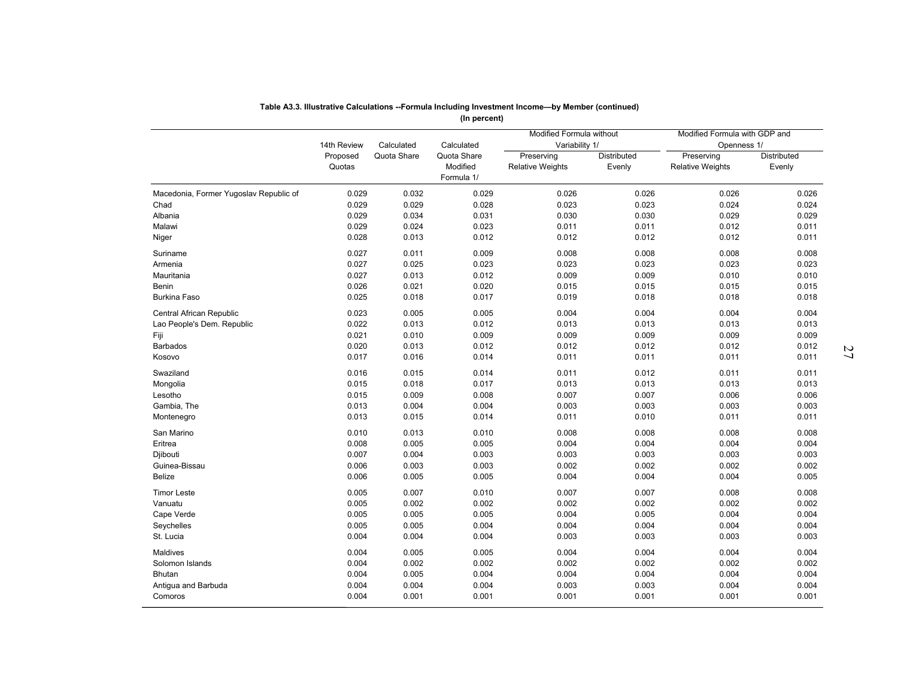|                                        |                    |             | (In percent)                          |                                            |                              |                                              |                       |
|----------------------------------------|--------------------|-------------|---------------------------------------|--------------------------------------------|------------------------------|----------------------------------------------|-----------------------|
|                                        | 14th Review        | Calculated  | Calculated                            | Modified Formula without<br>Variability 1/ |                              | Modified Formula with GDP and<br>Openness 1/ |                       |
|                                        | Proposed<br>Quotas | Quota Share | Quota Share<br>Modified<br>Formula 1/ | Preserving<br><b>Relative Weights</b>      | <b>Distributed</b><br>Evenly | Preserving<br><b>Relative Weights</b>        | Distributed<br>Evenly |
| Macedonia, Former Yugoslav Republic of | 0.029              | 0.032       | 0.029                                 | 0.026                                      | 0.026                        | 0.026                                        | 0.026                 |
| Chad                                   | 0.029              | 0.029       | 0.028                                 | 0.023                                      | 0.023                        | 0.024                                        | 0.024                 |
| Albania                                | 0.029              | 0.034       | 0.031                                 | 0.030                                      | 0.030                        | 0.029                                        | 0.029                 |
| Malawi                                 | 0.029              | 0.024       | 0.023                                 | 0.011                                      | 0.011                        | 0.012                                        | 0.011                 |
| Niger                                  | 0.028              | 0.013       | 0.012                                 | 0.012                                      | 0.012                        | 0.012                                        | 0.011                 |
| Suriname                               | 0.027              | 0.011       | 0.009                                 | 0.008                                      | 0.008                        | 0.008                                        | 0.008                 |
| Armenia                                | 0.027              | 0.025       | 0.023                                 | 0.023                                      | 0.023                        | 0.023                                        | 0.023                 |
| Mauritania                             | 0.027              | 0.013       | 0.012                                 | 0.009                                      | 0.009                        | 0.010                                        | 0.010                 |
| Benin                                  | 0.026              | 0.021       | 0.020                                 | 0.015                                      | 0.015                        | 0.015                                        | 0.015                 |
| <b>Burkina Faso</b>                    | 0.025              | 0.018       | 0.017                                 | 0.019                                      | 0.018                        | 0.018                                        | 0.018                 |
| Central African Republic               | 0.023              | 0.005       | 0.005                                 | 0.004                                      | 0.004                        | 0.004                                        | 0.004                 |
| Lao People's Dem. Republic             | 0.022              | 0.013       | 0.012                                 | 0.013                                      | 0.013                        | 0.013                                        | 0.013                 |
| Fiji                                   | 0.021              | 0.010       | 0.009                                 | 0.009                                      | 0.009                        | 0.009                                        | 0.009                 |
| <b>Barbados</b>                        | 0.020              | 0.013       | 0.012                                 | 0.012                                      | 0.012                        | 0.012                                        | 0.012                 |
| Kosovo                                 | 0.017              | 0.016       | 0.014                                 | 0.011                                      | 0.011                        | 0.011                                        | 0.011                 |
|                                        |                    |             |                                       |                                            |                              |                                              |                       |
| Swaziland                              | 0.016              | 0.015       | 0.014                                 | 0.011                                      | 0.012                        | 0.011                                        | 0.011                 |
| Mongolia                               | 0.015              | 0.018       | 0.017                                 | 0.013                                      | 0.013                        | 0.013                                        | 0.013                 |
| Lesotho                                | 0.015              | 0.009       | 0.008                                 | 0.007                                      | 0.007                        | 0.006                                        | 0.006                 |
| Gambia, The                            | 0.013              | 0.004       | 0.004                                 | 0.003                                      | 0.003                        | 0.003                                        | 0.003                 |
| Montenegro                             | 0.013              | 0.015       | 0.014                                 | 0.011                                      | 0.010                        | 0.011                                        | 0.011                 |
| San Marino                             | 0.010              | 0.013       | 0.010                                 | 0.008                                      | 0.008                        | 0.008                                        | 0.008                 |
| Eritrea                                | 0.008              | 0.005       | 0.005                                 | 0.004                                      | 0.004                        | 0.004                                        | 0.004                 |
| Djibouti                               | 0.007              | 0.004       | 0.003                                 | 0.003                                      | 0.003                        | 0.003                                        | 0.003                 |
| Guinea-Bissau                          | 0.006              | 0.003       | 0.003                                 | 0.002                                      | 0.002                        | 0.002                                        | 0.002                 |
| <b>Belize</b>                          | 0.006              | 0.005       | 0.005                                 | 0.004                                      | 0.004                        | 0.004                                        | 0.005                 |
| <b>Timor Leste</b>                     | 0.005              | 0.007       | 0.010                                 | 0.007                                      | 0.007                        | 0.008                                        | 0.008                 |
| Vanuatu                                | 0.005              | 0.002       | 0.002                                 | 0.002                                      | 0.002                        | 0.002                                        | 0.002                 |
| Cape Verde                             | 0.005              | 0.005       | 0.005                                 | 0.004                                      | 0.005                        | 0.004                                        | 0.004                 |
| Seychelles                             | 0.005              | 0.005       | 0.004                                 | 0.004                                      | 0.004                        | 0.004                                        | 0.004                 |
| St. Lucia                              | 0.004              | 0.004       | 0.004                                 | 0.003                                      | 0.003                        | 0.003                                        | 0.003                 |
| Maldives                               | 0.004              | 0.005       | 0.005                                 | 0.004                                      | 0.004                        | 0.004                                        | 0.004                 |
| Solomon Islands                        | 0.004              | 0.002       | 0.002                                 | 0.002                                      | 0.002                        | 0.002                                        | 0.002                 |
| Bhutan                                 | 0.004              | 0.005       | 0.004                                 | 0.004                                      | 0.004                        | 0.004                                        | 0.004                 |
| Antigua and Barbuda                    | 0.004              | 0.004       | 0.004                                 | 0.003                                      | 0.003                        | 0.004                                        | 0.004                 |
| Comoros                                | 0.004              | 0.001       | 0.001                                 | 0.001                                      | 0.001                        | 0.001                                        | 0.001                 |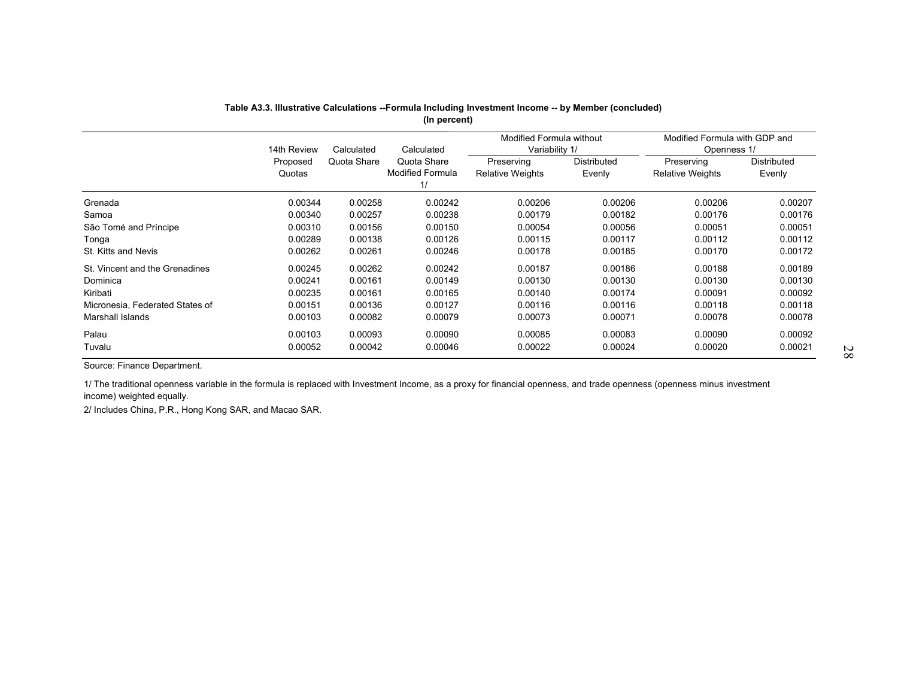|                                 |                    |             | (In percent)                                 | Table A3.3. Illustrative Calculations --Formula Including Investment Income -- by Member (concluded)<br><b>Modified Formula without</b> |                       | Modified Formula with GDP and         |                              |
|---------------------------------|--------------------|-------------|----------------------------------------------|-----------------------------------------------------------------------------------------------------------------------------------------|-----------------------|---------------------------------------|------------------------------|
|                                 | 14th Review        | Calculated  | Calculated                                   | Variability 1/                                                                                                                          |                       | Openness 1/                           |                              |
|                                 | Proposed<br>Quotas | Quota Share | Quota Share<br><b>Modified Formula</b><br>1/ | Preserving<br><b>Relative Weights</b>                                                                                                   | Distributed<br>Evenly | Preserving<br><b>Relative Weights</b> | <b>Distributed</b><br>Evenly |
| Grenada                         | 0.00344            | 0.00258     | 0.00242                                      | 0.00206                                                                                                                                 | 0.00206               | 0.00206                               | 0.00207                      |
| Samoa                           | 0.00340            | 0.00257     | 0.00238                                      | 0.00179                                                                                                                                 | 0.00182               | 0.00176                               | 0.00176                      |
| São Tomé and Príncipe           | 0.00310            | 0.00156     | 0.00150                                      | 0.00054                                                                                                                                 | 0.00056               | 0.00051                               | 0.00051                      |
| Tonga                           | 0.00289            | 0.00138     | 0.00126                                      | 0.00115                                                                                                                                 | 0.00117               | 0.00112                               | 0.00112                      |
| St. Kitts and Nevis             | 0.00262            | 0.00261     | 0.00246                                      | 0.00178                                                                                                                                 | 0.00185               | 0.00170                               | 0.00172                      |
| St. Vincent and the Grenadines  | 0.00245            | 0.00262     | 0.00242                                      | 0.00187                                                                                                                                 | 0.00186               | 0.00188                               | 0.00189                      |
| Dominica                        | 0.00241            | 0.00161     | 0.00149                                      | 0.00130                                                                                                                                 | 0.00130               | 0.00130                               | 0.00130                      |
| Kiribati                        | 0.00235            | 0.00161     | 0.00165                                      | 0.00140                                                                                                                                 | 0.00174               | 0.00091                               | 0.00092                      |
| Micronesia, Federated States of | 0.00151            | 0.00136     | 0.00127                                      | 0.00116                                                                                                                                 | 0.00116               | 0.00118                               | 0.00118                      |
| <b>Marshall Islands</b>         | 0.00103            | 0.00082     | 0.00079                                      | 0.00073                                                                                                                                 | 0.00071               | 0.00078                               | 0.00078                      |
| Palau                           | 0.00103            | 0.00093     | 0.00090                                      | 0.00085                                                                                                                                 | 0.00083               | 0.00090                               | 0.00092                      |
| Tuvalu                          | 0.00052            | 0.00042     | 0.00046                                      | 0.00022                                                                                                                                 | 0.00024               | 0.00020                               | 0.00021                      |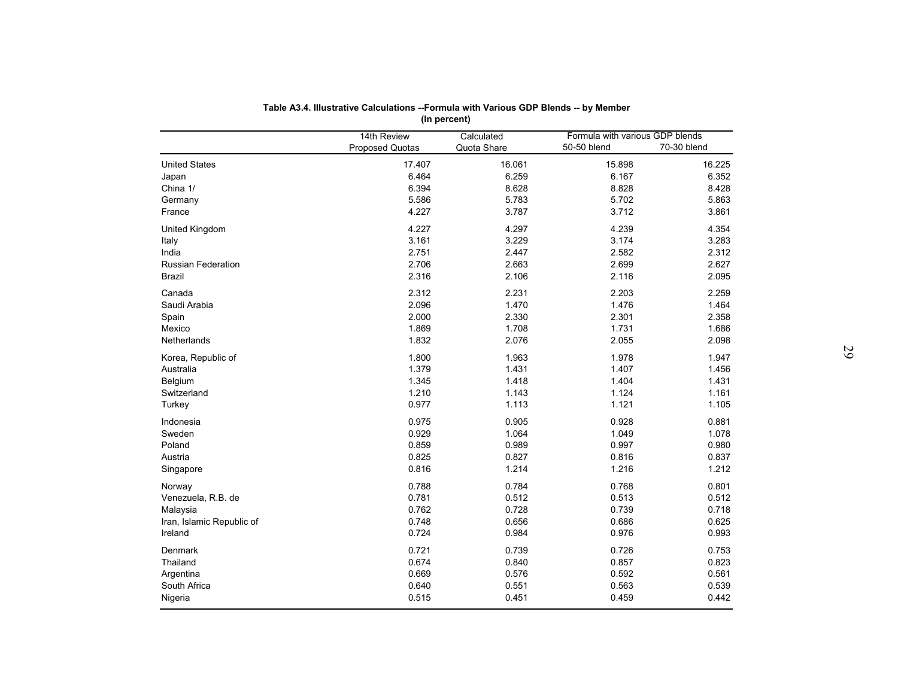|                           | Table A3.4. Illustrative Calculations --Formula with Various GDP Blends -- by Member |                           |                                 |             |
|---------------------------|--------------------------------------------------------------------------------------|---------------------------|---------------------------------|-------------|
|                           |                                                                                      | (In percent)              |                                 |             |
|                           |                                                                                      |                           | Formula with various GDP blends |             |
|                           | 14th Review<br>Proposed Quotas                                                       | Calculated<br>Quota Share | 50-50 blend                     | 70-30 blend |
|                           | 17.407                                                                               | 16.061                    | 15.898                          | 16.225      |
| <b>United States</b>      | 6.464                                                                                | 6.259                     | 6.167                           | 6.352       |
| Japan                     |                                                                                      |                           |                                 |             |
| China 1/                  | 6.394                                                                                | 8.628                     | 8.828                           | 8.428       |
| Germany                   | 5.586                                                                                | 5.783                     | 5.702                           | 5.863       |
| France                    | 4.227                                                                                | 3.787                     | 3.712                           | 3.861       |
| United Kingdom            | 4.227                                                                                | 4.297                     | 4.239                           | 4.354       |
| Italy                     | 3.161                                                                                | 3.229                     | 3.174                           | 3.283       |
| India                     | 2.751                                                                                | 2.447                     | 2.582                           | 2.312       |
| <b>Russian Federation</b> | 2.706                                                                                | 2.663                     | 2.699                           | 2.627       |
| Brazil                    | 2.316                                                                                | 2.106                     | 2.116                           | 2.095       |
| Canada                    | 2.312                                                                                | 2.231                     | 2.203                           | 2.259       |
| Saudi Arabia              | 2.096                                                                                | 1.470                     | 1.476                           | 1.464       |
| Spain                     | 2.000                                                                                | 2.330                     | 2.301                           | 2.358       |
| Mexico                    | 1.869                                                                                | 1.708                     | 1.731                           | 1.686       |
| Netherlands               | 1.832                                                                                | 2.076                     | 2.055                           | 2.098       |
|                           |                                                                                      |                           |                                 |             |
| Korea, Republic of        | 1.800                                                                                | 1.963                     | 1.978                           | 1.947       |
| Australia                 | 1.379                                                                                | 1.431                     | 1.407                           | 1.456       |
| Belgium                   | 1.345                                                                                | 1.418                     | 1.404                           | 1.431       |
| Switzerland               | 1.210                                                                                | 1.143                     | 1.124                           | 1.161       |
| Turkey                    | 0.977                                                                                | 1.113                     | 1.121                           | 1.105       |
| Indonesia                 | 0.975                                                                                | 0.905                     | 0.928                           | 0.881       |
| Sweden                    | 0.929                                                                                | 1.064                     | 1.049                           | 1.078       |
| Poland                    | 0.859                                                                                | 0.989                     | 0.997                           | 0.980       |
| Austria                   | 0.825                                                                                | 0.827                     | 0.816                           | 0.837       |
| Singapore                 | 0.816                                                                                | 1.214                     | 1.216                           | 1.212       |
|                           |                                                                                      |                           |                                 |             |
| Norway                    | 0.788                                                                                | 0.784                     | 0.768                           | 0.801       |
| Venezuela, R.B. de        | 0.781                                                                                | 0.512                     | 0.513                           | 0.512       |
| Malaysia                  | 0.762                                                                                | 0.728                     | 0.739                           | 0.718       |
| Iran, Islamic Republic of | 0.748                                                                                | 0.656                     | 0.686                           | 0.625       |
| Ireland                   | 0.724                                                                                | 0.984                     | 0.976                           | 0.993       |
| Denmark                   | 0.721                                                                                | 0.739                     | 0.726                           | 0.753       |
| Thailand                  | 0.674                                                                                | 0.840                     | 0.857                           | 0.823       |
| Argentina                 | 0.669                                                                                | 0.576                     | 0.592                           | 0.561       |
| South Africa              | 0.640                                                                                | 0.551                     | 0.563                           | 0.539       |
| Nigeria                   | 0.515                                                                                | 0.451                     | 0.459                           | 0.442       |
|                           |                                                                                      |                           |                                 |             |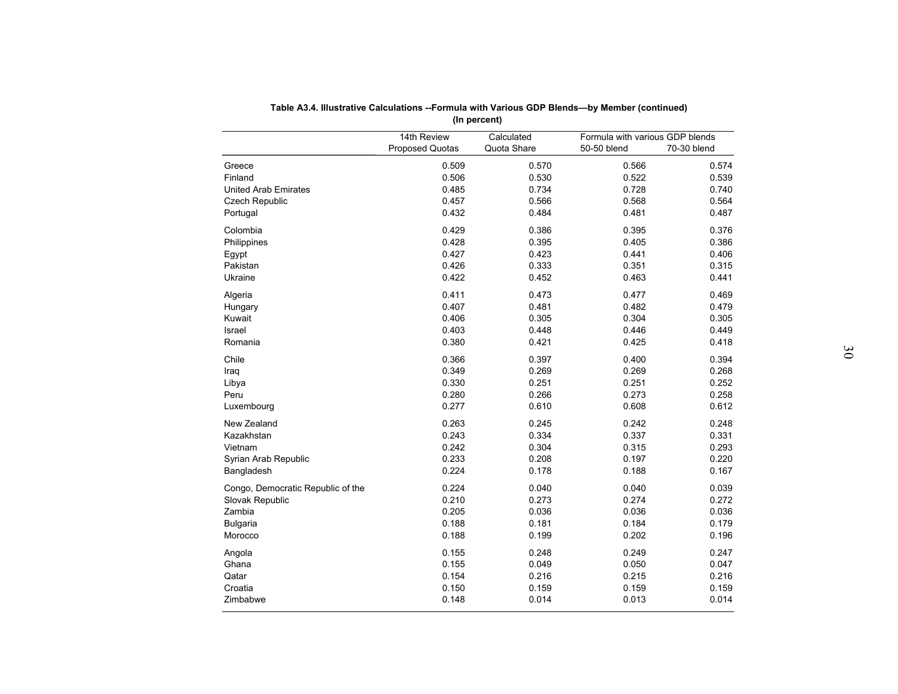|                                    |                 | (In percent)   |                                 |                |
|------------------------------------|-----------------|----------------|---------------------------------|----------------|
|                                    | 14th Review     | Calculated     | Formula with various GDP blends |                |
|                                    | Proposed Quotas | Quota Share    | 50-50 blend                     | 70-30 blend    |
| Greece                             | 0.509           | 0.570          | 0.566                           | 0.574          |
| Finland                            | 0.506           | 0.530          | 0.522                           | 0.539          |
| <b>United Arab Emirates</b>        | 0.485           | 0.734          | 0.728                           | 0.740          |
| Czech Republic                     | 0.457           | 0.566          | 0.568                           | 0.564          |
| Portugal                           | 0.432           | 0.484          | 0.481                           | 0.487          |
| Colombia                           | 0.429           | 0.386          | 0.395                           | 0.376          |
| Philippines                        | 0.428           | 0.395          | 0.405                           | 0.386          |
| Egypt                              | 0.427           | 0.423          | 0.441                           | 0.406          |
| Pakistan                           | 0.426           | 0.333          | 0.351                           | 0.315          |
| Ukraine                            | 0.422           | 0.452          | 0.463                           | 0.441          |
| Algeria                            | 0.411           | 0.473          | 0.477                           | 0.469          |
| Hungary                            | 0.407           | 0.481          | 0.482                           | 0.479          |
| Kuwait                             | 0.406           | 0.305          | 0.304                           | 0.305          |
| Israel                             | 0.403           | 0.448          | 0.446                           | 0.449          |
| Romania                            | 0.380           | 0.421          | 0.425                           | 0.418          |
| Chile                              | 0.366           | 0.397          | 0.400                           | 0.394          |
| Iraq                               | 0.349           | 0.269          | 0.269                           | 0.268          |
| Libya                              | 0.330           | 0.251          | 0.251                           | 0.252          |
| Peru                               | 0.280           | 0.266          | 0.273                           | 0.258          |
| Luxembourg                         | 0.277           | 0.610          | 0.608                           | 0.612          |
|                                    |                 |                |                                 |                |
| New Zealand<br>Kazakhstan          | 0.263<br>0.243  | 0.245<br>0.334 | 0.242<br>0.337                  | 0.248          |
|                                    | 0.242           | 0.304          | 0.315                           | 0.331<br>0.293 |
| Vietnam                            | 0.233           |                |                                 |                |
| Syrian Arab Republic<br>Bangladesh | 0.224           | 0.208<br>0.178 | 0.197<br>0.188                  | 0.220<br>0.167 |
|                                    |                 |                |                                 |                |
| Congo, Democratic Republic of the  | 0.224           | 0.040          | 0.040                           | 0.039          |
| Slovak Republic                    | 0.210           | 0.273          | 0.274                           | 0.272          |
| Zambia                             | 0.205           | 0.036          | 0.036                           | 0.036          |
| <b>Bulgaria</b>                    | 0.188           | 0.181          | 0.184                           | 0.179          |
| Morocco                            | 0.188           | 0.199          | 0.202                           | 0.196          |
| Angola                             | 0.155           | 0.248          | 0.249                           | 0.247          |
| Ghana                              | 0.155           | 0.049          | 0.050                           | 0.047          |
| Qatar                              | 0.154           | 0.216          | 0.215                           | 0.216          |
| Croatia                            | 0.150           | 0.159          | 0.159                           | 0.159          |
| Zimbabwe                           | 0.148           | 0.014          | 0.013                           | 0.014          |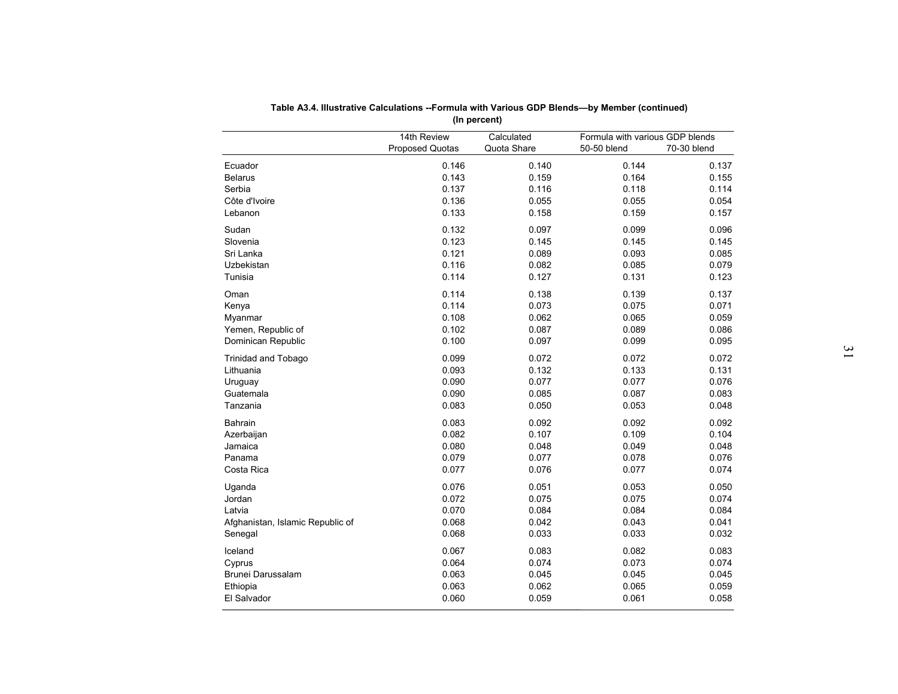|                                  | (In percent)                          |                           |                                                               |       |
|----------------------------------|---------------------------------------|---------------------------|---------------------------------------------------------------|-------|
|                                  | 14th Review<br><b>Proposed Quotas</b> | Calculated<br>Quota Share | Formula with various GDP blends<br>70-30 blend<br>50-50 blend |       |
| Ecuador                          | 0.146                                 | 0.140                     | 0.144                                                         | 0.137 |
| <b>Belarus</b>                   | 0.143                                 | 0.159                     | 0.164                                                         | 0.155 |
| Serbia                           | 0.137                                 | 0.116                     | 0.118                                                         | 0.114 |
| Côte d'Ivoire                    | 0.136                                 | 0.055                     | 0.055                                                         | 0.054 |
| Lebanon                          | 0.133                                 | 0.158                     | 0.159                                                         | 0.157 |
|                                  |                                       |                           |                                                               |       |
| Sudan                            | 0.132                                 | 0.097                     | 0.099                                                         | 0.096 |
| Slovenia                         | 0.123                                 | 0.145                     | 0.145                                                         | 0.145 |
| Sri Lanka                        | 0.121                                 | 0.089                     | 0.093                                                         | 0.085 |
| <b>Uzbekistan</b>                | 0.116                                 | 0.082                     | 0.085                                                         | 0.079 |
| Tunisia                          | 0.114                                 | 0.127                     | 0.131                                                         | 0.123 |
| Oman                             | 0.114                                 | 0.138                     | 0.139                                                         | 0.137 |
| Kenya                            | 0.114                                 | 0.073                     | 0.075                                                         | 0.071 |
| Myanmar                          | 0.108                                 | 0.062                     | 0.065                                                         | 0.059 |
| Yemen, Republic of               | 0.102                                 | 0.087                     | 0.089                                                         | 0.086 |
| Dominican Republic               | 0.100                                 | 0.097                     | 0.099                                                         | 0.095 |
|                                  | 0.099                                 | 0.072                     | 0.072                                                         | 0.072 |
| <b>Trinidad and Tobago</b>       |                                       |                           |                                                               | 0.131 |
| Lithuania                        | 0.093                                 | 0.132<br>0.077            | 0.133<br>0.077                                                | 0.076 |
| Uruguay                          | 0.090                                 |                           |                                                               |       |
| Guatemala                        | 0.090                                 | 0.085                     | 0.087                                                         | 0.083 |
| Tanzania                         | 0.083                                 | 0.050                     | 0.053                                                         | 0.048 |
| Bahrain                          | 0.083                                 | 0.092                     | 0.092                                                         | 0.092 |
| Azerbaijan                       | 0.082                                 | 0.107                     | 0.109                                                         | 0.104 |
| Jamaica                          | 0.080                                 | 0.048                     | 0.049                                                         | 0.048 |
| Panama                           | 0.079                                 | 0.077                     | 0.078                                                         | 0.076 |
| Costa Rica                       | 0.077                                 | 0.076                     | 0.077                                                         | 0.074 |
| Uganda                           | 0.076                                 | 0.051                     | 0.053                                                         | 0.050 |
| Jordan                           | 0.072                                 | 0.075                     | 0.075                                                         | 0.074 |
| Latvia                           | 0.070                                 | 0.084                     | 0.084                                                         | 0.084 |
| Afghanistan, Islamic Republic of | 0.068                                 | 0.042                     | 0.043                                                         | 0.041 |
| Senegal                          | 0.068                                 | 0.033                     | 0.033                                                         | 0.032 |
|                                  |                                       |                           |                                                               | 0.083 |
| Iceland                          | 0.067<br>0.064                        | 0.083<br>0.074            | 0.082<br>0.073                                                | 0.074 |
| Cyprus<br>Brunei Darussalam      | 0.063                                 | 0.045                     | 0.045                                                         | 0.045 |
| Ethiopia                         | 0.063                                 | 0.062                     | 0.065                                                         | 0.059 |
|                                  |                                       |                           |                                                               |       |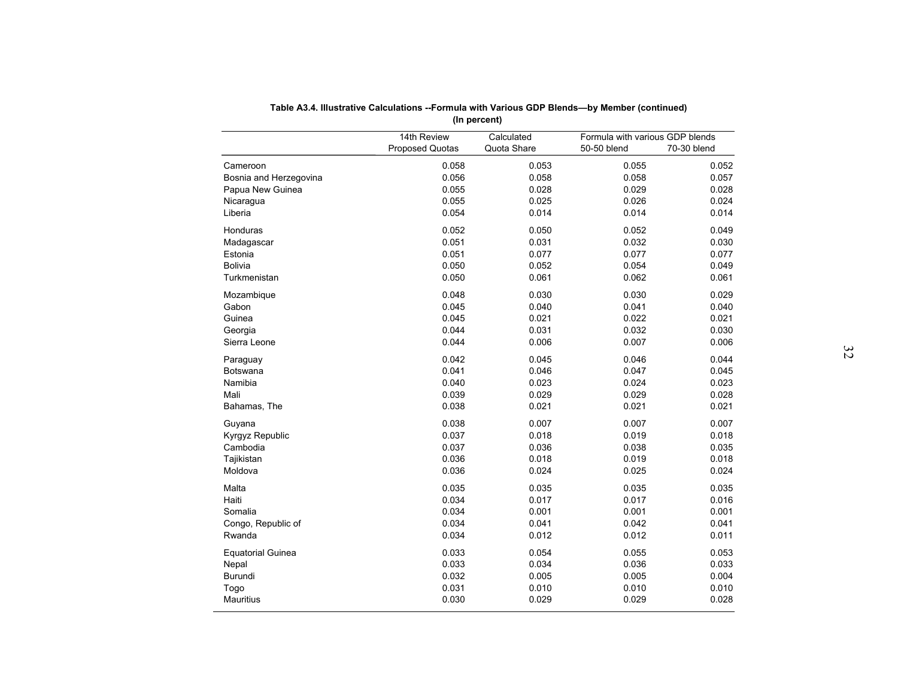|                          |                 | (In percent) |                                 |             |
|--------------------------|-----------------|--------------|---------------------------------|-------------|
|                          | 14th Review     | Calculated   | Formula with various GDP blends |             |
|                          | Proposed Quotas | Quota Share  | 50-50 blend                     | 70-30 blend |
| Cameroon                 | 0.058           | 0.053        | 0.055                           | 0.052       |
| Bosnia and Herzegovina   | 0.056           | 0.058        | 0.058                           | 0.057       |
| Papua New Guinea         | 0.055           | 0.028        | 0.029                           | 0.028       |
| Nicaragua                | 0.055           | 0.025        | 0.026                           | 0.024       |
| Liberia                  | 0.054           | 0.014        | 0.014                           | 0.014       |
| Honduras                 | 0.052           | 0.050        | 0.052                           | 0.049       |
| Madagascar               | 0.051           | 0.031        | 0.032                           | 0.030       |
| Estonia                  | 0.051           | 0.077        | 0.077                           | 0.077       |
| <b>Bolivia</b>           | 0.050           | 0.052        | 0.054                           | 0.049       |
| Turkmenistan             | 0.050           | 0.061        | 0.062                           | 0.061       |
| Mozambique               | 0.048           | 0.030        | 0.030                           | 0.029       |
| Gabon                    | 0.045           | 0.040        | 0.041                           | 0.040       |
| Guinea                   | 0.045           | 0.021        | 0.022                           | 0.021       |
| Georgia                  | 0.044           | 0.031        | 0.032                           | 0.030       |
| Sierra Leone             | 0.044           | 0.006        | 0.007                           | 0.006       |
| Paraguay                 | 0.042           | 0.045        | 0.046                           | 0.044       |
| <b>Botswana</b>          | 0.041           | 0.046        | 0.047                           | 0.045       |
| Namibia                  | 0.040           | 0.023        | 0.024                           | 0.023       |
| Mali                     | 0.039           | 0.029        | 0.029                           | 0.028       |
| Bahamas, The             | 0.038           | 0.021        | 0.021                           | 0.021       |
| Guyana                   | 0.038           | 0.007        | 0.007                           | 0.007       |
| Kyrgyz Republic          | 0.037           | 0.018        | 0.019                           | 0.018       |
| Cambodia                 | 0.037           | 0.036        | 0.038                           | 0.035       |
| Tajikistan               | 0.036           | 0.018        | 0.019                           | 0.018       |
| Moldova                  | 0.036           | 0.024        | 0.025                           | 0.024       |
|                          |                 |              |                                 |             |
| Malta                    | 0.035           | 0.035        | 0.035                           | 0.035       |
| Haiti                    | 0.034           | 0.017        | 0.017                           | 0.016       |
| Somalia                  | 0.034           | 0.001        | 0.001                           | 0.001       |
| Congo, Republic of       | 0.034           | 0.041        | 0.042                           | 0.041       |
| Rwanda                   | 0.034           | 0.012        | 0.012                           | 0.011       |
| <b>Equatorial Guinea</b> | 0.033           | 0.054        | 0.055                           | 0.053       |
| Nepal                    | 0.033           | 0.034        | 0.036                           | 0.033       |
| Burundi                  | 0.032           | 0.005        | 0.005                           | 0.004       |
| Togo                     | 0.031           | 0.010        | 0.010                           | 0.010       |
| <b>Mauritius</b>         | 0.030           | 0.029        | 0.029                           | 0.028       |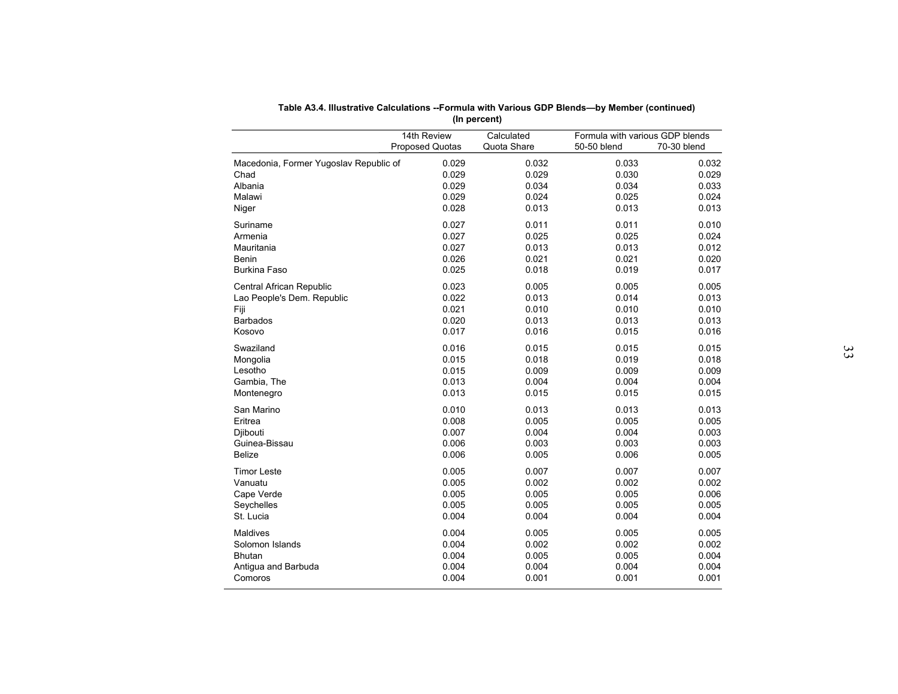|                                        | (In percent)                          |                           |                                                               |       |
|----------------------------------------|---------------------------------------|---------------------------|---------------------------------------------------------------|-------|
|                                        | 14th Review<br><b>Proposed Quotas</b> | Calculated<br>Quota Share | Formula with various GDP blends<br>50-50 blend<br>70-30 blend |       |
| Macedonia, Former Yugoslav Republic of | 0.029                                 | 0.032                     | 0.033                                                         | 0.032 |
| Chad                                   | 0.029                                 | 0.029                     | 0.030                                                         | 0.029 |
| Albania                                | 0.029                                 | 0.034                     | 0.034                                                         | 0.033 |
| Malawi                                 | 0.029                                 | 0.024                     | 0.025                                                         | 0.024 |
| Niger                                  | 0.028                                 | 0.013                     | 0.013                                                         | 0.013 |
| Suriname                               | 0.027                                 | 0.011                     | 0.011                                                         | 0.010 |
| Armenia                                | 0.027                                 | 0.025                     | 0.025                                                         | 0.024 |
| Mauritania                             | 0.027                                 | 0.013                     | 0.013                                                         | 0.012 |
| <b>Benin</b>                           | 0.026                                 | 0.021                     | 0.021                                                         | 0.020 |
| Burkina Faso                           | 0.025                                 | 0.018                     | 0.019                                                         | 0.017 |
| Central African Republic               | 0.023                                 | 0.005                     | 0.005                                                         | 0.005 |
| Lao People's Dem. Republic             | 0.022                                 | 0.013                     | 0.014                                                         | 0.013 |
| Fiji                                   | 0.021                                 | 0.010                     | 0.010                                                         | 0.010 |
| <b>Barbados</b>                        | 0.020                                 | 0.013                     | 0.013                                                         | 0.013 |
| Kosovo                                 | 0.017                                 | 0.016                     | 0.015                                                         | 0.016 |
| Swaziland                              | 0.016                                 | 0.015                     | 0.015                                                         | 0.015 |
| Mongolia                               | 0.015                                 | 0.018                     | 0.019                                                         | 0.018 |
| Lesotho                                | 0.015                                 | 0.009                     | 0.009                                                         | 0.009 |
| Gambia, The                            | 0.013                                 | 0.004                     | 0.004                                                         | 0.004 |
| Montenegro                             | 0.013                                 | 0.015                     | 0.015                                                         | 0.015 |
| San Marino                             | 0.010                                 | 0.013                     | 0.013                                                         | 0.013 |
| Eritrea                                | 0.008                                 | 0.005                     | 0.005                                                         | 0.005 |
| Djibouti                               | 0.007                                 | 0.004                     | 0.004                                                         | 0.003 |
| Guinea-Bissau                          | 0.006                                 | 0.003                     | 0.003                                                         | 0.003 |
| <b>Belize</b>                          | 0.006                                 | 0.005                     | 0.006                                                         | 0.005 |
| <b>Timor Leste</b>                     | 0.005                                 | 0.007                     | 0.007                                                         | 0.007 |
| Vanuatu                                | 0.005                                 | 0.002                     | 0.002                                                         | 0.002 |
| Cape Verde                             | 0.005                                 | 0.005                     | 0.005                                                         | 0.006 |
| Seychelles                             | 0.005                                 | 0.005                     | 0.005                                                         | 0.005 |
| St. Lucia                              | 0.004                                 | 0.004                     | 0.004                                                         | 0.004 |
| Maldives                               | 0.004                                 | 0.005                     | 0.005                                                         | 0.005 |
| Solomon Islands                        | 0.004                                 | 0.002                     | 0.002                                                         | 0.002 |
| <b>Bhutan</b>                          | 0.004                                 | 0.005                     | 0.005                                                         | 0.004 |
| Antigua and Barbuda                    | 0.004                                 | 0.004                     | 0.004                                                         | 0.004 |
| Comoros                                | 0.004                                 | 0.001                     | 0.001                                                         | 0.001 |